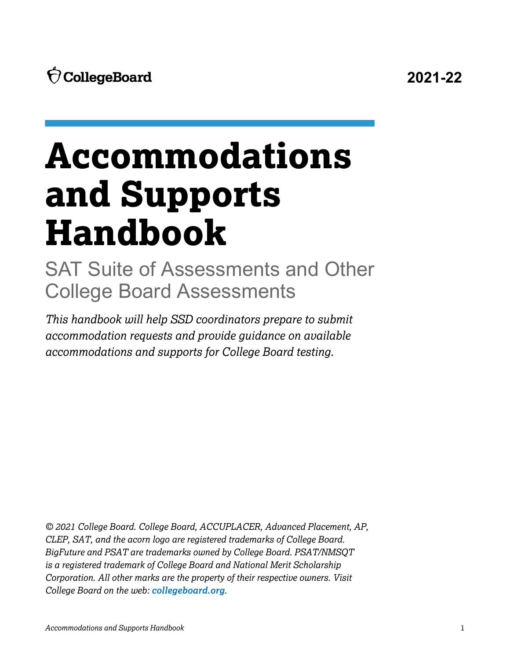# **Accommodations and Supports Handbook**

SAT Suite of Assessments and Other College Board Assessments

*This handbook will help SSD coordinators prepare to submit accommodation requests and provide guidance on available accommodations and supports for College Board testing.*

*© 2021 College Board. College Board, ACCUPLACER, Advanced Placement, AP, CLEP, SAT, and the acorn logo are registered trademarks of College Board. BigFuture and PSAT are trademarks owned by College Board. PSAT/NMSQT is a registered trademark of College Board and National Merit Scholarship Corporation. All other marks are the property of their respective owners. Visit College Board on the web: [collegeboard.org](http://collegeboard.org).*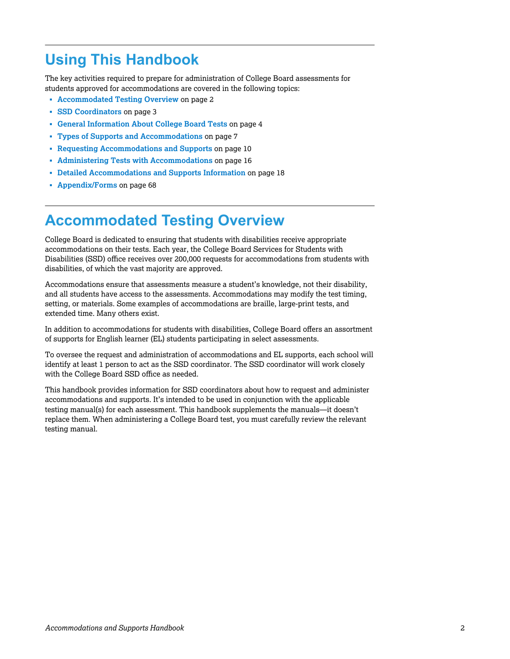# **Using This Handbook**

The key activities required to prepare for administration of College Board assessments for students approved for accommodations are covered in the following topics:

- § **Accommodated Testing Overview** on page 2
- § **[SSD Coordinators](#page-2-0)** on page 3
- § **[General Information About College Board Tests](#page-3-0)** on page 4
- § **[Types of Supports and Accommodations](#page-6-0)** on page 7
- § **[Requesting Accommodations and Supports](#page-9-0)** on page 10
- § **[Administering Tests with Accommodations](#page-15-0)** on page 16
- § **[Detailed Accommodations and Supports Information](#page-17-0)** on page 18
- § **[Appendix/Forms](#page-67-0)** on page 68

# **Accommodated Testing Overview**

College Board is dedicated to ensuring that students with disabilities receive appropriate accommodations on their tests. Each year, the College Board Services for Students with Disabilities (SSD) office receives over 200,000 requests for accommodations from students with disabilities, of which the vast majority are approved.

Accommodations ensure that assessments measure a student's knowledge, not their disability, and all students have access to the assessments. Accommodations may modify the test timing, setting, or materials. Some examples of accommodations are braille, large-print tests, and extended time. Many others exist.

In addition to accommodations for students with disabilities, College Board offers an assortment of supports for English learner (EL) students participating in select assessments.

To oversee the request and administration of accommodations and EL supports, each school will identify at least 1 person to act as the SSD coordinator. The SSD coordinator will work closely with the College Board SSD office as needed.

This handbook provides information for SSD coordinators about how to request and administer accommodations and supports. It's intended to be used in conjunction with the applicable testing manual(s) for each assessment. This handbook supplements the manuals—it doesn't replace them. When administering a College Board test, you must carefully review the relevant testing manual.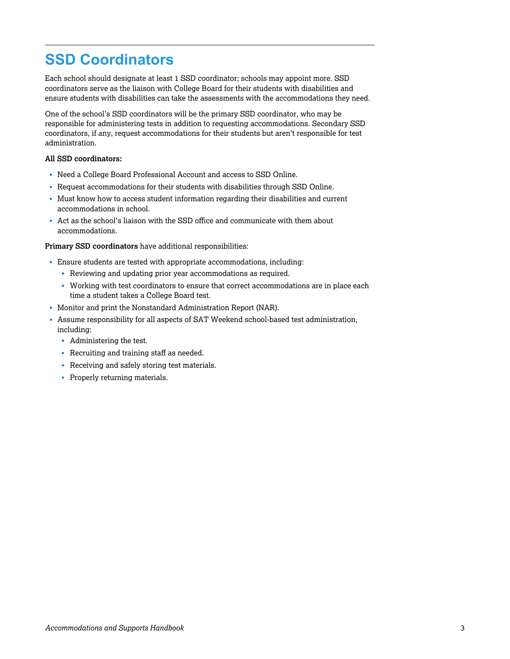# <span id="page-2-0"></span>**SSD Coordinators**

Each school should designate at least 1 SSD coordinator; schools may appoint more. SSD coordinators serve as the liaison with College Board for their students with disabilities and ensure students with disabilities can take the assessments with the accommodations they need.

One of the school's SSD coordinators will be the primary SSD coordinator, who may be responsible for administering tests in addition to requesting accommodations. Secondary SSD coordinators, if any, request accommodations for their students but aren't responsible for test administration.

#### **All SSD coordinators:**

- § Need a College Board Professional Account and access to SSD Online.
- § Request accommodations for their students with disabilities through SSD Online.
- § Must know how to access student information regarding their disabilities and current accommodations in school.
- § Act as the school's liaison with the SSD office and communicate with them about accommodations.

#### **Primary SSD coordinators** have additional responsibilities:

- § Ensure students are tested with appropriate accommodations, including:
	- $\bullet$  Reviewing and updating prior year accommodations as required.
	- Working with test coordinators to ensure that correct accommodations are in place each time a student takes a College Board test.
- § Monitor and print the Nonstandard Administration Report (NAR).
- § Assume responsibility for all aspects of SAT Weekend school-based test administration, including:
	- $\bullet$  Administering the test.
	- $\cdot$  Recruiting and training staff as needed.
	- $\cdot$  Receiving and safely storing test materials.
	- $\cdot$  Properly returning materials.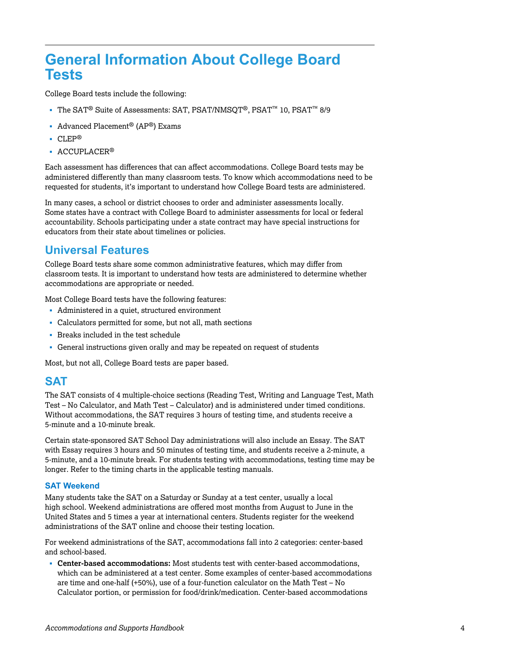# <span id="page-3-0"></span>**General Information About College Board Tests**

College Board tests include the following:

- § The SAT® Suite of Assessments: SAT, PSAT/NMSQT®, PSAT™ 10, PSAT™ 8/9
- Advanced Placement<sup>®</sup> (AP<sup>®</sup>) Exams
- § CLEP®
- ACCUPLACER<sup>®</sup>

Each assessment has differences that can affect accommodations. College Board tests may be administered differently than many classroom tests. To know which accommodations need to be requested for students, it's important to understand how College Board tests are administered.

In many cases, a school or district chooses to order and administer assessments locally. Some states have a contract with College Board to administer assessments for local or federal accountability. Schools participating under a state contract may have special instructions for educators from their state about timelines or policies.

## **Universal Features**

College Board tests share some common administrative features, which may differ from classroom tests. It is important to understand how tests are administered to determine whether accommodations are appropriate or needed.

Most College Board tests have the following features:

- Administered in a quiet, structured environment
- Calculators permitted for some, but not all, math sections
- § Breaks included in the test schedule
- § General instructions given orally and may be repeated on request of students

Most, but not all, College Board tests are paper based.

## **SAT**

The SAT consists of 4 multiple-choice sections (Reading Test, Writing and Language Test, Math Test – No Calculator, and Math Test – Calculator) and is administered under timed conditions. Without accommodations, the SAT requires 3 hours of testing time, and students receive a 5-minute and a 10-minute break.

Certain state-sponsored SAT School Day administrations will also include an Essay. The SAT with Essay requires 3 hours and 50 minutes of testing time, and students receive a 2-minute, a 5-minute, and a 10-minute break. For students testing with accommodations, testing time may be longer. Refer to the timing charts in the applicable testing manuals.

#### **SAT Weekend**

Many students take the SAT on a Saturday or Sunday at a test center, usually a local high school. Weekend administrations are offered most months from August to June in the United States and 5 times a year at international centers. Students register for the weekend administrations of the SAT online and choose their testing location.

For weekend administrations of the SAT, accommodations fall into 2 categories: center-based and school-based.

§ **Center-based accommodations:** Most students test with center-based accommodations, which can be administered at a test center. Some examples of center-based accommodations are time and one-half (+50%), use of a four-function calculator on the Math Test – No Calculator portion, or permission for food/drink/medication. Center-based accommodations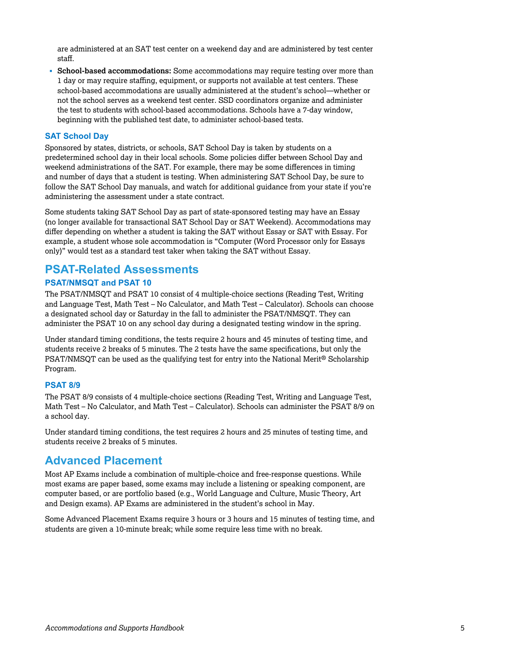are administered at an SAT test center on a weekend day and are administered by test center staff.

§ **School-based accommodations:** Some accommodations may require testing over more than 1 day or may require staffing, equipment, or supports not available at test centers. These school-based accommodations are usually administered at the student's school—whether or not the school serves as a weekend test center. SSD coordinators organize and administer the test to students with school-based accommodations. Schools have a 7-day window, beginning with the published test date, to administer school-based tests.

#### **SAT School Day**

Sponsored by states, districts, or schools, SAT School Day is taken by students on a predetermined school day in their local schools. Some policies differ between School Day and weekend administrations of the SAT. For example, there may be some differences in timing and number of days that a student is testing. When administering SAT School Day, be sure to follow the SAT School Day manuals, and watch for additional guidance from your state if you're administering the assessment under a state contract.

Some students taking SAT School Day as part of state-sponsored testing may have an Essay (no longer available for transactional SAT School Day or SAT Weekend). Accommodations may differ depending on whether a student is taking the SAT without Essay or SAT with Essay. For example, a student whose sole accommodation is "Computer (Word Processor only for Essays only)" would test as a standard test taker when taking the SAT without Essay.

## **PSAT-Related Assessments**

#### **PSAT/NMSQT and PSAT 10**

The PSAT/NMSQT and PSAT 10 consist of 4 multiple-choice sections (Reading Test, Writing and Language Test, Math Test – No Calculator, and Math Test – Calculator). Schools can choose a designated school day or Saturday in the fall to administer the PSAT/NMSQT. They can administer the PSAT 10 on any school day during a designated testing window in the spring.

Under standard timing conditions, the tests require 2 hours and 45 minutes of testing time, and students receive 2 breaks of 5 minutes. The 2 tests have the same specifications, but only the PSAT/NMSQT can be used as the qualifying test for entry into the National Merit® Scholarship Program.

#### **PSAT 8/9**

The PSAT 8/9 consists of 4 multiple-choice sections (Reading Test, Writing and Language Test, Math Test – No Calculator, and Math Test – Calculator). Schools can administer the PSAT 8/9 on a school day.

Under standard timing conditions, the test requires 2 hours and 25 minutes of testing time, and students receive 2 breaks of 5 minutes.

## **Advanced Placement**

Most AP Exams include a combination of multiple-choice and free-response questions. While most exams are paper based, some exams may include a listening or speaking component, are computer based, or are portfolio based (e.g., World Language and Culture, Music Theory, Art and Design exams). AP Exams are administered in the student's school in May.

Some Advanced Placement Exams require 3 hours or 3 hours and 15 minutes of testing time, and students are given a 10-minute break; while some require less time with no break.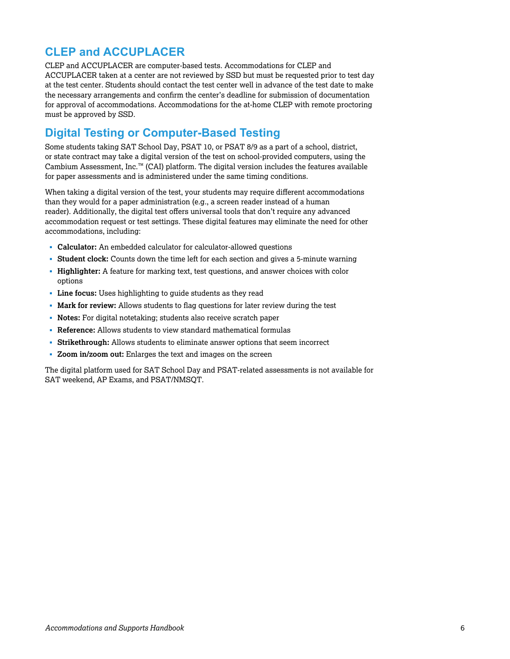# **CLEP and ACCUPLACER**

CLEP and ACCUPLACER are computer-based tests. Accommodations for CLEP and ACCUPLACER taken at a center are not reviewed by SSD but must be requested prior to test day at the test center. Students should contact the test center well in advance of the test date to make the necessary arrangements and confirm the center's deadline for submission of documentation for approval of accommodations. Accommodations for the at-home CLEP with remote proctoring must be approved by SSD.

# **Digital Testing or Computer-Based Testing**

Some students taking SAT School Day, PSAT 10, or PSAT 8/9 as a part of a school, district, or state contract may take a digital version of the test on school-provided computers, using the Cambium Assessment, Inc.™ (CAI) platform. The digital version includes the features available for paper assessments and is administered under the same timing conditions.

When taking a digital version of the test, your students may require different accommodations than they would for a paper administration (e.g., a screen reader instead of a human reader). Additionally, the digital test offers universal tools that don't require any advanced accommodation request or test settings. These digital features may eliminate the need for other accommodations, including:

- § **Calculator:** An embedded calculator for calculator-allowed questions
- § **Student clock:** Counts down the time left for each section and gives a 5-minute warning
- § **Highlighter:** A feature for marking text, test questions, and answer choices with color options
- § **Line focus:** Uses highlighting to guide students as they read
- § **Mark for review:** Allows students to flag questions for later review during the test
- § **Notes:** For digital notetaking; students also receive scratch paper
- § **Reference:** Allows students to view standard mathematical formulas
- § **Strikethrough:** Allows students to eliminate answer options that seem incorrect
- § **Zoom in/zoom out:** Enlarges the text and images on the screen

The digital platform used for SAT School Day and PSAT-related assessments is not available for SAT weekend, AP Exams, and PSAT/NMSQT.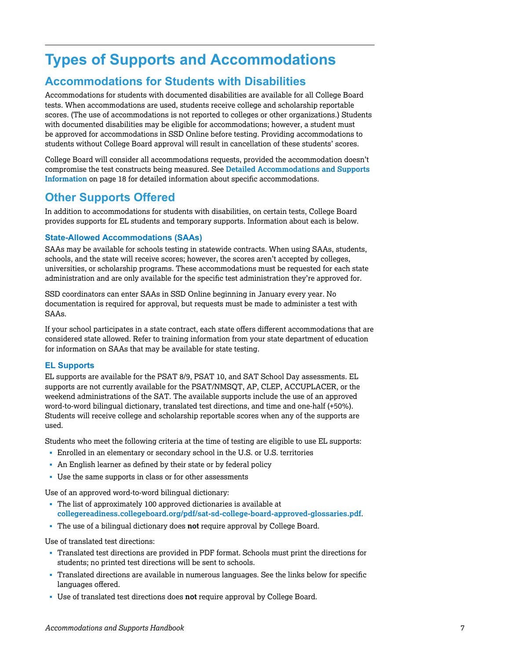# <span id="page-6-0"></span>**Types of Supports and Accommodations**

# **Accommodations for Students with Disabilities**

Accommodations for students with documented disabilities are available for all College Board tests. When accommodations are used, students receive college and scholarship reportable scores. (The use of accommodations is not reported to colleges or other organizations.) Students with documented disabilities may be eligible for accommodations; however, a student must be approved for accommodations in SSD Online before testing. Providing accommodations to students without College Board approval will result in cancellation of these students' scores.

College Board will consider all accommodations requests, provided the accommodation doesn't compromise the test constructs being measured. See **Detailed Accommodations and Supports Information** [on page 18 for detailed information about specific accommodations.](#page-17-0)

## **Other Supports Offered**

In addition to accommodations for students with disabilities, on certain tests, College Board provides supports for EL students and temporary supports. Information about each is below.

#### **State-Allowed Accommodations (SAAs)**

SAAs may be available for schools testing in statewide contracts. When using SAAs, students, schools, and the state will receive scores; however, the scores aren't accepted by colleges, universities, or scholarship programs. These accommodations must be requested for each state administration and are only available for the specific test administration they're approved for.

SSD coordinators can enter SAAs in SSD Online beginning in January every year. No documentation is required for approval, but requests must be made to administer a test with SAAs.

If your school participates in a state contract, each state offers different accommodations that are considered state allowed. Refer to training information from your state department of education for information on SAAs that may be available for state testing.

#### **EL Supports**

EL supports are available for the PSAT 8/9, PSAT 10, and SAT School Day assessments. EL supports are not currently available for the PSAT/NMSQT, AP, CLEP, ACCUPLACER, or the weekend administrations of the SAT. The available supports include the use of an approved word-to-word bilingual dictionary, translated test directions, and time and one-half (+50%). Students will receive college and scholarship reportable scores when any of the supports are used.

Students who meet the following criteria at the time of testing are eligible to use EL supports:

- § Enrolled in an elementary or secondary school in the U.S. or U.S. territories
- An English learner as defined by their state or by federal policy
- § Use the same supports in class or for other assessments

Use of an approved word-to-word bilingual dictionary:

- § The list of approximately 100 approved dictionaries is available at **[collegereadiness.collegeboard.org/pdf/sat-sd-college-board-approved-glossaries.pdf](https://collegereadiness.collegeboard.org/pdf/sat-sd-college-board-approved-glossaries.pdf)**.
- § The use of a bilingual dictionary does **not** require approval by College Board.

Use of translated test directions:

- § Translated test directions are provided in PDF format. Schools must print the directions for students; no printed test directions will be sent to schools.
- § Translated directions are available in numerous languages. See the links below for specific languages offered.
- § Use of translated test directions does **not** require approval by College Board.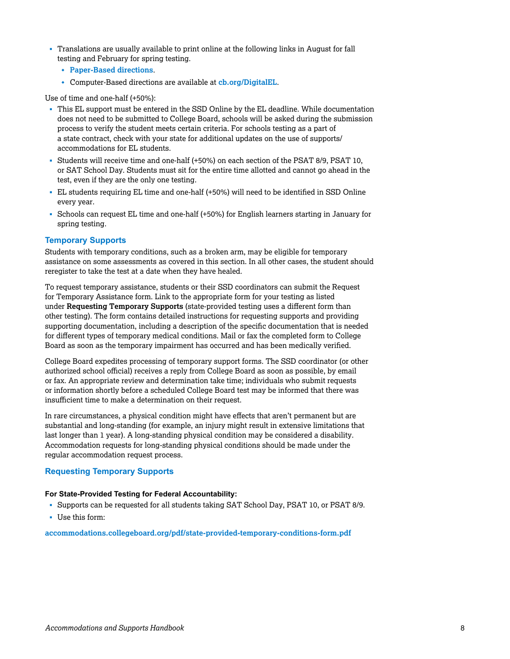- § Translations are usually available to print online at the following links in August for fall testing and February for spring testing.
	- w **[Paper-Based directions](https://collegereadiness.collegeboard.org/educators/k-12/english-learner-supports)**.
	- w Computer-Based directions are available at **[cb.org/DigitalEL](https://digitaltesting.collegeboard.org/test-day-planning/testing-supports-english-learners)**.

Use of time and one-half (+50%):

- § This EL support must be entered in the SSD Online by the EL deadline. While documentation does not need to be submitted to College Board, schools will be asked during the submission process to verify the student meets certain criteria. For schools testing as a part of a state contract, check with your state for additional updates on the use of supports/ accommodations for EL students.
- § Students will receive time and one-half (+50%) on each section of the PSAT 8/9, PSAT 10, or SAT School Day. Students must sit for the entire time allotted and cannot go ahead in the test, even if they are the only one testing.
- § EL students requiring EL time and one-half (+50%) will need to be identified in SSD Online every year.
- § Schools can request EL time and one-half (+50%) for English learners starting in January for spring testing.

#### **Temporary Supports**

Students with temporary conditions, such as a broken arm, may be eligible for temporary assistance on some assessments as covered in this section. In all other cases, the student should reregister to take the test at a date when they have healed.

To request temporary assistance, students or their SSD coordinators can submit the Request for Temporary Assistance form. Link to the appropriate form for your testing as listed under **Requesting Temporary Supports** (state-provided testing uses a different form than other testing). The form contains detailed instructions for requesting supports and providing supporting documentation, including a description of the specific documentation that is needed for different types of temporary medical conditions. Mail or fax the completed form to College Board as soon as the temporary impairment has occurred and has been medically verified.

College Board expedites processing of temporary support forms. The SSD coordinator (or other authorized school official) receives a reply from College Board as soon as possible, by email or fax. An appropriate review and determination take time; individuals who submit requests or information shortly before a scheduled College Board test may be informed that there was insufficient time to make a determination on their request.

In rare circumstances, a physical condition might have effects that aren't permanent but are substantial and long-standing (for example, an injury might result in extensive limitations that last longer than 1 year). A long-standing physical condition may be considered a disability. Accommodation requests for long-standing physical conditions should be made under the regular accommodation request process.

#### **Requesting Temporary Supports**

#### **For State-Provided Testing for Federal Accountability:**

- § Supports can be requested for all students taking SAT School Day, PSAT 10, or PSAT 8/9.
- § Use this form:

**[accommodations.collegeboard.org/pdf/state-provided-temporary-conditions-form.pdf](http://accommodations.collegeboard.org/pdf/state-provided-temporary-conditions-form.pdf)**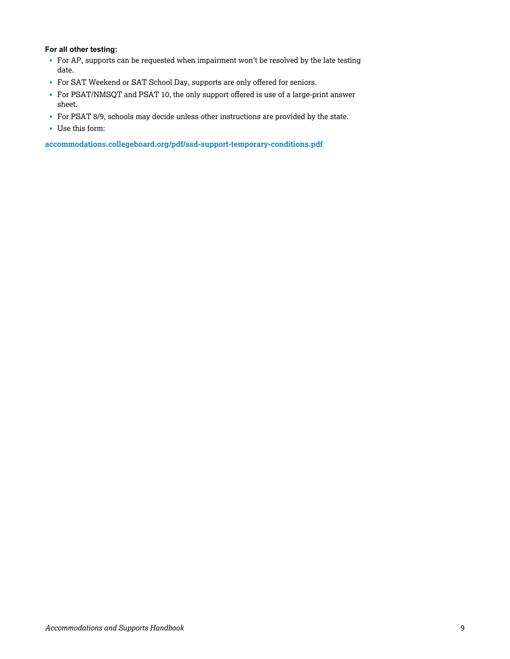#### **For all other testing:**

- For AP, supports can be requested when impairment won't be resolved by the late testing date.
- § For SAT Weekend or SAT School Day, supports are only offered for seniors.
- § For PSAT/NMSQT and PSAT 10, the only support offered is use of a large-print answer sheet.
- § For PSAT 8/9, schools may decide unless other instructions are provided by the state.
- § Use this form:

**[accommodations.collegeboard.org/pdf/ssd-support-temporary-conditions.pdf](https://accommodations.collegeboard.org/pdf/ssd-support-temporary-conditions.pdf)**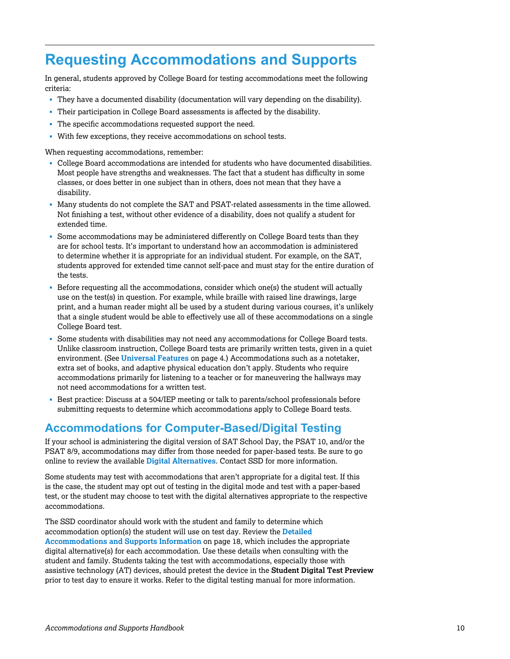# <span id="page-9-0"></span>**Requesting Accommodations and Supports**

In general, students approved by College Board for testing accommodations meet the following criteria:

- § They have a documented disability (documentation will vary depending on the disability).
- § Their participation in College Board assessments is affected by the disability.
- § The specific accommodations requested support the need.
- With few exceptions, they receive accommodations on school tests.

When requesting accommodations, remember:

- § College Board accommodations are intended for students who have documented disabilities. Most people have strengths and weaknesses. The fact that a student has difficulty in some classes, or does better in one subject than in others, does not mean that they have a disability.
- § Many students do not complete the SAT and PSAT-related assessments in the time allowed. Not finishing a test, without other evidence of a disability, does not qualify a student for extended time.
- § Some accommodations may be administered differently on College Board tests than they are for school tests. It's important to understand how an accommodation is administered to determine whether it is appropriate for an individual student. For example, on the SAT, students approved for extended time cannot self-pace and must stay for the entire duration of the tests.
- § Before requesting all the accommodations, consider which one(s) the student will actually use on the test(s) in question. For example, while braille with raised line drawings, large print, and a human reader might all be used by a student during various courses, it's unlikely that a single student would be able to effectively use all of these accommodations on a single College Board test.
- § Some students with disabilities may not need any accommodations for College Board tests. Unlike classroom instruction, College Board tests are primarily written tests, given in a quiet environment. (See **[Universal Features](#page-3-0)** on page 4.) Accommodations such as a notetaker, extra set of books, and adaptive physical education don't apply. Students who require accommodations primarily for listening to a teacher or for maneuvering the hallways may not need accommodations for a written test.
- § Best practice: Discuss at a 504/IEP meeting or talk to parents/school professionals before submitting requests to determine which accommodations apply to College Board tests.

## **Accommodations for Computer-Based/Digital Testing**

If your school is administering the digital version of SAT School Day, the PSAT 10, and/or the PSAT 8/9, accommodations may differ from those needed for paper-based tests. Be sure to go online to review the available **[Digital Alternatives](https://digitaltesting.collegeboard.org/accommodations/types-of-digital-accommodations)**. Contact SSD for more information.

Some students may test with accommodations that aren't appropriate for a digital test. If this is the case, the student may opt out of testing in the digital mode and test with a paper-based test, or the student may choose to test with the digital alternatives appropriate to the respective accommodations.

The SSD coordinator should work with the student and family to determine which [accommodation option\(s\) the student will use on test day. Review the](#page-17-0) **Detailed Accommodations and Supports Information** on page 18, which includes the appropriate digital alternative(s) for each accommodation. Use these details when consulting with the student and family. Students taking the test with accommodations, especially those with assistive technology (AT) devices, should pretest the device in the **Student Digital Test Preview**  prior to test day to ensure it works. Refer to the digital testing manual for more information.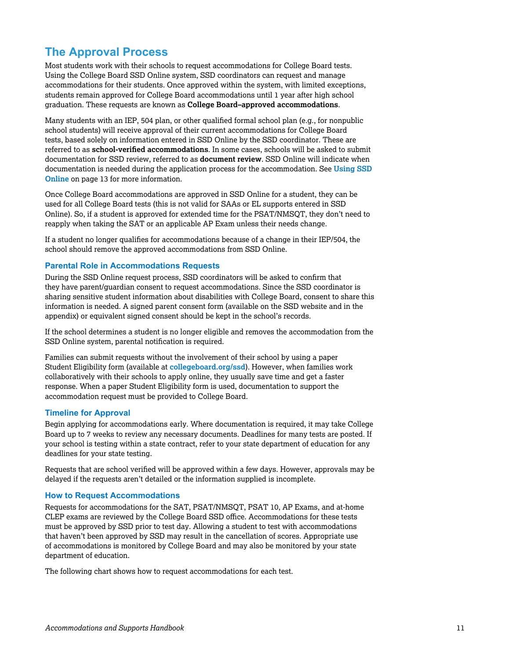# **The Approval Process**

Most students work with their schools to request accommodations for College Board tests. Using the College Board SSD Online system, SSD coordinators can request and manage accommodations for their students. Once approved within the system, with limited exceptions, students remain approved for College Board accommodations until 1 year after high school graduation. These requests are known as **College Board–approved accommodations**.

Many students with an IEP, 504 plan, or other qualified formal school plan (e.g., for nonpublic school students) will receive approval of their current accommodations for College Board tests, based solely on information entered in SSD Online by the SSD coordinator. These are referred to as **school-verified accommodations**. In some cases, schools will be asked to submit documentation for SSD review, referred to as **document review**. SSD Online will indicate when [documentation is needed during the application process for the accommodation. See](#page-12-0) **Using SSD Online** on page 13 for more information.

Once College Board accommodations are approved in SSD Online for a student, they can be used for all College Board tests (this is not valid for SAAs or EL supports entered in SSD Online). So, if a student is approved for extended time for the PSAT/NMSQT, they don't need to reapply when taking the SAT or an applicable AP Exam unless their needs change.

If a student no longer qualifies for accommodations because of a change in their IEP/504, the school should remove the approved accommodations from SSD Online.

#### **Parental Role in Accommodations Requests**

During the SSD Online request process, SSD coordinators will be asked to confirm that they have parent/guardian consent to request accommodations. Since the SSD coordinator is sharing sensitive student information about disabilities with College Board, consent to share this information is needed. A signed parent consent form (available on the SSD website and in the appendix) or equivalent signed consent should be kept in the school's records.

If the school determines a student is no longer eligible and removes the accommodation from the SSD Online system, parental notification is required.

Families can submit requests without the involvement of their school by using a paper Student Eligibility form (available at **[collegeboard.org/ssd](https://accommodations.collegeboard.org/)**). However, when families work collaboratively with their schools to apply online, they usually save time and get a faster response. When a paper Student Eligibility form is used, documentation to support the accommodation request must be provided to College Board.

#### **Timeline for Approval**

Begin applying for accommodations early. Where documentation is required, it may take College Board up to 7 weeks to review any necessary documents. Deadlines for many tests are posted. If your school is testing within a state contract, refer to your state department of education for any deadlines for your state testing.

Requests that are school verified will be approved within a few days. However, approvals may be delayed if the requests aren't detailed or the information supplied is incomplete.

#### **How to Request Accommodations**

Requests for accommodations for the SAT, PSAT/NMSQT, PSAT 10, AP Exams, and at-home CLEP exams are reviewed by the College Board SSD office. Accommodations for these tests must be approved by SSD prior to test day. Allowing a student to test with accommodations that haven't been approved by SSD may result in the cancellation of scores. Appropriate use of accommodations is monitored by College Board and may also be monitored by your state department of education.

The following chart shows how to request accommodations for each test.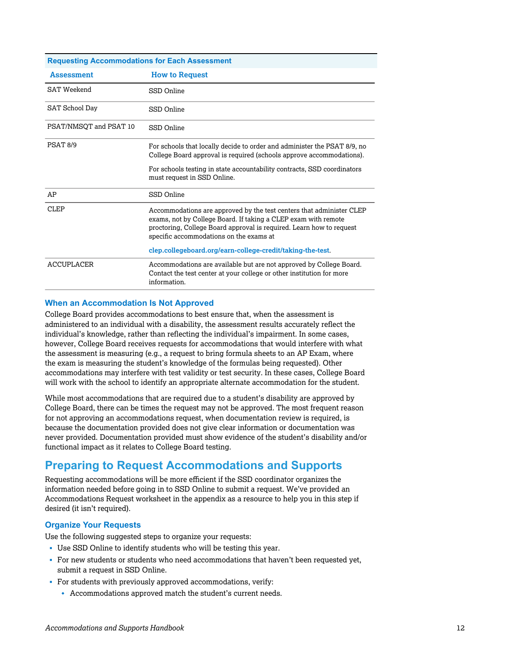| <b>Requesting Accommodations for Each Assessment</b> |                                                                                                                                                                                                                                                           |  |  |
|------------------------------------------------------|-----------------------------------------------------------------------------------------------------------------------------------------------------------------------------------------------------------------------------------------------------------|--|--|
| <b>Assessment</b>                                    | <b>How to Request</b>                                                                                                                                                                                                                                     |  |  |
| <b>SAT Weekend</b>                                   | SSD Online                                                                                                                                                                                                                                                |  |  |
| SAT School Day                                       | SSD Online                                                                                                                                                                                                                                                |  |  |
| PSAT/NMSOT and PSAT 10                               | SSD Online                                                                                                                                                                                                                                                |  |  |
| PSAT <sub>8/9</sub>                                  | For schools that locally decide to order and administer the PSAT 8/9, no<br>College Board approval is required (schools approve accommodations).                                                                                                          |  |  |
|                                                      | For schools testing in state accountability contracts, SSD coordinators<br>must request in SSD Online.                                                                                                                                                    |  |  |
| AP                                                   | SSD Online                                                                                                                                                                                                                                                |  |  |
| CLEP                                                 | Accommodations are approved by the test centers that administer CLEP<br>exams, not by College Board. If taking a CLEP exam with remote<br>proctoring, College Board approval is required. Learn how to request<br>specific accommodations on the exams at |  |  |
|                                                      | clep.collegeboard.org/earn-college-credit/taking-the-test.                                                                                                                                                                                                |  |  |
| <b>ACCUPLACER</b>                                    | Accommodations are available but are not approved by College Board.<br>Contact the test center at your college or other institution for more<br>information.                                                                                              |  |  |

#### **When an Accommodation Is Not Approved**

College Board provides accommodations to best ensure that, when the assessment is administered to an individual with a disability, the assessment results accurately reflect the individual's knowledge, rather than reflecting the individual's impairment. In some cases, however, College Board receives requests for accommodations that would interfere with what the assessment is measuring (e.g., a request to bring formula sheets to an AP Exam, where the exam is measuring the student's knowledge of the formulas being requested). Other accommodations may interfere with test validity or test security. In these cases, College Board will work with the school to identify an appropriate alternate accommodation for the student.

While most accommodations that are required due to a student's disability are approved by College Board, there can be times the request may not be approved. The most frequent reason for not approving an accommodations request, when documentation review is required, is because the documentation provided does not give clear information or documentation was never provided. Documentation provided must show evidence of the student's disability and/or functional impact as it relates to College Board testing.

## **Preparing to Request Accommodations and Supports**

Requesting accommodations will be more efficient if the SSD coordinator organizes the information needed before going in to SSD Online to submit a request. We've provided an Accommodations Request worksheet in the appendix as a resource to help you in this step if desired (it isn't required).

#### **Organize Your Requests**

Use the following suggested steps to organize your requests:

- § Use SSD Online to identify students who will be testing this year.
- For new students or students who need accommodations that haven't been requested yet, submit a request in SSD Online.
- For students with previously approved accommodations, verify:
	- $\bullet$  Accommodations approved match the student's current needs.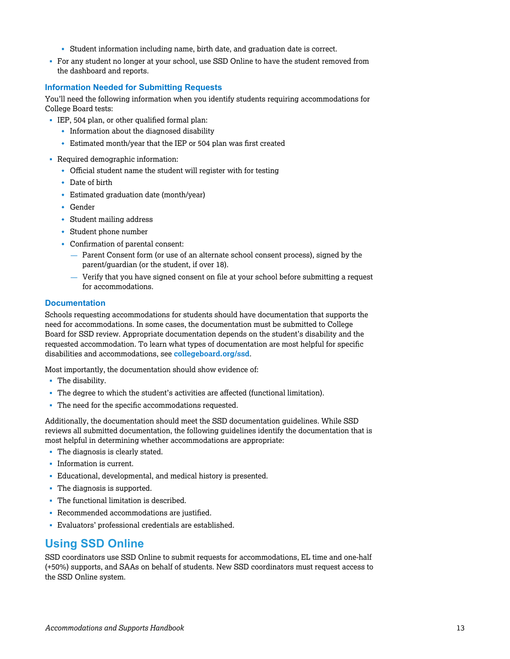- Student information including name, birth date, and graduation date is correct.
- <span id="page-12-0"></span>• For any student no longer at your school, use SSD Online to have the student removed from the dashboard and reports.

#### **Information Needed for Submitting Requests**

You'll need the following information when you identify students requiring accommodations for College Board tests:

- § IEP, 504 plan, or other qualified formal plan:
	- $\cdot$  Information about the diagnosed disability
	- $\cdot$  Estimated month/year that the IEP or 504 plan was first created
- § Required demographic information:
	- $\bullet$  Official student name the student will register with for testing
	- $\cdot$  Date of birth
	- Estimated graduation date (month/year)
	- $\cdot$  Gender
	- $\cdot$  Student mailing address
	- $\cdot$  Student phone number
	- $\cdot$  Confirmation of parental consent:
		- Parent Consent form (or use of an alternate school consent process), signed by the parent/guardian (or the student, if over 18).
		- Verify that you have signed consent on file at your school before submitting a request for accommodations.

#### **Documentation**

Schools requesting accommodations for students should have documentation that supports the need for accommodations. In some cases, the documentation must be submitted to College Board for SSD review. Appropriate documentation depends on the student's disability and the requested accommodation. To learn what types of documentation are most helpful for specific disabilities and accommodations, see **[collegeboard.org/ssd](https://accommodations.collegeboard.org/)**.

Most importantly, the documentation should show evidence of:

- The disability.
- § The degree to which the student's activities are affected (functional limitation).
- § The need for the specific accommodations requested.

Additionally, the documentation should meet the SSD documentation guidelines. While SSD reviews all submitted documentation, the following guidelines identify the documentation that is most helpful in determining whether accommodations are appropriate:

- The diagnosis is clearly stated.
- Information is current.
- § Educational, developmental, and medical history is presented.
- The diagnosis is supported.
- § The functional limitation is described.
- § Recommended accommodations are justified.
- § Evaluators' professional credentials are established.

# **Using SSD Online**

SSD coordinators use SSD Online to submit requests for accommodations, EL time and one-half (+50%) supports, and SAAs on behalf of students. New SSD coordinators must request access to the SSD Online system.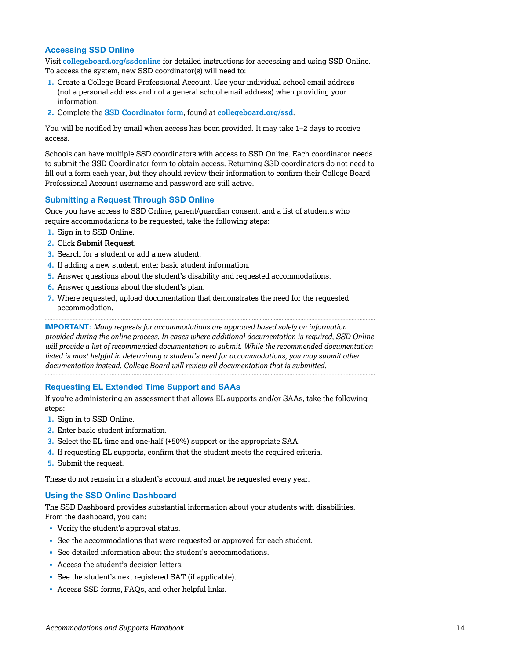#### **Accessing SSD Online**

Visit **[collegeboard.org/ssdonline](https://accommodations.collegeboard.org/ssd-online)** for detailed instructions for accessing and using SSD Online. To access the system, new SSD coordinator(s) will need to:

- **1.** Create a College Board Professional Account. Use your individual school email address (not a personal address and not a general school email address) when providing your information.
- **2.** Complete the **[SSD Coordinator form](https://accommodations.collegeboard.org/pdf/ssd-coordinator.pdf)**, found at **[collegeboard.org/ssd](https://accommodations.collegeboard.org/)**.

You will be notified by email when access has been provided. It may take 1–2 days to receive access.

Schools can have multiple SSD coordinators with access to SSD Online. Each coordinator needs to submit the SSD Coordinator form to obtain access. Returning SSD coordinators do not need to fill out a form each year, but they should review their information to confirm their College Board Professional Account username and password are still active.

#### **Submitting a Request Through SSD Online**

Once you have access to SSD Online, parent/guardian consent, and a list of students who require accommodations to be requested, take the following steps:

- **1.** Sign in to SSD Online.
- **2.** Click **Submit Request**.
- **3.** Search for a student or add a new student.
- **4.** If adding a new student, enter basic student information.
- **5.** Answer questions about the student's disability and requested accommodations.
- **6.** Answer questions about the student's plan.
- **7.** Where requested, upload documentation that demonstrates the need for the requested accommodation.

**IMPORTANT:** *Many requests for accommodations are approved based solely on information provided during the online process. In cases where additional documentation is required, SSD Online will provide a list of recommended documentation to submit. While the recommended documentation listed is most helpful in determining a student's need for accommodations, you may submit other documentation instead. College Board will review all documentation that is submitted.*

#### **Requesting EL Extended Time Support and SAAs**

If you're administering an assessment that allows EL supports and/or SAAs, take the following steps:

- **1.** Sign in to SSD Online.
- **2.** Enter basic student information.
- **3.** Select the EL time and one-half (+50%) support or the appropriate SAA.
- **4.** If requesting EL supports, confirm that the student meets the required criteria.
- **5.** Submit the request.

These do not remain in a student's account and must be requested every year.

#### **Using the SSD Online Dashboard**

The SSD Dashboard provides substantial information about your students with disabilities. From the dashboard, you can:

- Verify the student's approval status.
- See the accommodations that were requested or approved for each student.
- See detailed information about the student's accommodations.
- § Access the student's decision letters.
- § See the student's next registered SAT (if applicable).
- § Access SSD forms, FAQs, and other helpful links.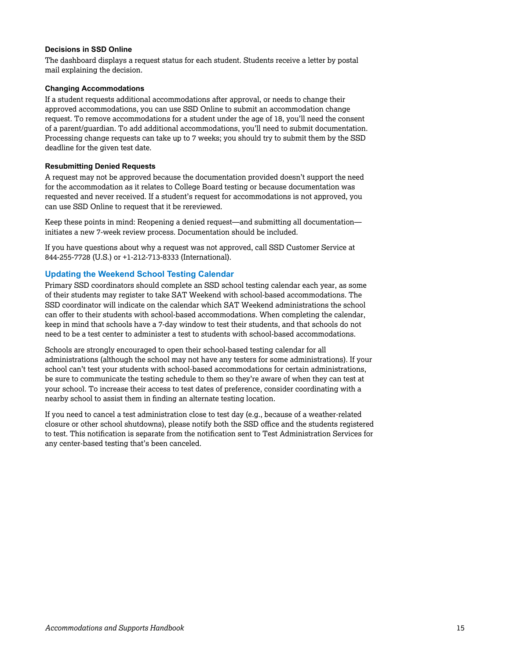#### **Decisions in SSD Online**

The dashboard displays a request status for each student. Students receive a letter by postal mail explaining the decision.

#### **Changing Accommodations**

If a student requests additional accommodations after approval, or needs to change their approved accommodations, you can use SSD Online to submit an accommodation change request. To remove accommodations for a student under the age of 18, you'll need the consent of a parent/guardian. To add additional accommodations, you'll need to submit documentation. Processing change requests can take up to 7 weeks; you should try to submit them by the SSD deadline for the given test date.

#### **Resubmitting Denied Requests**

A request may not be approved because the documentation provided doesn't support the need for the accommodation as it relates to College Board testing or because documentation was requested and never received. If a student's request for accommodations is not approved, you can use SSD Online to request that it be rereviewed.

Keep these points in mind: Reopening a denied request—and submitting all documentation initiates a new 7-week review process. Documentation should be included.

If you have questions about why a request was not approved, call SSD Customer Service at 844-255-7728 (U.S.) or +1-212-713-8333 (International).

#### **Updating the Weekend School Testing Calendar**

Primary SSD coordinators should complete an SSD school testing calendar each year, as some of their students may register to take SAT Weekend with school-based accommodations. The SSD coordinator will indicate on the calendar which SAT Weekend administrations the school can offer to their students with school-based accommodations. When completing the calendar, keep in mind that schools have a 7-day window to test their students, and that schools do not need to be a test center to administer a test to students with school-based accommodations.

Schools are strongly encouraged to open their school-based testing calendar for all administrations (although the school may not have any testers for some administrations). If your school can't test your students with school-based accommodations for certain administrations, be sure to communicate the testing schedule to them so they're aware of when they can test at your school. To increase their access to test dates of preference, consider coordinating with a nearby school to assist them in finding an alternate testing location.

If you need to cancel a test administration close to test day (e.g., because of a weather-related closure or other school shutdowns), please notify both the SSD office and the students registered to test. This notification is separate from the notification sent to Test Administration Services for any center-based testing that's been canceled.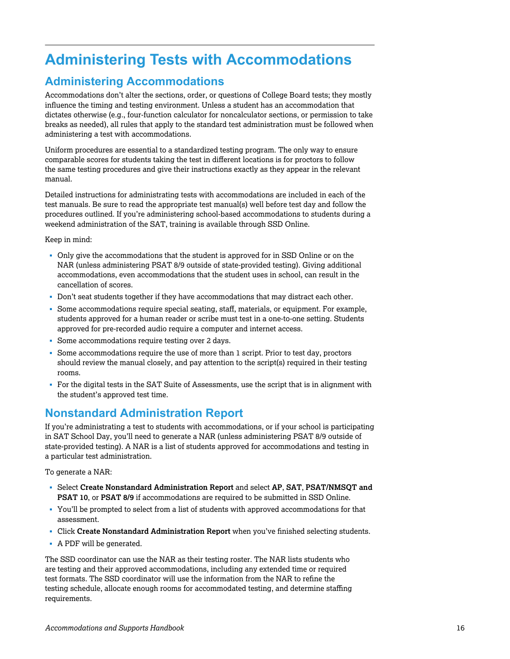# <span id="page-15-0"></span>**Administering Tests with Accommodations**

# **Administering Accommodations**

Accommodations don't alter the sections, order, or questions of College Board tests; they mostly influence the timing and testing environment. Unless a student has an accommodation that dictates otherwise (e.g., four-function calculator for noncalculator sections, or permission to take breaks as needed), all rules that apply to the standard test administration must be followed when administering a test with accommodations.

Uniform procedures are essential to a standardized testing program. The only way to ensure comparable scores for students taking the test in different locations is for proctors to follow the same testing procedures and give their instructions exactly as they appear in the relevant manual.

Detailed instructions for administrating tests with accommodations are included in each of the test manuals. Be sure to read the appropriate test manual(s) well before test day and follow the procedures outlined. If you're administering school-based accommodations to students during a weekend administration of the SAT, training is available through SSD Online.

Keep in mind:

- Only give the accommodations that the student is approved for in SSD Online or on the NAR (unless administering PSAT 8/9 outside of state-provided testing). Giving additional accommodations, even accommodations that the student uses in school, can result in the cancellation of scores.
- § Don't seat students together if they have accommodations that may distract each other.
- § Some accommodations require special seating, staff, materials, or equipment. For example, students approved for a human reader or scribe must test in a one-to-one setting. Students approved for pre-recorded audio require a computer and internet access.
- § Some accommodations require testing over 2 days.
- § Some accommodations require the use of more than 1 script. Prior to test day, proctors should review the manual closely, and pay attention to the script(s) required in their testing rooms.
- § For the digital tests in the SAT Suite of Assessments, use the script that is in alignment with the student's approved test time.

# **Nonstandard Administration Report**

If you're administrating a test to students with accommodations, or if your school is participating in SAT School Day, you'll need to generate a NAR (unless administering PSAT 8/9 outside of state-provided testing). A NAR is a list of students approved for accommodations and testing in a particular test administration.

To generate a NAR:

- § Select **Create Nonstandard Administration Report** and select **AP**, **SAT**, **PSAT/NMSQT and PSAT 10**, or **PSAT 8/9** if accommodations are required to be submitted in SSD Online.
- § You'll be prompted to select from a list of students with approved accommodations for that assessment.
- § Click **Create Nonstandard Administration Report** when you've finished selecting students.
- § A PDF will be generated.

The SSD coordinator can use the NAR as their testing roster. The NAR lists students who are testing and their approved accommodations, including any extended time or required test formats. The SSD coordinator will use the information from the NAR to refine the testing schedule, allocate enough rooms for accommodated testing, and determine staffing requirements.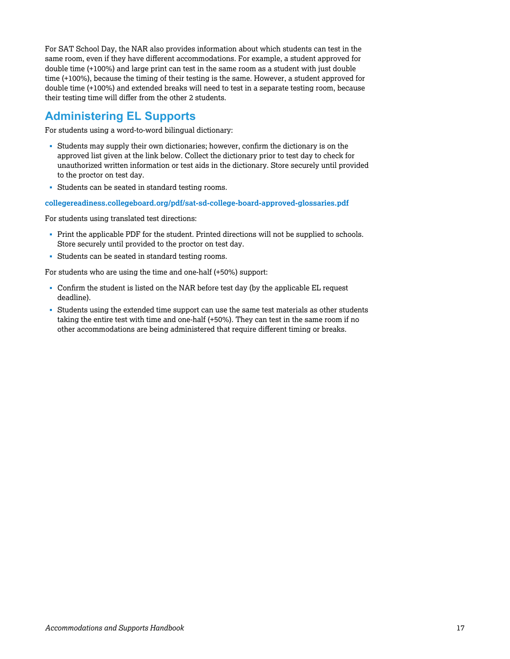For SAT School Day, the NAR also provides information about which students can test in the same room, even if they have different accommodations. For example, a student approved for double time (+100%) and large print can test in the same room as a student with just double time (+100%), because the timing of their testing is the same. However, a student approved for double time (+100%) and extended breaks will need to test in a separate testing room, because their testing time will differ from the other 2 students.

# **Administering EL Supports**

For students using a word-to-word bilingual dictionary:

- Students may supply their own dictionaries; however, confirm the dictionary is on the approved list given at the link below. Collect the dictionary prior to test day to check for unauthorized written information or test aids in the dictionary. Store securely until provided to the proctor on test day.
- § Students can be seated in standard testing rooms.

**[collegereadiness.collegeboard.org/pdf/sat-sd-college-board-approved-glossaries.pdf](https://accommodations.collegeboard.org/pdf/state-provided-temporary-conditions-form.pdf)**

For students using translated test directions:

- § Print the applicable PDF for the student. Printed directions will not be supplied to schools. Store securely until provided to the proctor on test day.
- § Students can be seated in standard testing rooms.

For students who are using the time and one-half (+50%) support:

- Confirm the student is listed on the NAR before test day (by the applicable EL request deadline).
- § Students using the extended time support can use the same test materials as other students taking the entire test with time and one-half (+50%). They can test in the same room if no other accommodations are being administered that require different timing or breaks.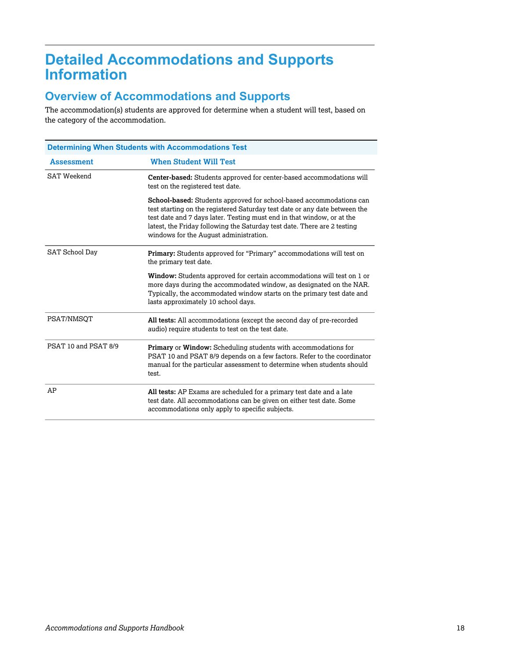# <span id="page-17-0"></span>**Detailed Accommodations and Supports Information**

# **Overview of Accommodations and Supports**

The accommodation(s) students are approved for determine when a student will test, based on the category of the accommodation.

| <b>Determining When Students with Accommodations Test</b> |                                                                                                                                                                                                                                                                                                                                                   |  |  |
|-----------------------------------------------------------|---------------------------------------------------------------------------------------------------------------------------------------------------------------------------------------------------------------------------------------------------------------------------------------------------------------------------------------------------|--|--|
| <b>Assessment</b>                                         | <b>When Student Will Test</b>                                                                                                                                                                                                                                                                                                                     |  |  |
| SAT Weekend                                               | Center-based: Students approved for center-based accommodations will<br>test on the registered test date.                                                                                                                                                                                                                                         |  |  |
|                                                           | School-based: Students approved for school-based accommodations can<br>test starting on the registered Saturday test date or any date between the<br>test date and 7 days later. Testing must end in that window, or at the<br>latest, the Friday following the Saturday test date. There are 2 testing<br>windows for the August administration. |  |  |
| SAT School Day                                            | Primary: Students approved for "Primary" accommodations will test on<br>the primary test date.                                                                                                                                                                                                                                                    |  |  |
|                                                           | Window: Students approved for certain accommodations will test on 1 or<br>more days during the accommodated window, as designated on the NAR.<br>Typically, the accommodated window starts on the primary test date and<br>lasts approximately 10 school days.                                                                                    |  |  |
| PSAT/NMSOT                                                | All tests: All accommodations (except the second day of pre-recorded<br>audio) require students to test on the test date.                                                                                                                                                                                                                         |  |  |
| PSAT 10 and PSAT 8/9                                      | Primary or Window: Scheduling students with accommodations for<br>PSAT 10 and PSAT 8/9 depends on a few factors. Refer to the coordinator<br>manual for the particular assessment to determine when students should<br>test.                                                                                                                      |  |  |
| AP                                                        | All tests: AP Exams are scheduled for a primary test date and a late<br>test date. All accommodations can be given on either test date. Some<br>accommodations only apply to specific subjects.                                                                                                                                                   |  |  |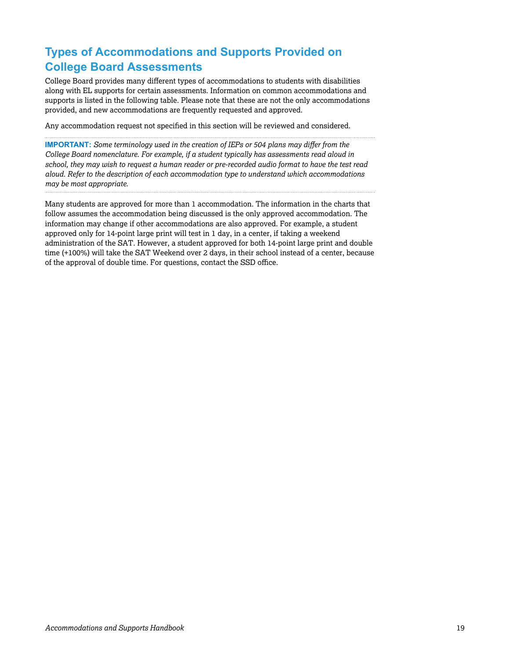# **Types of Accommodations and Supports Provided on College Board Assessments**

College Board provides many different types of accommodations to students with disabilities along with EL supports for certain assessments. Information on common accommodations and supports is listed in the following table. Please note that these are not the only accommodations provided, and new accommodations are frequently requested and approved.

Any accommodation request not specified in this section will be reviewed and considered.

**IMPORTANT:** *Some terminology used in the creation of IEPs or 504 plans may differ from the College Board nomenclature. For example, if a student typically has assessments read aloud in school, they may wish to request a human reader or pre-recorded audio format to have the test read aloud. Refer to the description of each accommodation type to understand which accommodations may be most appropriate.*

Many students are approved for more than 1 accommodation. The information in the charts that follow assumes the accommodation being discussed is the only approved accommodation. The information may change if other accommodations are also approved. For example, a student approved only for 14-point large print will test in 1 day, in a center, if taking a weekend administration of the SAT. However, a student approved for both 14-point large print and double time (+100%) will take the SAT Weekend over 2 days, in their school instead of a center, because of the approval of double time. For questions, contact the SSD office.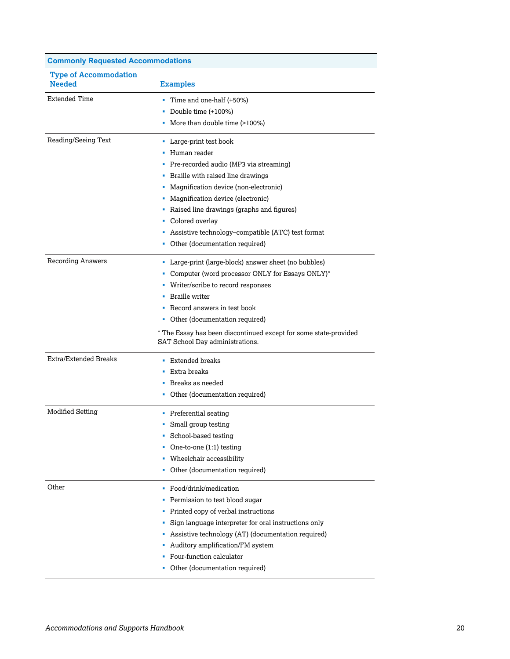| <b>Commonly Requested Accommodations</b>      |                                                                                                                                                                                                                                                                                                                                                                               |
|-----------------------------------------------|-------------------------------------------------------------------------------------------------------------------------------------------------------------------------------------------------------------------------------------------------------------------------------------------------------------------------------------------------------------------------------|
| <b>Type of Accommodation</b><br><b>Needed</b> | <b>Examples</b>                                                                                                                                                                                                                                                                                                                                                               |
| <b>Extended Time</b>                          | Time and one-half (+50%)<br>Double time (+100%)<br>• More than double time (>100%)                                                                                                                                                                                                                                                                                            |
| Reading/Seeing Text                           | • Large-print test book<br>• Human reader<br>• Pre-recorded audio (MP3 via streaming)<br>• Braille with raised line drawings<br>• Magnification device (non-electronic)<br>• Magnification device (electronic)<br>• Raised line drawings (graphs and figures)<br>• Colored overlay<br>• Assistive technology-compatible (ATC) test format<br>• Other (documentation required) |
| <b>Recording Answers</b>                      | • Large-print (large-block) answer sheet (no bubbles)<br>• Computer (word processor ONLY for Essays ONLY)*<br>• Writer/scribe to record responses<br>• Braille writer<br>• Record answers in test book<br>• Other (documentation required)<br>* The Essay has been discontinued except for some state-provided<br>SAT School Day administrations.                             |
| Extra/Extended Breaks                         | • Extended breaks<br>■ Extra breaks<br>• Breaks as needed<br>• Other (documentation required)                                                                                                                                                                                                                                                                                 |
| Modified Setting                              | • Preferential seating<br>• Small group testing<br>School-based testing<br>a,<br>One-to-one (1:1) testing<br>• Wheelchair accessibility<br>• Other (documentation required)                                                                                                                                                                                                   |
| Other                                         | • Food/drink/medication<br>• Permission to test blood sugar<br>• Printed copy of verbal instructions<br>Sign language interpreter for oral instructions only<br>٠<br>• Assistive technology (AT) (documentation required)<br>Auditory amplification/FM system<br>• Four-function calculator<br>• Other (documentation required)                                               |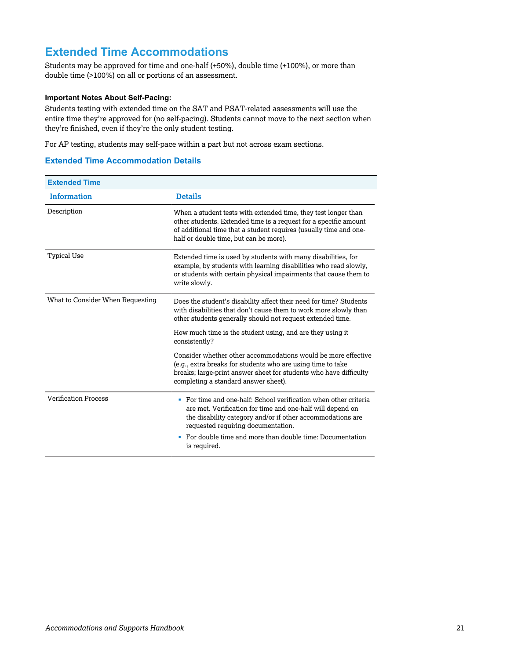# **Extended Time Accommodations**

Students may be approved for time and one-half (+50%), double time (+100%), or more than double time (>100%) on all or portions of an assessment.

#### **Important Notes About Self-Pacing:**

Students testing with extended time on the SAT and PSAT-related assessments will use the entire time they're approved for (no self-pacing). Students cannot move to the next section when they're finished, even if they're the only student testing.

For AP testing, students may self-pace within a part but not across exam sections.

#### **Extended Time Accommodation Details**

| <b>Extended Time</b>             |                                                                                                                                                                                                                                                   |
|----------------------------------|---------------------------------------------------------------------------------------------------------------------------------------------------------------------------------------------------------------------------------------------------|
| <b>Information</b>               | <b>Details</b>                                                                                                                                                                                                                                    |
| Description                      | When a student tests with extended time, they test longer than<br>other students. Extended time is a request for a specific amount<br>of additional time that a student requires (usually time and one-<br>half or double time, but can be more). |
| <b>Typical Use</b>               | Extended time is used by students with many disabilities, for<br>example, by students with learning disabilities who read slowly,<br>or students with certain physical impairments that cause them to<br>write slowly.                            |
| What to Consider When Requesting | Does the student's disability affect their need for time? Students<br>with disabilities that don't cause them to work more slowly than<br>other students generally should not request extended time.                                              |
|                                  | How much time is the student using, and are they using it<br>consistently?                                                                                                                                                                        |
|                                  | Consider whether other accommodations would be more effective<br>(e.g., extra breaks for students who are using time to take<br>breaks; large-print answer sheet for students who have difficulty<br>completing a standard answer sheet).         |
| <b>Verification Process</b>      | • For time and one-half: School verification when other criteria<br>are met. Verification for time and one-half will depend on<br>the disability category and/or if other accommodations are<br>requested requiring documentation.                |
|                                  | For double time and more than double time: Documentation<br>٠<br>is required.                                                                                                                                                                     |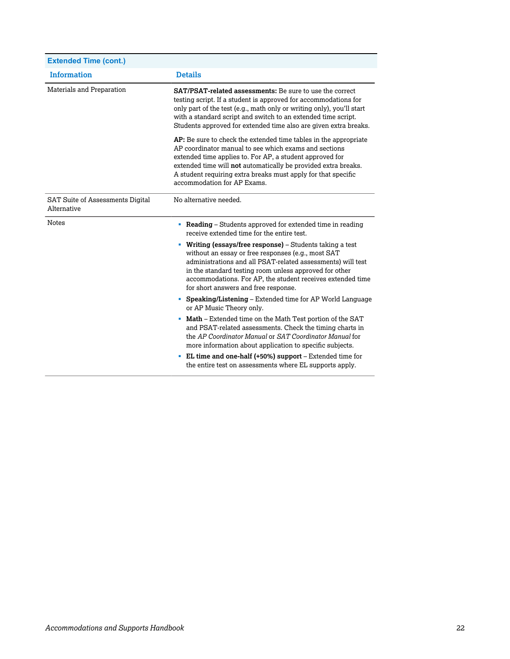| <b>Extended Time (cont.)</b>                           |                                                                                                                                                                                                                                                                                                                                                         |
|--------------------------------------------------------|---------------------------------------------------------------------------------------------------------------------------------------------------------------------------------------------------------------------------------------------------------------------------------------------------------------------------------------------------------|
| <b>Information</b>                                     | <b>Details</b>                                                                                                                                                                                                                                                                                                                                          |
| Materials and Preparation                              | <b>SAT/PSAT-related assessments:</b> Be sure to use the correct<br>testing script. If a student is approved for accommodations for<br>only part of the test (e.g., math only or writing only), you'll start<br>with a standard script and switch to an extended time script.<br>Students approved for extended time also are given extra breaks.        |
|                                                        | AP: Be sure to check the extended time tables in the appropriate<br>AP coordinator manual to see which exams and sections<br>extended time applies to. For AP, a student approved for<br>extended time will not automatically be provided extra breaks.<br>A student requiring extra breaks must apply for that specific<br>accommodation for AP Exams. |
| <b>SAT Suite of Assessments Digital</b><br>Alternative | No alternative needed.                                                                                                                                                                                                                                                                                                                                  |
| <b>Notes</b>                                           | • Reading – Students approved for extended time in reading<br>receive extended time for the entire test.                                                                                                                                                                                                                                                |
|                                                        | • Writing (essays/free response) – Students taking a test<br>without an essay or free responses (e.g., most SAT<br>administrations and all PSAT-related assessments) will test<br>in the standard testing room unless approved for other<br>accommodations. For AP, the student receives extended time<br>for short answers and free response.          |
|                                                        | • Speaking/Listening – Extended time for AP World Language<br>or AP Music Theory only.                                                                                                                                                                                                                                                                  |
|                                                        | • Math – Extended time on the Math Test portion of the SAT<br>and PSAT-related assessments. Check the timing charts in<br>the AP Coordinator Manual or SAT Coordinator Manual for<br>more information about application to specific subjects.                                                                                                           |
|                                                        | • EL time and one-half (+50%) support – Extended time for<br>the entire test on assessments where EL supports apply.                                                                                                                                                                                                                                    |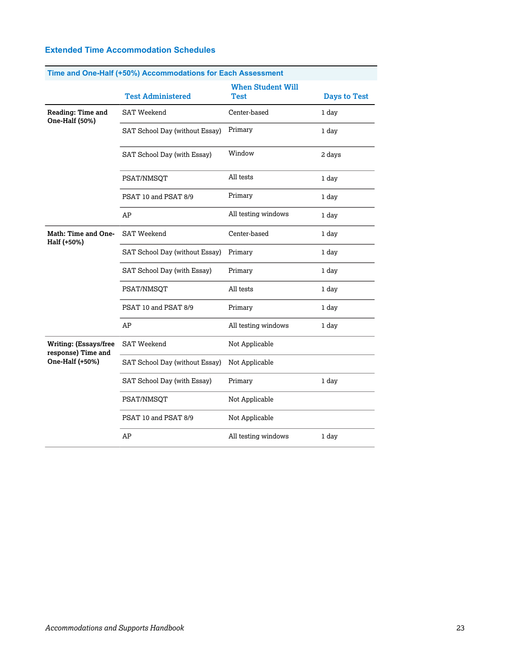|  |  | <b>Extended Time Accommodation Schedules</b> |  |
|--|--|----------------------------------------------|--|
|--|--|----------------------------------------------|--|

| Time and One-Half (+50%) Accommodations for Each Assessment |                                |                                  |                     |
|-------------------------------------------------------------|--------------------------------|----------------------------------|---------------------|
|                                                             | <b>Test Administered</b>       | <b>When Student Will</b><br>Test | <b>Days to Test</b> |
| Reading: Time and<br>One-Half (50%)                         | <b>SAT Weekend</b>             | Center-based                     | 1 day               |
|                                                             | SAT School Day (without Essay) | Primary                          | 1 day               |
|                                                             | SAT School Day (with Essay)    | Window                           | 2 days              |
|                                                             | PSAT/NMSQT                     | All tests                        | 1 day               |
|                                                             | PSAT 10 and PSAT 8/9           | Primary                          | 1 day               |
|                                                             | AP                             | All testing windows              | 1 day               |
| Math: Time and One-<br>Half (+50%)                          | <b>SAT Weekend</b>             | Center-based                     | 1 day               |
|                                                             | SAT School Day (without Essay) | Primary                          | 1 day               |
|                                                             | SAT School Day (with Essay)    | Primary                          | 1 day               |
|                                                             | PSAT/NMSQT                     | All tests                        | 1 day               |
|                                                             | PSAT 10 and PSAT 8/9           | Primary                          | 1 day               |
|                                                             | AP                             | All testing windows              | 1 day               |
| <b>Writing: (Essays/free</b><br>response) Time and          | <b>SAT Weekend</b>             | Not Applicable                   |                     |
| One-Half (+50%)                                             | SAT School Day (without Essay) | Not Applicable                   |                     |
|                                                             | SAT School Day (with Essay)    | Primary                          | 1 day               |
|                                                             | PSAT/NMSQT                     | Not Applicable                   |                     |
|                                                             | PSAT 10 and PSAT 8/9           | Not Applicable                   |                     |
|                                                             | AP                             | All testing windows              | 1 day               |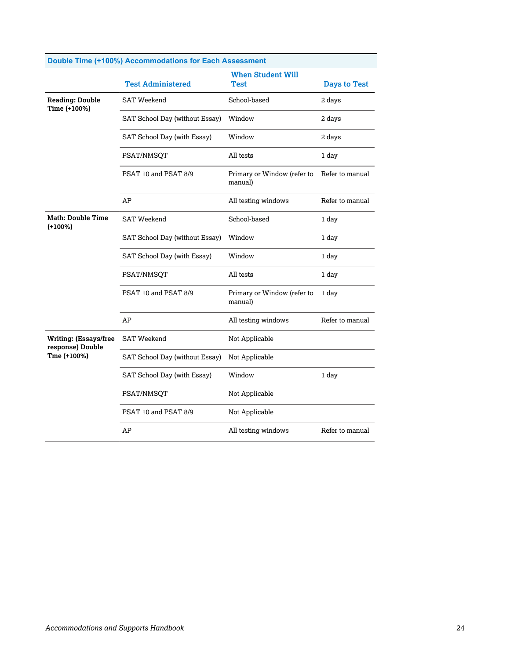|                                                  | <b>Test Administered</b>       | <b>When Student Will</b><br>Test       | <b>Days to Test</b> |
|--------------------------------------------------|--------------------------------|----------------------------------------|---------------------|
| <b>Reading: Double</b><br>Time (+100%)           | <b>SAT Weekend</b>             | School-based                           | 2 days              |
|                                                  | SAT School Day (without Essay) | Window                                 | 2 days              |
|                                                  | SAT School Day (with Essay)    | Window                                 | 2 days              |
|                                                  | PSAT/NMSOT                     | All tests                              | 1 day               |
|                                                  | PSAT 10 and PSAT 8/9           | Primary or Window (refer to<br>manual) | Refer to manual     |
|                                                  | AP                             | All testing windows                    | Refer to manual     |
| Math: Double Time<br>$(+100%)$                   | <b>SAT Weekend</b>             | School-based                           | 1 day               |
|                                                  | SAT School Day (without Essay) | Window                                 | 1 day               |
|                                                  | SAT School Day (with Essay)    | Window                                 | 1 day               |
|                                                  | PSAT/NMSOT                     | All tests                              | 1 day               |
|                                                  | PSAT 10 and PSAT 8/9           | Primary or Window (refer to<br>manual) | 1 day               |
|                                                  | AP                             | All testing windows                    | Refer to manual     |
| <b>Writing: (Essays/free</b><br>response) Double | <b>SAT Weekend</b>             | Not Applicable                         |                     |
| Tme (+100%)                                      | SAT School Day (without Essay) | Not Applicable                         |                     |
|                                                  | SAT School Day (with Essay)    | Window                                 | 1 day               |
|                                                  | PSAT/NMSQT                     | Not Applicable                         |                     |
|                                                  | PSAT 10 and PSAT 8/9           | Not Applicable                         |                     |
|                                                  | AP                             | All testing windows                    | Refer to manual     |

#### **Double Time (+100%) Accommodations for Each Assessment**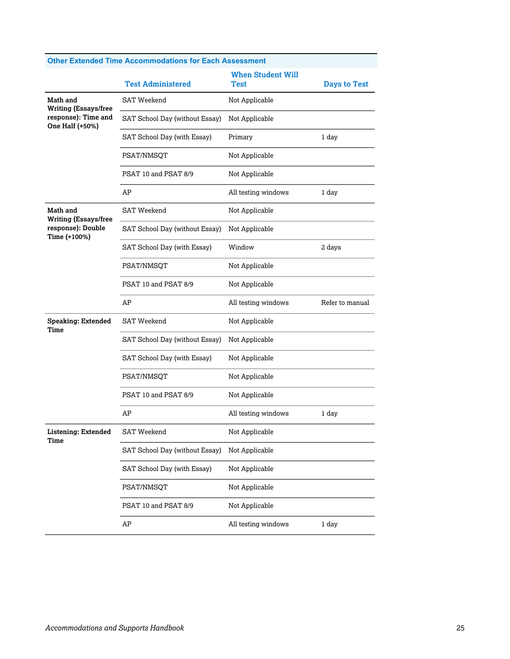|                                                                       | <b>Test Administered</b>       | <b>When Student Will</b><br>Test | <b>Days to Test</b> |
|-----------------------------------------------------------------------|--------------------------------|----------------------------------|---------------------|
| Math and                                                              | <b>SAT Weekend</b>             | Not Applicable                   |                     |
| <b>Writing (Essays/free</b><br>response): Time and<br>One Half (+50%) | SAT School Day (without Essay) | Not Applicable                   |                     |
|                                                                       | SAT School Day (with Essay)    | Primary                          | 1 day               |
|                                                                       | PSAT/NMSQT                     | Not Applicable                   |                     |
|                                                                       | PSAT 10 and PSAT 8/9           | Not Applicable                   |                     |
|                                                                       | AΡ                             | All testing windows              | 1 day               |
| Math and<br><b>Writing (Essays/free</b>                               | SAT Weekend                    | Not Applicable                   |                     |
| response): Double<br>Time (+100%)                                     | SAT School Day (without Essay) | Not Applicable                   |                     |
|                                                                       | SAT School Day (with Essay)    | Window                           | 2 days              |
|                                                                       | PSAT/NMSOT                     | Not Applicable                   |                     |
|                                                                       | PSAT 10 and PSAT 8/9           | Not Applicable                   |                     |
|                                                                       | AP                             | All testing windows              | Refer to manual     |
| <b>Speaking: Extended</b><br>Time                                     | <b>SAT Weekend</b>             | Not Applicable                   |                     |
|                                                                       | SAT School Day (without Essay) | Not Applicable                   |                     |
|                                                                       | SAT School Day (with Essay)    | Not Applicable                   |                     |
|                                                                       | PSAT/NMSQT                     | Not Applicable                   |                     |
|                                                                       | PSAT 10 and PSAT 8/9           | Not Applicable                   |                     |
|                                                                       | AP                             | All testing windows              | 1 day               |
| <b>Listening: Extended</b><br>Time                                    | <b>SAT Weekend</b>             | Not Applicable                   |                     |
|                                                                       | SAT School Day (without Essay) | Not Applicable                   |                     |
|                                                                       | SAT School Day (with Essay)    | Not Applicable                   |                     |
|                                                                       | PSAT/NMSQT                     | Not Applicable                   |                     |
|                                                                       | PSAT 10 and PSAT 8/9           | Not Applicable                   |                     |
|                                                                       | AP                             | All testing windows              | 1 day               |

#### **Other Extended Time Accommodations for Each Assessment**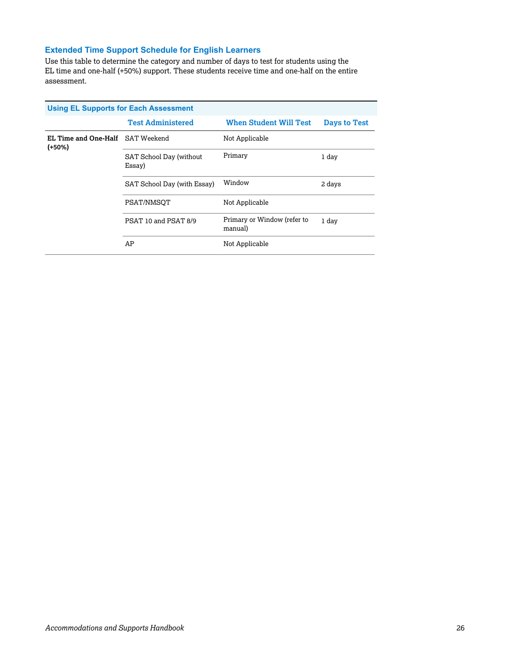#### **Extended Time Support Schedule for English Learners**

Use this table to determine the category and number of days to test for students using the EL time and one-half (+50%) support. These students receive time and one-half on the entire assessment.

| <b>Using EL Supports for Each Assessment</b>        |                                   |                                        |              |  |
|-----------------------------------------------------|-----------------------------------|----------------------------------------|--------------|--|
|                                                     | <b>Test Administered</b>          | <b>When Student Will Test</b>          | Days to Test |  |
| <b>EL Time and One-Half</b> SAT Weekend<br>$(+50%)$ |                                   | Not Applicable                         |              |  |
|                                                     | SAT School Day (without<br>Essay) | Primary                                | 1 day        |  |
|                                                     | SAT School Day (with Essay)       | Window                                 | 2 days       |  |
|                                                     | PSAT/NMSOT                        | Not Applicable                         |              |  |
|                                                     | PSAT 10 and PSAT 8/9              | Primary or Window (refer to<br>manual) | 1 day        |  |
|                                                     | AP                                | Not Applicable                         |              |  |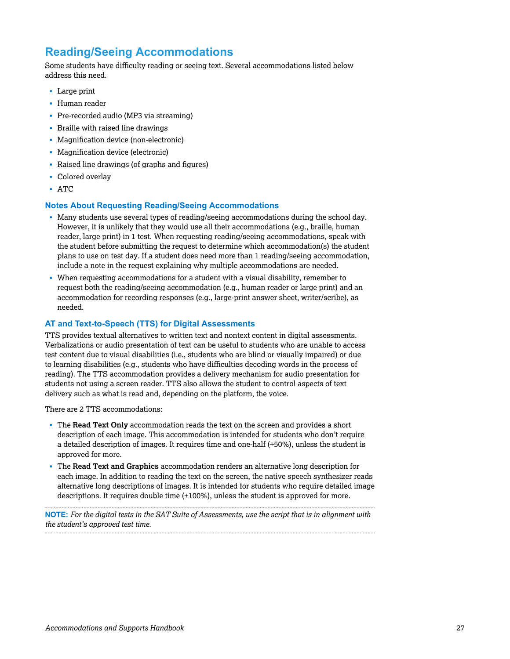# **Reading/Seeing Accommodations**

Some students have difficulty reading or seeing text. Several accommodations listed below address this need.

- § Large print
- § Human reader
- § Pre-recorded audio (MP3 via streaming)
- § Braille with raised line drawings
- § Magnification device (non-electronic)
- § Magnification device (electronic)
- § Raised line drawings (of graphs and figures)
- Colored overlay
- § ATC

#### **Notes About Requesting Reading/Seeing Accommodations**

- Many students use several types of reading/seeing accommodations during the school day. However, it is unlikely that they would use all their accommodations (e.g., braille, human reader, large print) in 1 test. When requesting reading/seeing accommodations, speak with the student before submitting the request to determine which accommodation(s) the student plans to use on test day. If a student does need more than 1 reading/seeing accommodation, include a note in the request explaining why multiple accommodations are needed.
- § When requesting accommodations for a student with a visual disability, remember to request both the reading/seeing accommodation (e.g., human reader or large print) and an accommodation for recording responses (e.g., large-print answer sheet, writer/scribe), as needed.

#### **AT and Text-to-Speech (TTS) for Digital Assessments**

TTS provides textual alternatives to written text and nontext content in digital assessments. Verbalizations or audio presentation of text can be useful to students who are unable to access test content due to visual disabilities (i.e., students who are blind or visually impaired) or due to learning disabilities (e.g., students who have difficulties decoding words in the process of reading). The TTS accommodation provides a delivery mechanism for audio presentation for students not using a screen reader. TTS also allows the student to control aspects of text delivery such as what is read and, depending on the platform, the voice.

There are 2 TTS accommodations:

- § The **Read Text Only** accommodation reads the text on the screen and provides a short description of each image. This accommodation is intended for students who don't require a detailed description of images. It requires time and one-half (+50%), unless the student is approved for more.
- § The **Read Text and Graphics** accommodation renders an alternative long description for each image. In addition to reading the text on the screen, the native speech synthesizer reads alternative long descriptions of images. It is intended for students who require detailed image descriptions. It requires double time (+100%), unless the student is approved for more.

**NOTE:** *For the digital tests in the SAT Suite of Assessments, use the script that is in alignment with the student's approved test time.*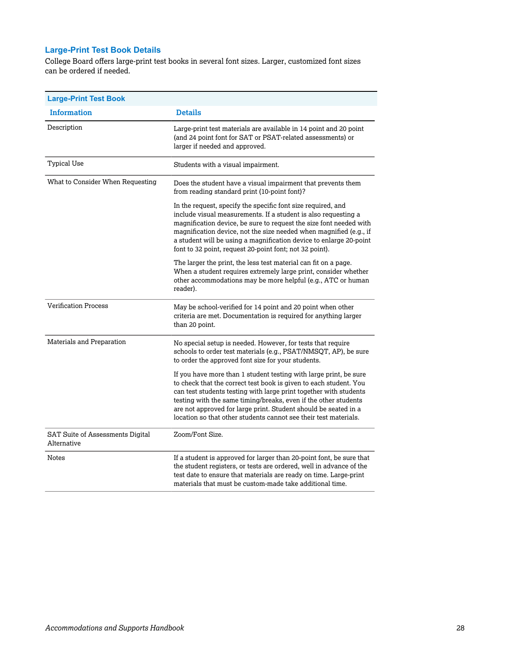## **Large-Print Test Book Details**

College Board offers large-print test books in several font sizes. Larger, customized font sizes can be ordered if needed.

| <b>Large-Print Test Book</b>                    |                                                                                                                                                                                                                                                                                                                                                                                                                       |
|-------------------------------------------------|-----------------------------------------------------------------------------------------------------------------------------------------------------------------------------------------------------------------------------------------------------------------------------------------------------------------------------------------------------------------------------------------------------------------------|
| <b>Information</b>                              | <b>Details</b>                                                                                                                                                                                                                                                                                                                                                                                                        |
| Description                                     | Large-print test materials are available in 14 point and 20 point<br>(and 24 point font for SAT or PSAT-related assessments) or<br>larger if needed and approved.                                                                                                                                                                                                                                                     |
| <b>Typical Use</b>                              | Students with a visual impairment.                                                                                                                                                                                                                                                                                                                                                                                    |
| What to Consider When Requesting                | Does the student have a visual impairment that prevents them<br>from reading standard print (10-point font)?                                                                                                                                                                                                                                                                                                          |
|                                                 | In the request, specify the specific font size required, and<br>include visual measurements. If a student is also requesting a<br>magnification device, be sure to request the size font needed with<br>magnification device, not the size needed when magnified (e.g., if<br>a student will be using a magnification device to enlarge 20-point<br>font to 32 point, request 20-point font; not 32 point).           |
|                                                 | The larger the print, the less test material can fit on a page.<br>When a student requires extremely large print, consider whether<br>other accommodations may be more helpful (e.g., ATC or human<br>reader).                                                                                                                                                                                                        |
| <b>Verification Process</b>                     | May be school-verified for 14 point and 20 point when other<br>criteria are met. Documentation is required for anything larger<br>than 20 point.                                                                                                                                                                                                                                                                      |
| Materials and Preparation                       | No special setup is needed. However, for tests that require<br>schools to order test materials (e.g., PSAT/NMSQT, AP), be sure<br>to order the approved font size for your students.                                                                                                                                                                                                                                  |
|                                                 | If you have more than 1 student testing with large print, be sure<br>to check that the correct test book is given to each student. You<br>can test students testing with large print together with students<br>testing with the same timing/breaks, even if the other students<br>are not approved for large print. Student should be seated in a<br>location so that other students cannot see their test materials. |
| SAT Suite of Assessments Digital<br>Alternative | Zoom/Font Size.                                                                                                                                                                                                                                                                                                                                                                                                       |
| Notes                                           | If a student is approved for larger than 20-point font, be sure that<br>the student registers, or tests are ordered, well in advance of the<br>test date to ensure that materials are ready on time. Large-print<br>materials that must be custom-made take additional time.                                                                                                                                          |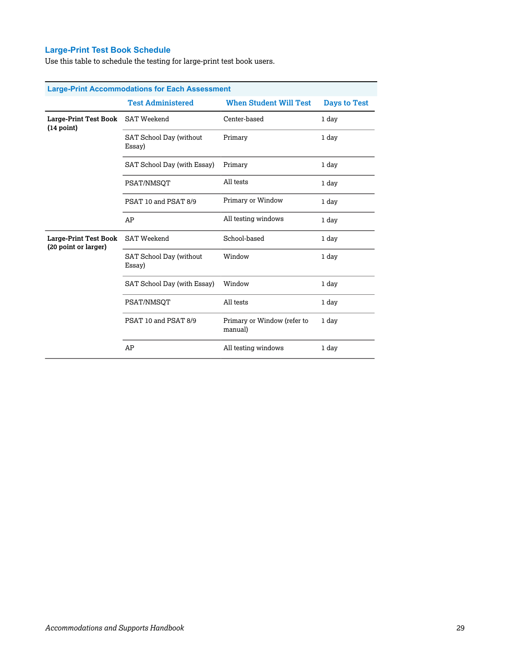## **Large-Print Test Book Schedule**

Use this table to schedule the testing for large-print test book users.

| <b>Large-Print Accommodations for Each Assessment</b> |                                   |                                        |                     |  |
|-------------------------------------------------------|-----------------------------------|----------------------------------------|---------------------|--|
|                                                       | <b>Test Administered</b>          | <b>When Student Will Test</b>          | <b>Days to Test</b> |  |
| Large-Print Test Book<br>(14 point)                   | <b>SAT Weekend</b>                | Center-based                           | 1 day               |  |
|                                                       | SAT School Day (without<br>Essay) | Primary                                | 1 day               |  |
|                                                       | SAT School Day (with Essay)       | Primary                                | 1 day               |  |
|                                                       | PSAT/NMSOT                        | All tests                              | 1 day               |  |
|                                                       | PSAT 10 and PSAT 8/9              | Primary or Window                      | 1 day               |  |
|                                                       | AP                                | All testing windows                    | 1 day               |  |
| Large-Print Test Book<br>(20 point or larger)         | <b>SAT Weekend</b>                | School-based                           | 1 day               |  |
|                                                       | SAT School Day (without<br>Essay) | Window                                 | 1 day               |  |
|                                                       | SAT School Day (with Essay)       | Window                                 | 1 day               |  |
|                                                       | PSAT/NMSQT                        | All tests                              | 1 day               |  |
|                                                       | PSAT 10 and PSAT 8/9              | Primary or Window (refer to<br>manual) | 1 day               |  |
|                                                       | AP                                | All testing windows                    | 1 day               |  |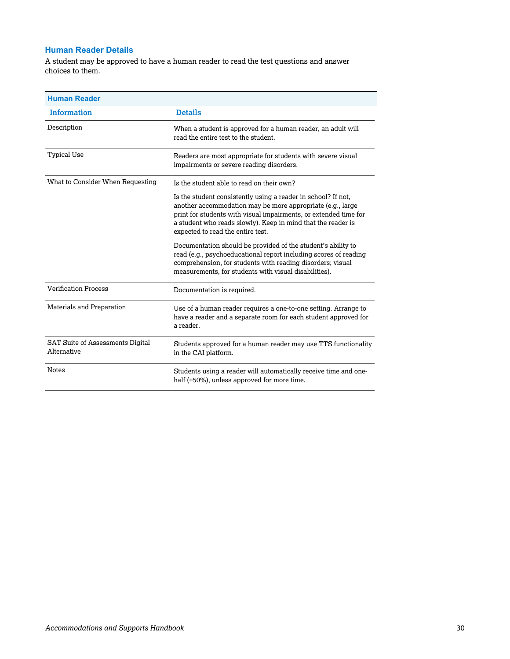#### **Human Reader Details**

A student may be approved to have a human reader to read the test questions and answer choices to them.

| <b>Human Reader</b>                                    |                                                                                                                                                                                                                                                                                                      |
|--------------------------------------------------------|------------------------------------------------------------------------------------------------------------------------------------------------------------------------------------------------------------------------------------------------------------------------------------------------------|
| <b>Information</b>                                     | <b>Details</b>                                                                                                                                                                                                                                                                                       |
| Description                                            | When a student is approved for a human reader, an adult will<br>read the entire test to the student.                                                                                                                                                                                                 |
| <b>Typical Use</b>                                     | Readers are most appropriate for students with severe visual<br>impairments or severe reading disorders.                                                                                                                                                                                             |
| What to Consider When Requesting                       | Is the student able to read on their own?                                                                                                                                                                                                                                                            |
|                                                        | Is the student consistently using a reader in school? If not,<br>another accommodation may be more appropriate (e.g., large<br>print for students with visual impairments, or extended time for<br>a student who reads slowly). Keep in mind that the reader is<br>expected to read the entire test. |
|                                                        | Documentation should be provided of the student's ability to<br>read (e.g., psychoeducational report including scores of reading<br>comprehension, for students with reading disorders; visual<br>measurements, for students with visual disabilities).                                              |
| <b>Verification Process</b>                            | Documentation is required.                                                                                                                                                                                                                                                                           |
| Materials and Preparation                              | Use of a human reader requires a one-to-one setting. Arrange to<br>have a reader and a separate room for each student approved for<br>a reader.                                                                                                                                                      |
| <b>SAT Suite of Assessments Digital</b><br>Alternative | Students approved for a human reader may use TTS functionality<br>in the CAI platform.                                                                                                                                                                                                               |
| <b>Notes</b>                                           | Students using a reader will automatically receive time and one-<br>half (+50%), unless approved for more time.                                                                                                                                                                                      |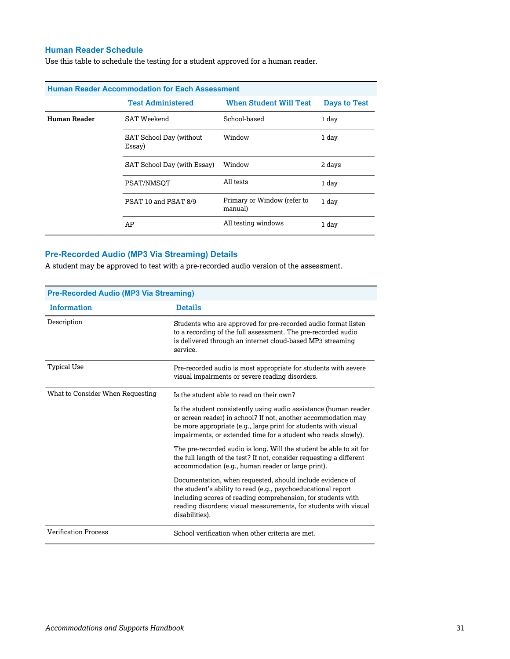#### **Human Reader Schedule**

Use this table to schedule the testing for a student approved for a human reader.

| <b>Human Reader Accommodation for Each Assessment</b> |                                   |                                        |                     |  |
|-------------------------------------------------------|-----------------------------------|----------------------------------------|---------------------|--|
|                                                       | <b>Test Administered</b>          | <b>When Student Will Test</b>          | <b>Days to Test</b> |  |
| Human Reader                                          | SAT Weekend                       | School-based                           | 1 day               |  |
|                                                       | SAT School Day (without<br>Essay) | Window                                 | 1 day               |  |
|                                                       | SAT School Day (with Essay)       | Window                                 | 2 days              |  |
|                                                       | PSAT/NMSOT                        | All tests                              | 1 day               |  |
|                                                       | PSAT 10 and PSAT 8/9              | Primary or Window (refer to<br>manual) | 1 day               |  |
|                                                       | AP                                | All testing windows                    | 1 day               |  |

#### **Pre-Recorded Audio (MP3 Via Streaming) Details**

A student may be approved to test with a pre-recorded audio version of the assessment.

| <b>Pre-Recorded Audio (MP3 Via Streaming)</b> |                                                                                                                                                                                                                                                                                  |  |
|-----------------------------------------------|----------------------------------------------------------------------------------------------------------------------------------------------------------------------------------------------------------------------------------------------------------------------------------|--|
| <b>Information</b>                            | <b>Details</b>                                                                                                                                                                                                                                                                   |  |
| Description                                   | Students who are approved for pre-recorded audio format listen<br>to a recording of the full assessment. The pre-recorded audio<br>is delivered through an internet cloud-based MP3 streaming<br>service.                                                                        |  |
| <b>Typical Use</b>                            | Pre-recorded audio is most appropriate for students with severe<br>visual impairments or severe reading disorders.                                                                                                                                                               |  |
| What to Consider When Requesting              | Is the student able to read on their own?                                                                                                                                                                                                                                        |  |
|                                               | Is the student consistently using audio assistance (human reader<br>or screen reader) in school? If not, another accommodation may<br>be more appropriate (e.g., large print for students with visual<br>impairments, or extended time for a student who reads slowly).          |  |
|                                               | The pre-recorded audio is long. Will the student be able to sit for<br>the full length of the test? If not, consider requesting a different<br>accommodation (e.g., human reader or large print).                                                                                |  |
|                                               | Documentation, when requested, should include evidence of<br>the student's ability to read (e.g., psychoeducational report<br>including scores of reading comprehension, for students with<br>reading disorders; visual measurements, for students with visual<br>disabilities). |  |
| <b>Verification Process</b>                   | School verification when other criteria are met.                                                                                                                                                                                                                                 |  |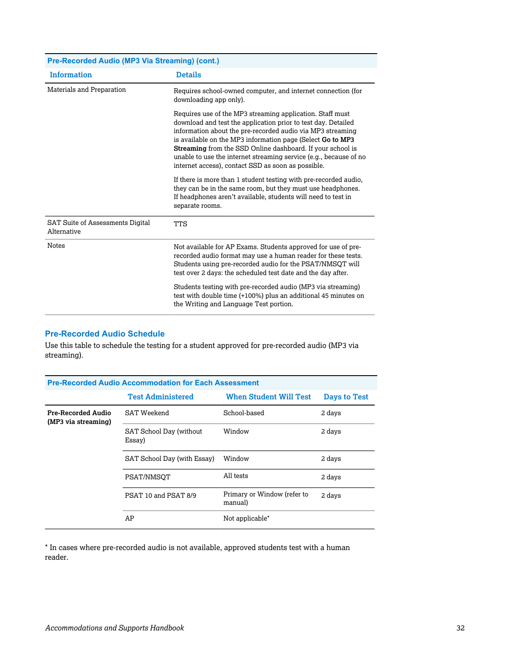| Pre-Recorded Audio (MP3 Via Streaming) (cont.)         |                                                                                                                                                                                                                                                                                                                                                                                                                                                 |  |  |
|--------------------------------------------------------|-------------------------------------------------------------------------------------------------------------------------------------------------------------------------------------------------------------------------------------------------------------------------------------------------------------------------------------------------------------------------------------------------------------------------------------------------|--|--|
| <b>Information</b>                                     | <b>Details</b>                                                                                                                                                                                                                                                                                                                                                                                                                                  |  |  |
| Materials and Preparation                              | Requires school-owned computer, and internet connection (for<br>downloading app only).                                                                                                                                                                                                                                                                                                                                                          |  |  |
|                                                        | Requires use of the MP3 streaming application. Staff must<br>download and test the application prior to test day. Detailed<br>information about the pre-recorded audio via MP3 streaming<br>is available on the MP3 information page (Select Go to MP3<br>Streaming from the SSD Online dashboard. If your school is<br>unable to use the internet streaming service (e.g., because of no<br>internet access), contact SSD as soon as possible. |  |  |
|                                                        | If there is more than 1 student testing with pre-recorded audio,<br>they can be in the same room, but they must use headphones.<br>If headphones aren't available, students will need to test in<br>separate rooms.                                                                                                                                                                                                                             |  |  |
| <b>SAT Suite of Assessments Digital</b><br>Alternative | <b>TTS</b>                                                                                                                                                                                                                                                                                                                                                                                                                                      |  |  |
| <b>Notes</b>                                           | Not available for AP Exams. Students approved for use of pre-<br>recorded audio format may use a human reader for these tests.<br>Students using pre-recorded audio for the PSAT/NMSOT will<br>test over 2 days: the scheduled test date and the day after.                                                                                                                                                                                     |  |  |
|                                                        | Students testing with pre-recorded audio (MP3 via streaming)<br>test with double time (+100%) plus an additional 45 minutes on<br>the Writing and Language Test portion.                                                                                                                                                                                                                                                                        |  |  |

#### **Pre-Recorded Audio Schedule**

Use this table to schedule the testing for a student approved for pre-recorded audio (MP3 via streaming).

| <b>Pre-Recorded Audio Accommodation for Each Assessment</b> |                                   |                                        |                     |  |
|-------------------------------------------------------------|-----------------------------------|----------------------------------------|---------------------|--|
|                                                             | <b>Test Administered</b>          | <b>When Student Will Test</b>          | <b>Days to Test</b> |  |
| Pre-Recorded Audio<br>(MP3 via streaming)                   | SAT Weekend                       | School-based                           | 2 days              |  |
|                                                             | SAT School Day (without<br>Essay) | Window                                 | 2 days              |  |
|                                                             | SAT School Day (with Essay)       | Window                                 | 2 days              |  |
|                                                             | PSAT/NMSOT                        | All tests                              | 2 days              |  |
|                                                             | PSAT 10 and PSAT 8/9              | Primary or Window (refer to<br>manual) | 2 days              |  |
|                                                             | AP                                | Not applicable <sup>*</sup>            |                     |  |

\* In cases where pre-recorded audio is not available, approved students test with a human reader.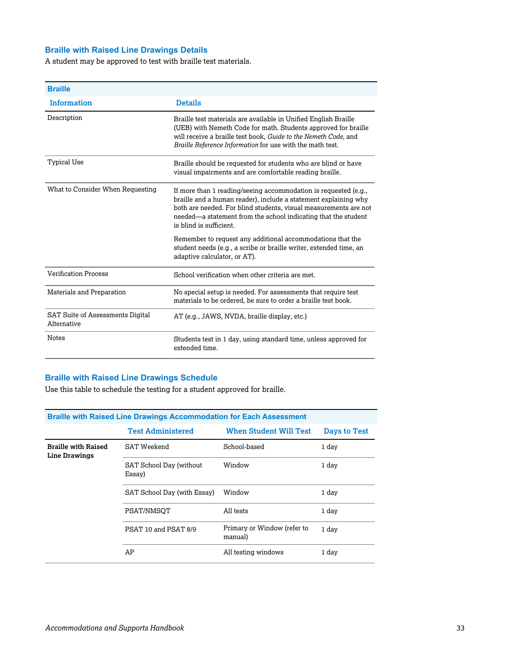#### **Braille with Raised Line Drawings Details**

A student may be approved to test with braille test materials.

| <b>Braille</b>                                         |                                                                                                                                                                                                                                                                                                     |
|--------------------------------------------------------|-----------------------------------------------------------------------------------------------------------------------------------------------------------------------------------------------------------------------------------------------------------------------------------------------------|
| <b>Information</b>                                     | <b>Details</b>                                                                                                                                                                                                                                                                                      |
| Description                                            | Braille test materials are available in Unified English Braille<br>(UEB) with Nemeth Code for math. Students approved for braille<br>will receive a braille test book, Guide to the Nemeth Code, and<br>Braille Reference Information for use with the math test.                                   |
| <b>Typical Use</b>                                     | Braille should be requested for students who are blind or have<br>visual impairments and are comfortable reading braille.                                                                                                                                                                           |
| What to Consider When Requesting                       | If more than 1 reading/seeing accommodation is requested (e.g.,<br>braille and a human reader), include a statement explaining why<br>both are needed. For blind students, visual measurements are not<br>needed—a statement from the school indicating that the student<br>is blind is sufficient. |
|                                                        | Remember to request any additional accommodations that the<br>student needs (e.g., a scribe or braille writer, extended time, an<br>adaptive calculator, or AT).                                                                                                                                    |
| <b>Verification Process</b>                            | School verification when other criteria are met.                                                                                                                                                                                                                                                    |
| Materials and Preparation                              | No special setup is needed. For assessments that require test<br>materials to be ordered, be sure to order a braille test book.                                                                                                                                                                     |
| <b>SAT Suite of Assessments Digital</b><br>Alternative | AT (e.g., JAWS, NVDA, braille display, etc.)                                                                                                                                                                                                                                                        |
| <b>Notes</b>                                           | Students test in 1 day, using standard time, unless approved for<br>extended time.                                                                                                                                                                                                                  |

#### **Braille with Raised Line Drawings Schedule**

Use this table to schedule the testing for a student approved for braille.

| <b>Braille with Raised Line Drawings Accommodation for Each Assessment</b> |                                   |                                        |                     |  |
|----------------------------------------------------------------------------|-----------------------------------|----------------------------------------|---------------------|--|
|                                                                            | <b>Test Administered</b>          | <b>When Student Will Test</b>          | <b>Days to Test</b> |  |
| <b>Braille with Raised</b><br>Line Drawings                                | <b>SAT Weekend</b>                | School-based                           | 1 day               |  |
|                                                                            | SAT School Day (without<br>Essay) | Window                                 | 1 day               |  |
|                                                                            | SAT School Day (with Essay)       | Window                                 | 1 day               |  |
|                                                                            | PSAT/NMSOT                        | All tests                              | 1 day               |  |
|                                                                            | PSAT 10 and PSAT 8/9              | Primary or Window (refer to<br>manual) | 1 day               |  |
|                                                                            | AP                                | All testing windows                    | 1 day               |  |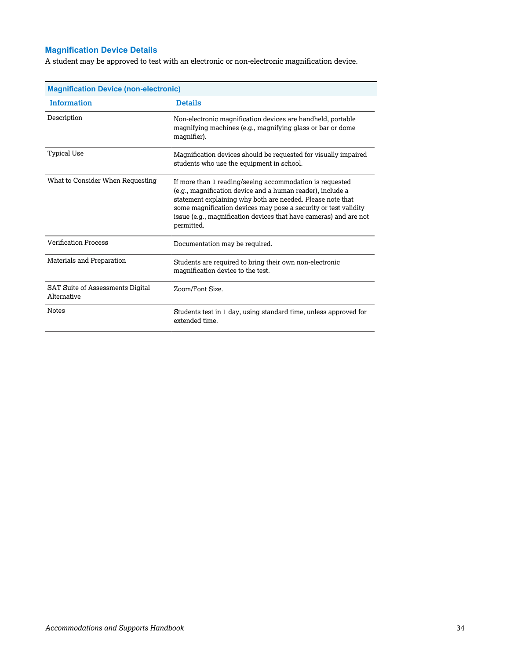#### **Magnification Device Details**

A student may be approved to test with an electronic or non-electronic magnification device.

| <b>Magnification Device (non-electronic)</b>           |                                                                                                                                                                                                                                                                                                                                            |  |  |
|--------------------------------------------------------|--------------------------------------------------------------------------------------------------------------------------------------------------------------------------------------------------------------------------------------------------------------------------------------------------------------------------------------------|--|--|
| <b>Information</b>                                     | <b>Details</b>                                                                                                                                                                                                                                                                                                                             |  |  |
| Description                                            | Non-electronic magnification devices are handheld, portable<br>magnifying machines (e.g., magnifying glass or bar or dome<br>magnifier).                                                                                                                                                                                                   |  |  |
| <b>Typical Use</b>                                     | Magnification devices should be requested for visually impaired<br>students who use the equipment in school.                                                                                                                                                                                                                               |  |  |
| What to Consider When Requesting                       | If more than 1 reading/seeing accommodation is requested<br>(e.g., magnification device and a human reader), include a<br>statement explaining why both are needed. Please note that<br>some magnification devices may pose a security or test validity<br>issue (e.g., magnification devices that have cameras) and are not<br>permitted. |  |  |
| <b>Verification Process</b>                            | Documentation may be required.                                                                                                                                                                                                                                                                                                             |  |  |
| Materials and Preparation                              | Students are required to bring their own non-electronic<br>magnification device to the test.                                                                                                                                                                                                                                               |  |  |
| <b>SAT Suite of Assessments Digital</b><br>Alternative | Zoom/Font Size.                                                                                                                                                                                                                                                                                                                            |  |  |
| <b>Notes</b>                                           | Students test in 1 day, using standard time, unless approved for<br>extended time.                                                                                                                                                                                                                                                         |  |  |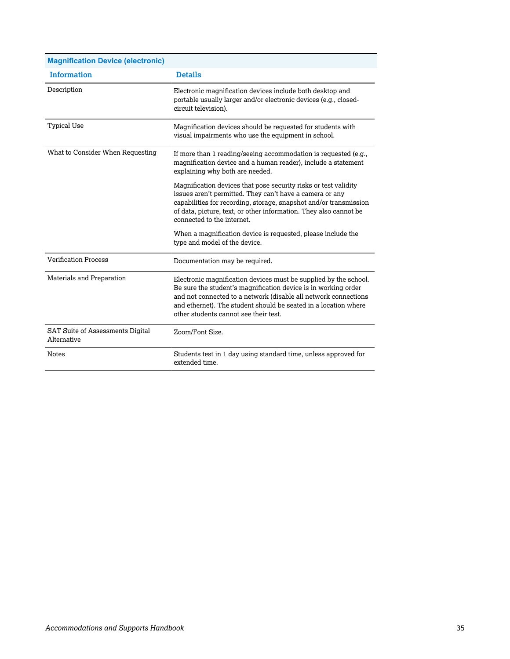| <b>Magnification Device (electronic)</b>        |                                                                                                                                                                                                                                                                                                                   |
|-------------------------------------------------|-------------------------------------------------------------------------------------------------------------------------------------------------------------------------------------------------------------------------------------------------------------------------------------------------------------------|
| <b>Information</b>                              | <b>Details</b>                                                                                                                                                                                                                                                                                                    |
| Description                                     | Electronic magnification devices include both desktop and<br>portable usually larger and/or electronic devices (e.g., closed-<br>circuit television).                                                                                                                                                             |
| Typical Use                                     | Magnification devices should be requested for students with<br>visual impairments who use the equipment in school.                                                                                                                                                                                                |
| What to Consider When Requesting                | If more than 1 reading/seeing accommodation is requested (e.g.,<br>magnification device and a human reader), include a statement<br>explaining why both are needed.                                                                                                                                               |
|                                                 | Magnification devices that pose security risks or test validity<br>issues aren't permitted. They can't have a camera or any<br>capabilities for recording, storage, snapshot and/or transmission<br>of data, picture, text, or other information. They also cannot be<br>connected to the internet.               |
|                                                 | When a magnification device is requested, please include the<br>type and model of the device.                                                                                                                                                                                                                     |
| <b>Verification Process</b>                     | Documentation may be required.                                                                                                                                                                                                                                                                                    |
| Materials and Preparation                       | Electronic magnification devices must be supplied by the school.<br>Be sure the student's magnification device is in working order<br>and not connected to a network (disable all network connections<br>and ethernet). The student should be seated in a location where<br>other students cannot see their test. |
| SAT Suite of Assessments Digital<br>Alternative | Zoom/Font Size.                                                                                                                                                                                                                                                                                                   |
| <b>Notes</b>                                    | Students test in 1 day using standard time, unless approved for<br>extended time.                                                                                                                                                                                                                                 |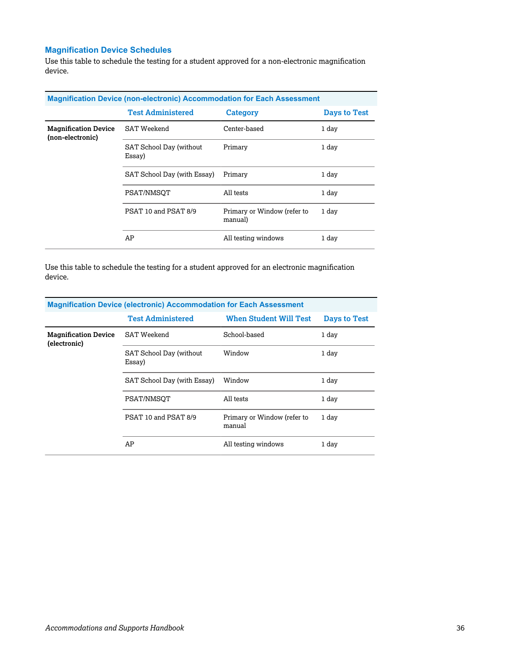#### **Magnification Device Schedules**

Use this table to schedule the testing for a student approved for a non-electronic magnification device.

| <b>Magnification Device (non-electronic) Accommodation for Each Assessment</b> |                                   |                                        |                     |  |
|--------------------------------------------------------------------------------|-----------------------------------|----------------------------------------|---------------------|--|
|                                                                                | <b>Test Administered</b>          | Category                               | <b>Days to Test</b> |  |
| <b>Magnification Device</b><br>(non-electronic)                                | <b>SAT Weekend</b>                | Center-based                           | 1 day               |  |
|                                                                                | SAT School Day (without<br>Essay) | Primary                                | 1 day               |  |
|                                                                                | SAT School Day (with Essay)       | Primary                                | 1 day               |  |
|                                                                                | PSAT/NMSOT                        | All tests                              | 1 day               |  |
|                                                                                | PSAT 10 and PSAT 8/9              | Primary or Window (refer to<br>manual) | 1 day               |  |
|                                                                                | AP                                | All testing windows                    | 1 day               |  |

Use this table to schedule the testing for a student approved for an electronic magnification device.

| <b>Magnification Device (electronic) Accommodation for Each Assessment</b> |                                   |                                       |                     |  |
|----------------------------------------------------------------------------|-----------------------------------|---------------------------------------|---------------------|--|
|                                                                            | <b>Test Administered</b>          | <b>When Student Will Test</b>         | <b>Days to Test</b> |  |
| <b>Magnification Device</b><br>(electronic)                                | <b>SAT Weekend</b>                | School-based                          | 1 day               |  |
|                                                                            | SAT School Day (without<br>Essay) | Window                                | 1 day               |  |
|                                                                            | SAT School Day (with Essay)       | Window                                | 1 day               |  |
|                                                                            | PSAT/NMSOT                        | All tests                             | 1 day               |  |
|                                                                            | PSAT 10 and PSAT 8/9              | Primary or Window (refer to<br>manual | 1 day               |  |
|                                                                            | AP                                | All testing windows                   | 1 day               |  |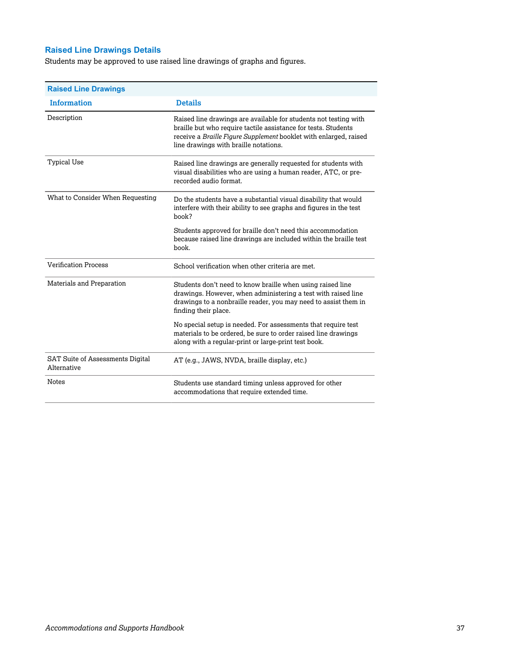## **Raised Line Drawings Details**

Students may be approved to use raised line drawings of graphs and figures.

| <b>Raised Line Drawings</b>                            |                                                                                                                                                                                                                                                  |
|--------------------------------------------------------|--------------------------------------------------------------------------------------------------------------------------------------------------------------------------------------------------------------------------------------------------|
| <b>Information</b>                                     | <b>Details</b>                                                                                                                                                                                                                                   |
| Description                                            | Raised line drawings are available for students not testing with<br>braille but who require tactile assistance for tests. Students<br>receive a Braille Figure Supplement booklet with enlarged, raised<br>line drawings with braille notations. |
| <b>Typical Use</b>                                     | Raised line drawings are generally requested for students with<br>visual disabilities who are using a human reader, ATC, or pre-<br>recorded audio format.                                                                                       |
| What to Consider When Requesting                       | Do the students have a substantial visual disability that would<br>interfere with their ability to see graphs and figures in the test<br>book?                                                                                                   |
|                                                        | Students approved for braille don't need this accommodation<br>because raised line drawings are included within the braille test<br>book.                                                                                                        |
| <b>Verification Process</b>                            | School verification when other criteria are met.                                                                                                                                                                                                 |
| Materials and Preparation                              | Students don't need to know braille when using raised line<br>drawings. However, when administering a test with raised line<br>drawings to a nonbraille reader, you may need to assist them in<br>finding their place.                           |
|                                                        | No special setup is needed. For assessments that require test<br>materials to be ordered, be sure to order raised line drawings<br>along with a regular-print or large-print test book.                                                          |
| <b>SAT Suite of Assessments Digital</b><br>Alternative | AT (e.g., JAWS, NVDA, braille display, etc.)                                                                                                                                                                                                     |
| <b>Notes</b>                                           | Students use standard timing unless approved for other<br>accommodations that require extended time.                                                                                                                                             |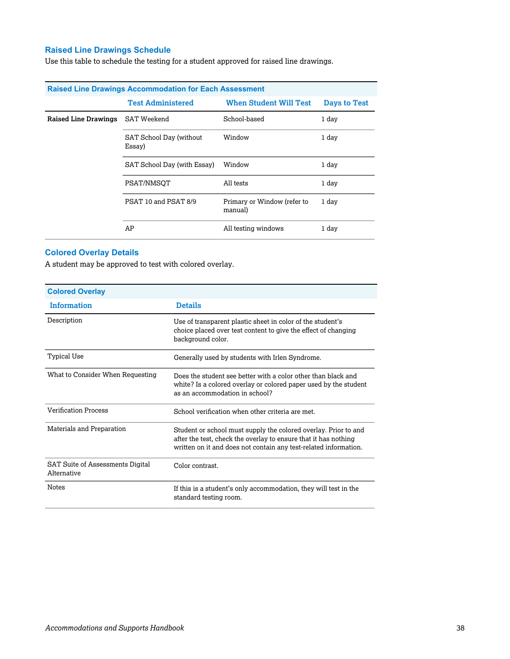## **Raised Line Drawings Schedule**

Use this table to schedule the testing for a student approved for raised line drawings.

| <b>Raised Line Drawings Accommodation for Each Assessment</b> |                                   |                                        |                     |
|---------------------------------------------------------------|-----------------------------------|----------------------------------------|---------------------|
|                                                               | <b>Test Administered</b>          | <b>When Student Will Test</b>          | <b>Days to Test</b> |
| <b>Raised Line Drawings</b>                                   | <b>SAT Weekend</b>                | School-based                           | 1 day               |
|                                                               | SAT School Day (without<br>Essay) | Window                                 | 1 day               |
|                                                               | SAT School Day (with Essay)       | Window                                 | 1 day               |
|                                                               | PSAT/NMSOT                        | All tests                              | 1 day               |
|                                                               | PSAT 10 and PSAT 8/9              | Primary or Window (refer to<br>manual) | 1 day               |
|                                                               | AP                                | All testing windows                    | 1 day               |

## **Colored Overlay Details**

A student may be approved to test with colored overlay.

| <b>Colored Overlay</b>                          |                                                                                                                                                                                                        |
|-------------------------------------------------|--------------------------------------------------------------------------------------------------------------------------------------------------------------------------------------------------------|
| <b>Information</b>                              | <b>Details</b>                                                                                                                                                                                         |
| Description                                     | Use of transparent plastic sheet in color of the student's<br>choice placed over test content to give the effect of changing<br>background color.                                                      |
| Typical Use                                     | Generally used by students with Irlen Syndrome.                                                                                                                                                        |
| What to Consider When Requesting                | Does the student see better with a color other than black and<br>white? Is a colored overlay or colored paper used by the student<br>as an accommodation in school?                                    |
| <b>Verification Process</b>                     | School verification when other criteria are met.                                                                                                                                                       |
| Materials and Preparation                       | Student or school must supply the colored overlay. Prior to and<br>after the test, check the overlay to ensure that it has nothing<br>written on it and does not contain any test-related information. |
| SAT Suite of Assessments Digital<br>Alternative | Color contrast.                                                                                                                                                                                        |
| <b>Notes</b>                                    | If this is a student's only accommodation, they will test in the<br>standard testing room.                                                                                                             |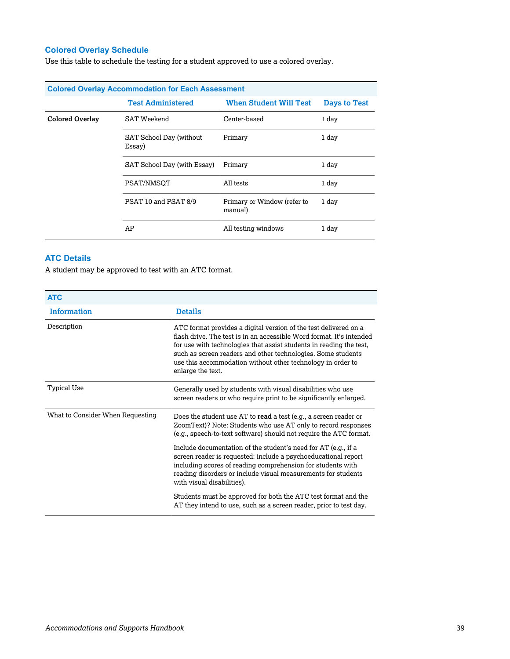## **Colored Overlay Schedule**

Use this table to schedule the testing for a student approved to use a colored overlay.

|                        | <b>Colored Overlay Accommodation for Each Assessment</b> |                                        |                     |
|------------------------|----------------------------------------------------------|----------------------------------------|---------------------|
|                        | <b>Test Administered</b>                                 | <b>When Student Will Test</b>          | <b>Days to Test</b> |
| <b>Colored Overlay</b> | SAT Weekend                                              | Center-based                           | 1 day               |
|                        | SAT School Day (without<br>Essay)                        | Primary                                | 1 day               |
|                        | SAT School Day (with Essay)                              | Primary                                | 1 day               |
|                        | PSAT/NMSOT                                               | All tests                              | 1 day               |
|                        | PSAT 10 and PSAT 8/9                                     | Primary or Window (refer to<br>manual) | 1 day               |
|                        | AP                                                       | All testing windows                    | 1 day               |

## **ATC Details**

A student may be approved to test with an ATC format.

| <b>ATC</b>                       |                                                                                                                                                                                                                                                                                                                                                                     |
|----------------------------------|---------------------------------------------------------------------------------------------------------------------------------------------------------------------------------------------------------------------------------------------------------------------------------------------------------------------------------------------------------------------|
| <b>Information</b>               | <b>Details</b>                                                                                                                                                                                                                                                                                                                                                      |
| Description                      | ATC format provides a digital version of the test delivered on a<br>flash drive. The test is in an accessible Word format. It's intended<br>for use with technologies that assist students in reading the test,<br>such as screen readers and other technologies. Some students<br>use this accommodation without other technology in order to<br>enlarge the text. |
| Typical Use                      | Generally used by students with visual disabilities who use<br>screen readers or who require print to be significantly enlarged.                                                                                                                                                                                                                                    |
| What to Consider When Requesting | Does the student use AT to read a test (e.g., a screen reader or<br>ZoomText)? Note: Students who use AT only to record responses<br>(e.g., speech-to-text software) should not require the ATC format.                                                                                                                                                             |
|                                  | Include documentation of the student's need for AT (e.g., if a<br>screen reader is requested: include a psychoeducational report<br>including scores of reading comprehension for students with<br>reading disorders or include visual measurements for students<br>with visual disabilities).                                                                      |
|                                  | Students must be approved for both the ATC test format and the<br>AT they intend to use, such as a screen reader, prior to test day.                                                                                                                                                                                                                                |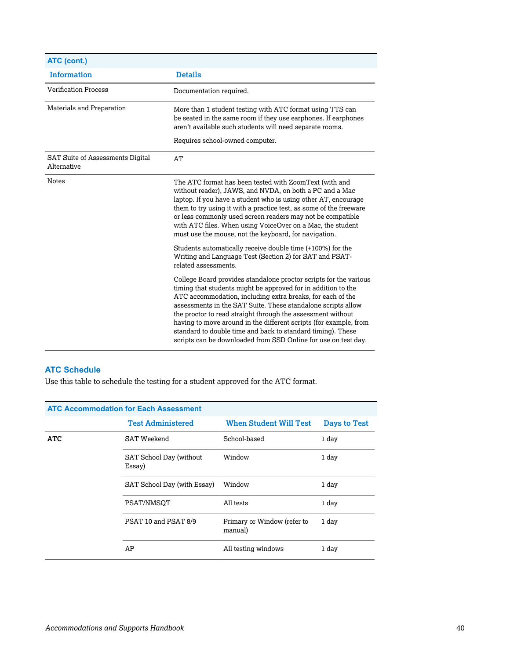| ATC (cont.)                                            |                                                                                                                                                                                                                                                                                                                                                                                                                                                                                                                                       |
|--------------------------------------------------------|---------------------------------------------------------------------------------------------------------------------------------------------------------------------------------------------------------------------------------------------------------------------------------------------------------------------------------------------------------------------------------------------------------------------------------------------------------------------------------------------------------------------------------------|
| <b>Information</b>                                     | <b>Details</b>                                                                                                                                                                                                                                                                                                                                                                                                                                                                                                                        |
| <b>Verification Process</b>                            | Documentation required.                                                                                                                                                                                                                                                                                                                                                                                                                                                                                                               |
| Materials and Preparation                              | More than 1 student testing with ATC format using TTS can<br>be seated in the same room if they use earphones. If earphones<br>aren't available such students will need separate rooms.                                                                                                                                                                                                                                                                                                                                               |
|                                                        | Requires school-owned computer.                                                                                                                                                                                                                                                                                                                                                                                                                                                                                                       |
| <b>SAT Suite of Assessments Digital</b><br>Alternative | AT                                                                                                                                                                                                                                                                                                                                                                                                                                                                                                                                    |
| <b>Notes</b>                                           | The ATC format has been tested with ZoomText (with and<br>without reader), JAWS, and NVDA, on both a PC and a Mac<br>laptop. If you have a student who is using other AT, encourage<br>them to try using it with a practice test, as some of the freeware<br>or less commonly used screen readers may not be compatible<br>with ATC files. When using VoiceOver on a Mac, the student<br>must use the mouse, not the keyboard, for navigation.                                                                                        |
|                                                        | Students automatically receive double time (+100%) for the<br>Writing and Language Test (Section 2) for SAT and PSAT-<br>related assessments.                                                                                                                                                                                                                                                                                                                                                                                         |
|                                                        | College Board provides standalone proctor scripts for the various<br>timing that students might be approved for in addition to the<br>ATC accommodation, including extra breaks, for each of the<br>assessments in the SAT Suite. These standalone scripts allow<br>the proctor to read straight through the assessment without<br>having to move around in the different scripts (for example, from<br>standard to double time and back to standard timing). These<br>scripts can be downloaded from SSD Online for use on test day. |

## **ATC Schedule**

Use this table to schedule the testing for a student approved for the ATC format.

|            | <b>ATC Accommodation for Each Assessment</b> |                                        |              |
|------------|----------------------------------------------|----------------------------------------|--------------|
|            | <b>Test Administered</b>                     | <b>When Student Will Test</b>          | Days to Test |
| <b>ATC</b> | <b>SAT Weekend</b>                           | School-based                           | 1 day        |
|            | SAT School Day (without<br>Essay)            | Window                                 | 1 day        |
|            | SAT School Day (with Essay)                  | Window                                 | 1 day        |
|            | PSAT/NMSOT                                   | All tests                              | 1 day        |
|            | PSAT 10 and PSAT 8/9                         | Primary or Window (refer to<br>manual) | 1 day        |
|            | AP                                           | All testing windows                    | 1 day        |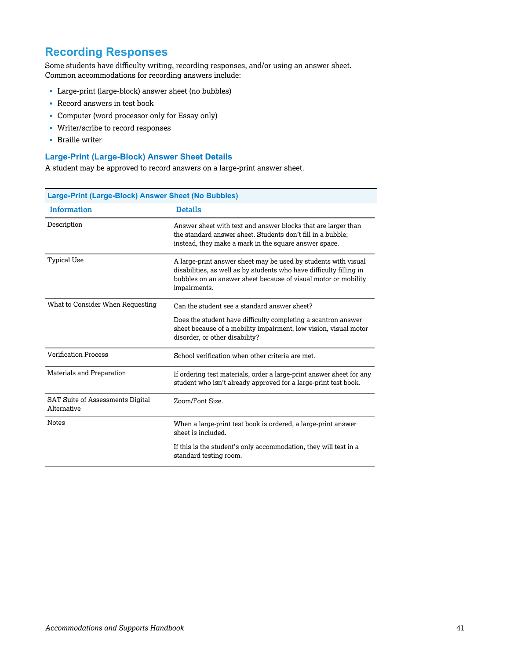## **Recording Responses**

Some students have difficulty writing, recording responses, and/or using an answer sheet. Common accommodations for recording answers include:

- § Large-print (large-block) answer sheet (no bubbles)
- § Record answers in test book
- § Computer (word processor only for Essay only)
- § Writer/scribe to record responses
- § Braille writer

#### **Large-Print (Large-Block) Answer Sheet Details**

A student may be approved to record answers on a large-print answer sheet.

| Large-Print (Large-Block) Answer Sheet (No Bubbles) |                                                                                                                                                                                                                         |  |
|-----------------------------------------------------|-------------------------------------------------------------------------------------------------------------------------------------------------------------------------------------------------------------------------|--|
| <b>Information</b>                                  | <b>Details</b>                                                                                                                                                                                                          |  |
| Description                                         | Answer sheet with text and answer blocks that are larger than<br>the standard answer sheet. Students don't fill in a bubble;<br>instead, they make a mark in the square answer space.                                   |  |
| <b>Typical Use</b>                                  | A large-print answer sheet may be used by students with visual<br>disabilities, as well as by students who have difficulty filling in<br>bubbles on an answer sheet because of visual motor or mobility<br>impairments. |  |
| What to Consider When Requesting                    | Can the student see a standard answer sheet?                                                                                                                                                                            |  |
|                                                     | Does the student have difficulty completing a scantron answer<br>sheet because of a mobility impairment, low vision, visual motor<br>disorder, or other disability?                                                     |  |
| <b>Verification Process</b>                         | School verification when other criteria are met.                                                                                                                                                                        |  |
| Materials and Preparation                           | If ordering test materials, order a large-print answer sheet for any<br>student who isn't already approved for a large-print test book.                                                                                 |  |
| SAT Suite of Assessments Digital<br>Alternative     | Zoom/Font Size.                                                                                                                                                                                                         |  |
| <b>Notes</b>                                        | When a large-print test book is ordered, a large-print answer<br>sheet is included.                                                                                                                                     |  |
|                                                     | If this is the student's only accommodation, they will test in a<br>standard testing room.                                                                                                                              |  |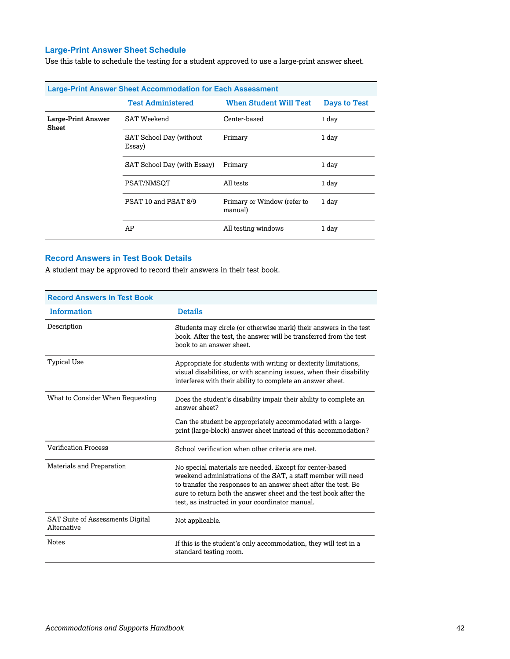## **Large-Print Answer Sheet Schedule**

Use this table to schedule the testing for a student approved to use a large-print answer sheet.

|                             | <b>Large-Print Answer Sheet Accommodation for Each Assessment</b> |                                        |                     |
|-----------------------------|-------------------------------------------------------------------|----------------------------------------|---------------------|
|                             | <b>Test Administered</b>                                          | <b>When Student Will Test</b>          | <b>Days to Test</b> |
| Large-Print Answer<br>Sheet | <b>SAT Weekend</b>                                                | Center-based                           | 1 day               |
|                             | SAT School Day (without<br>Essay)                                 | Primary                                | 1 day               |
|                             | SAT School Day (with Essay)                                       | Primary                                | 1 day               |
|                             | PSAT/NMSOT                                                        | All tests                              | 1 day               |
|                             | PSAT 10 and PSAT 8/9                                              | Primary or Window (refer to<br>manual) | 1 day               |
|                             | AP                                                                | All testing windows                    | 1 day               |

### **Record Answers in Test Book Details**

A student may be approved to record their answers in their test book.

| <b>Record Answers in Test Book</b>                     |                                                                                                                                                                                                                                                                                                                    |
|--------------------------------------------------------|--------------------------------------------------------------------------------------------------------------------------------------------------------------------------------------------------------------------------------------------------------------------------------------------------------------------|
| <b>Information</b>                                     | <b>Details</b>                                                                                                                                                                                                                                                                                                     |
| Description                                            | Students may circle (or otherwise mark) their answers in the test<br>book. After the test, the answer will be transferred from the test<br>book to an answer sheet.                                                                                                                                                |
| Typical Use                                            | Appropriate for students with writing or dexterity limitations,<br>visual disabilities, or with scanning issues, when their disability<br>interferes with their ability to complete an answer sheet.                                                                                                               |
| What to Consider When Requesting                       | Does the student's disability impair their ability to complete an<br>answer sheet?                                                                                                                                                                                                                                 |
|                                                        | Can the student be appropriately accommodated with a large-<br>print (large-block) answer sheet instead of this accommodation?                                                                                                                                                                                     |
| <b>Verification Process</b>                            | School verification when other criteria are met.                                                                                                                                                                                                                                                                   |
| Materials and Preparation                              | No special materials are needed. Except for center-based<br>weekend administrations of the SAT, a staff member will need<br>to transfer the responses to an answer sheet after the test. Be<br>sure to return both the answer sheet and the test book after the<br>test, as instructed in your coordinator manual. |
| <b>SAT Suite of Assessments Digital</b><br>Alternative | Not applicable.                                                                                                                                                                                                                                                                                                    |
| <b>Notes</b>                                           | If this is the student's only accommodation, they will test in a<br>standard testing room.                                                                                                                                                                                                                         |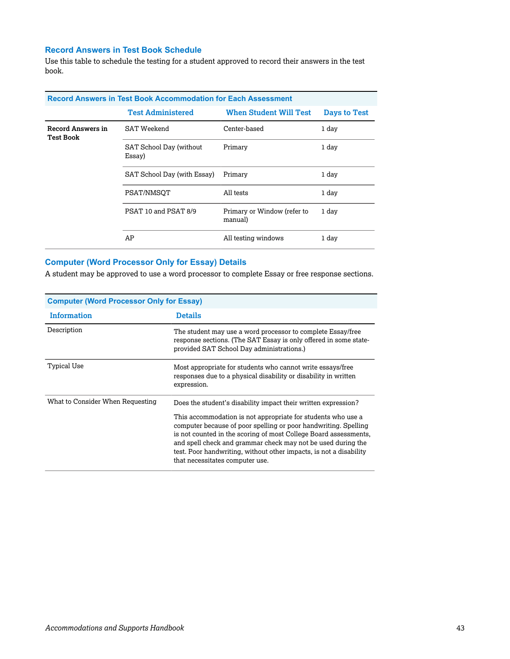## **Record Answers in Test Book Schedule**

Use this table to schedule the testing for a student approved to record their answers in the test book.

|                                       | <b>Record Answers in Test Book Accommodation for Each Assessment</b> |                                        |              |
|---------------------------------------|----------------------------------------------------------------------|----------------------------------------|--------------|
|                                       | <b>Test Administered</b>                                             | <b>When Student Will Test</b>          | Days to Test |
| Record Answers in<br><b>Test Book</b> | SAT Weekend                                                          | Center-based                           | 1 day        |
|                                       | SAT School Day (without<br>Essay)                                    | Primary                                | 1 day        |
|                                       | SAT School Day (with Essay)                                          | Primary                                | 1 day        |
|                                       | PSAT/NMSOT                                                           | All tests                              | 1 day        |
|                                       | PSAT 10 and PSAT 8/9                                                 | Primary or Window (refer to<br>manual) | 1 day        |
|                                       | AP                                                                   | All testing windows                    | 1 day        |

## **Computer (Word Processor Only for Essay) Details**

A student may be approved to use a word processor to complete Essay or free response sections.

| <b>Computer (Word Processor Only for Essay)</b> |                                                                                                                                                                                                                                                                                                                                                                                                                                                |  |
|-------------------------------------------------|------------------------------------------------------------------------------------------------------------------------------------------------------------------------------------------------------------------------------------------------------------------------------------------------------------------------------------------------------------------------------------------------------------------------------------------------|--|
| Information                                     | <b>Details</b>                                                                                                                                                                                                                                                                                                                                                                                                                                 |  |
| Description                                     | The student may use a word processor to complete Essay/free<br>response sections. (The SAT Essay is only offered in some state-<br>provided SAT School Day administrations.)                                                                                                                                                                                                                                                                   |  |
| Typical Use                                     | Most appropriate for students who cannot write essays/free<br>responses due to a physical disability or disability in written<br>expression.                                                                                                                                                                                                                                                                                                   |  |
| What to Consider When Requesting                | Does the student's disability impact their written expression?<br>This accommodation is not appropriate for students who use a<br>computer because of poor spelling or poor handwriting. Spelling<br>is not counted in the scoring of most College Board assessments,<br>and spell check and grammar check may not be used during the<br>test. Poor handwriting, without other impacts, is not a disability<br>that necessitates computer use. |  |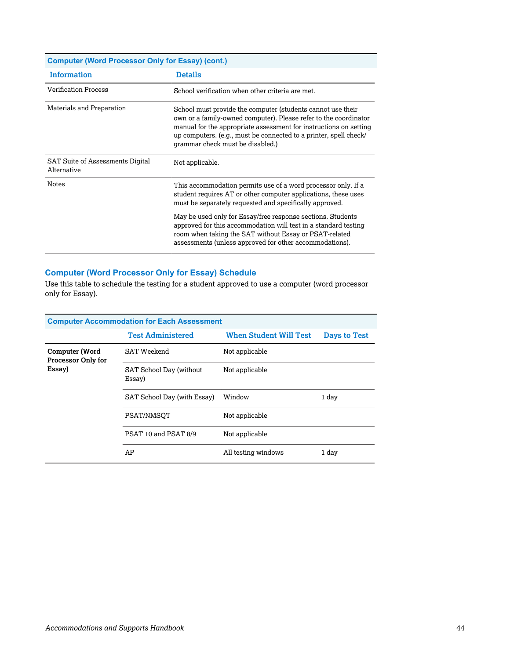| <b>Computer (Word Processor Only for Essay) (cont.)</b> |                                                                                                                                                                                                                                                                                                               |  |  |
|---------------------------------------------------------|---------------------------------------------------------------------------------------------------------------------------------------------------------------------------------------------------------------------------------------------------------------------------------------------------------------|--|--|
| <b>Information</b>                                      | <b>Details</b>                                                                                                                                                                                                                                                                                                |  |  |
| <b>Verification Process</b>                             | School verification when other criteria are met.                                                                                                                                                                                                                                                              |  |  |
| Materials and Preparation                               | School must provide the computer (students cannot use their<br>own or a family-owned computer). Please refer to the coordinator<br>manual for the appropriate assessment for instructions on setting<br>up computers. (e.g., must be connected to a printer, spell check/<br>grammar check must be disabled.) |  |  |
| SAT Suite of Assessments Digital<br>Alternative         | Not applicable.                                                                                                                                                                                                                                                                                               |  |  |
| <b>Notes</b>                                            | This accommodation permits use of a word processor only. If a<br>student requires AT or other computer applications, these uses<br>must be separately requested and specifically approved.                                                                                                                    |  |  |
|                                                         | May be used only for Essay/free response sections. Students<br>approved for this accommodation will test in a standard testing<br>room when taking the SAT without Essay or PSAT-related<br>assessments (unless approved for other accommodations).                                                           |  |  |

## **Computer (Word Processor Only for Essay) Schedule**

Use this table to schedule the testing for a student approved to use a computer (word processor only for Essay).

| <b>Computer Accommodation for Each Assessment</b>     |                                   |                               |                     |  |
|-------------------------------------------------------|-----------------------------------|-------------------------------|---------------------|--|
|                                                       | <b>Test Administered</b>          | <b>When Student Will Test</b> | <b>Days to Test</b> |  |
| Computer (Word<br><b>Processor Only for</b><br>Essay) | SAT Weekend                       | Not applicable                |                     |  |
|                                                       | SAT School Day (without<br>Essay) | Not applicable                |                     |  |
|                                                       | SAT School Day (with Essay)       | Window                        | 1 day               |  |
|                                                       | PSAT/NMSOT                        | Not applicable                |                     |  |
|                                                       | PSAT 10 and PSAT 8/9              | Not applicable                |                     |  |
|                                                       | AP                                | All testing windows           | 1 day               |  |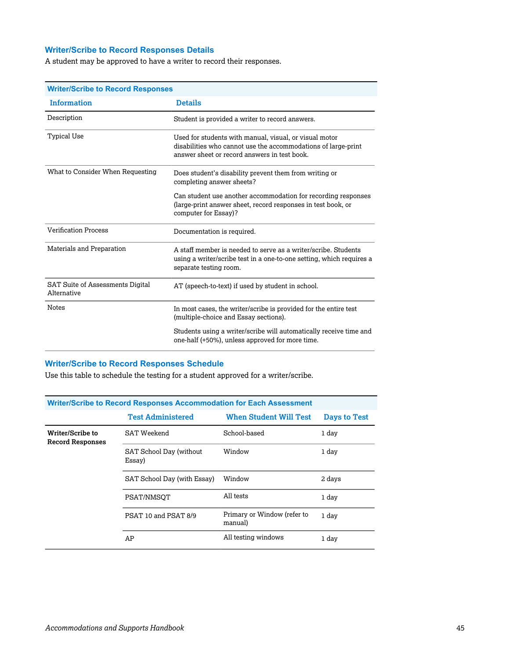## **Writer/Scribe to Record Responses Details**

A student may be approved to have a writer to record their responses.

| <b>Writer/Scribe to Record Responses</b>        |                                                                                                                                                                         |  |  |
|-------------------------------------------------|-------------------------------------------------------------------------------------------------------------------------------------------------------------------------|--|--|
| <b>Information</b>                              | <b>Details</b>                                                                                                                                                          |  |  |
| Description                                     | Student is provided a writer to record answers.                                                                                                                         |  |  |
| Typical Use                                     | Used for students with manual, visual, or visual motor<br>disabilities who cannot use the accommodations of large-print<br>answer sheet or record answers in test book. |  |  |
| What to Consider When Requesting                | Does student's disability prevent them from writing or<br>completing answer sheets?                                                                                     |  |  |
|                                                 | Can student use another accommodation for recording responses<br>(large-print answer sheet, record responses in test book, or<br>computer for Essay)?                   |  |  |
| <b>Verification Process</b>                     | Documentation is required.                                                                                                                                              |  |  |
| Materials and Preparation                       | A staff member is needed to serve as a writer/scribe. Students<br>using a writer/scribe test in a one-to-one setting, which requires a<br>separate testing room.        |  |  |
| SAT Suite of Assessments Digital<br>Alternative | AT (speech-to-text) if used by student in school.                                                                                                                       |  |  |
| <b>Notes</b>                                    | In most cases, the writer/scribe is provided for the entire test<br>(multiple-choice and Essay sections).                                                               |  |  |
|                                                 | Students using a writer/scribe will automatically receive time and<br>one-half (+50%), unless approved for more time.                                                   |  |  |

## **Writer/Scribe to Record Responses Schedule**

Use this table to schedule the testing for a student approved for a writer/scribe.

| <b>Writer/Scribe to Record Responses Accommodation for Each Assessment</b> |                                   |                                        |              |  |
|----------------------------------------------------------------------------|-----------------------------------|----------------------------------------|--------------|--|
|                                                                            | <b>Test Administered</b>          | <b>When Student Will Test</b>          | Days to Test |  |
| Writer/Scribe to<br><b>Record Responses</b>                                | SAT Weekend                       | School-based                           | 1 day        |  |
|                                                                            | SAT School Day (without<br>Essay) | Window                                 | 1 day        |  |
|                                                                            | SAT School Day (with Essay)       | Window                                 | 2 days       |  |
|                                                                            | PSAT/NMSOT                        | All tests                              | 1 day        |  |
|                                                                            | PSAT 10 and PSAT 8/9              | Primary or Window (refer to<br>manual) | 1 day        |  |
|                                                                            | AP                                | All testing windows                    | 1 day        |  |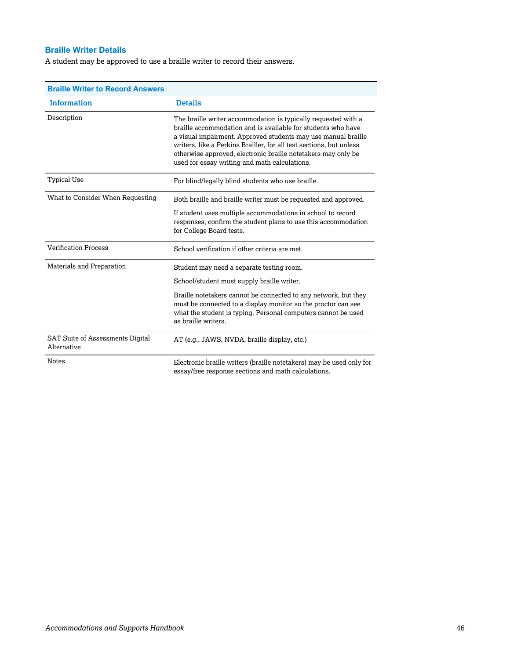## **Braille Writer Details**

A student may be approved to use a braille writer to record their answers.

| <b>Braille Writer to Record Answers</b>         |                                                                                                                                                                                                                                                                                                                                                                                          |
|-------------------------------------------------|------------------------------------------------------------------------------------------------------------------------------------------------------------------------------------------------------------------------------------------------------------------------------------------------------------------------------------------------------------------------------------------|
| <b>Information</b>                              | <b>Details</b>                                                                                                                                                                                                                                                                                                                                                                           |
| Description                                     | The braille writer accommodation is typically requested with a<br>braille accommodation and is available for students who have<br>a visual impairment. Approved students may use manual braille<br>writers, like a Perkins Brailler, for all test sections, but unless<br>otherwise approved, electronic braille notetakers may only be<br>used for essay writing and math calculations. |
| Typical Use                                     | For blind/legally blind students who use braille.                                                                                                                                                                                                                                                                                                                                        |
| What to Consider When Requesting                | Both braille and braille writer must be requested and approved.<br>If student uses multiple accommodations in school to record<br>responses, confirm the student plans to use this accommodation<br>for College Board tests.                                                                                                                                                             |
| <b>Verification Process</b>                     | School verification if other criteria are met.                                                                                                                                                                                                                                                                                                                                           |
| Materials and Preparation                       | Student may need a separate testing room.<br>School/student must supply braille writer.                                                                                                                                                                                                                                                                                                  |
|                                                 | Braille notetakers cannot be connected to any network, but they<br>must be connected to a display monitor so the proctor can see<br>what the student is typing. Personal computers cannot be used<br>as braille writers.                                                                                                                                                                 |
| SAT Suite of Assessments Digital<br>Alternative | AT (e.g., JAWS, NVDA, braille display, etc.)                                                                                                                                                                                                                                                                                                                                             |
| <b>Notes</b>                                    | Electronic braille writers (braille notetakers) may be used only for<br>essay/free response sections and math calculations.                                                                                                                                                                                                                                                              |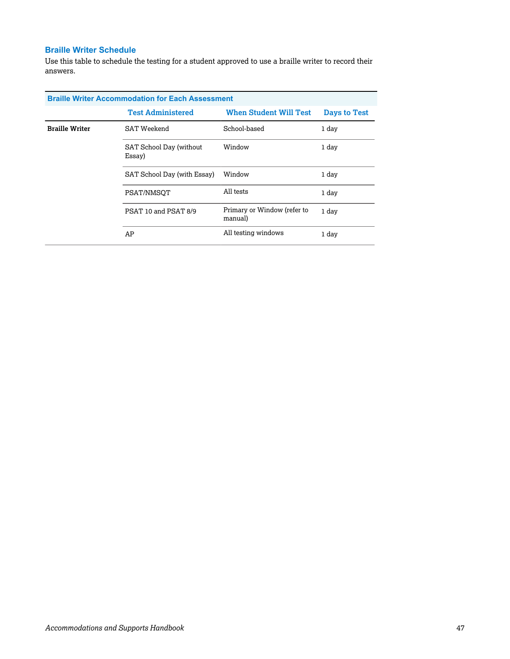## **Braille Writer Schedule**

Use this table to schedule the testing for a student approved to use a braille writer to record their answers.

| <b>Braille Writer Accommodation for Each Assessment</b> |                                   |                                        |                     |  |
|---------------------------------------------------------|-----------------------------------|----------------------------------------|---------------------|--|
|                                                         | <b>Test Administered</b>          | <b>When Student Will Test</b>          | <b>Days to Test</b> |  |
| <b>Braille Writer</b>                                   | SAT Weekend                       | School-based                           | 1 day               |  |
|                                                         | SAT School Day (without<br>Essay) | Window                                 | 1 day               |  |
|                                                         | SAT School Day (with Essay)       | Window                                 | 1 day               |  |
|                                                         | PSAT/NMSOT                        | All tests                              | 1 day               |  |
|                                                         | PSAT 10 and PSAT 8/9              | Primary or Window (refer to<br>manual) | 1 day               |  |
|                                                         | AP                                | All testing windows                    | 1 day               |  |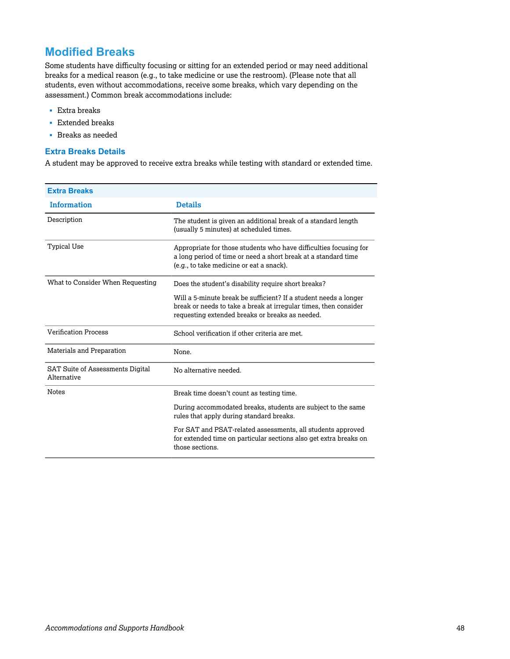## **Modified Breaks**

Some students have difficulty focusing or sitting for an extended period or may need additional breaks for a medical reason (e.g., to take medicine or use the restroom). (Please note that all students, even without accommodations, receive some breaks, which vary depending on the assessment.) Common break accommodations include:

- § Extra breaks
- § Extended breaks
- § Breaks as needed

#### **Extra Breaks Details**

A student may be approved to receive extra breaks while testing with standard or extended time.

| <b>Extra Breaks</b>                                    |                                                                                                                                                                                         |
|--------------------------------------------------------|-----------------------------------------------------------------------------------------------------------------------------------------------------------------------------------------|
| <b>Information</b>                                     | <b>Details</b>                                                                                                                                                                          |
| Description                                            | The student is given an additional break of a standard length<br>(usually 5 minutes) at scheduled times.                                                                                |
| <b>Typical Use</b>                                     | Appropriate for those students who have difficulties focusing for<br>a long period of time or need a short break at a standard time<br>(e.g., to take medicine or eat a snack).         |
| What to Consider When Requesting                       | Does the student's disability require short breaks?                                                                                                                                     |
|                                                        | Will a 5-minute break be sufficient? If a student needs a longer<br>break or needs to take a break at irregular times, then consider<br>requesting extended breaks or breaks as needed. |
| <b>Verification Process</b>                            | School verification if other criteria are met.                                                                                                                                          |
| Materials and Preparation                              | None.                                                                                                                                                                                   |
| <b>SAT Suite of Assessments Digital</b><br>Alternative | No alternative needed.                                                                                                                                                                  |
| <b>Notes</b>                                           | Break time doesn't count as testing time.                                                                                                                                               |
|                                                        | During accommodated breaks, students are subject to the same<br>rules that apply during standard breaks.                                                                                |
|                                                        | For SAT and PSAT-related assessments, all students approved<br>for extended time on particular sections also get extra breaks on<br>those sections.                                     |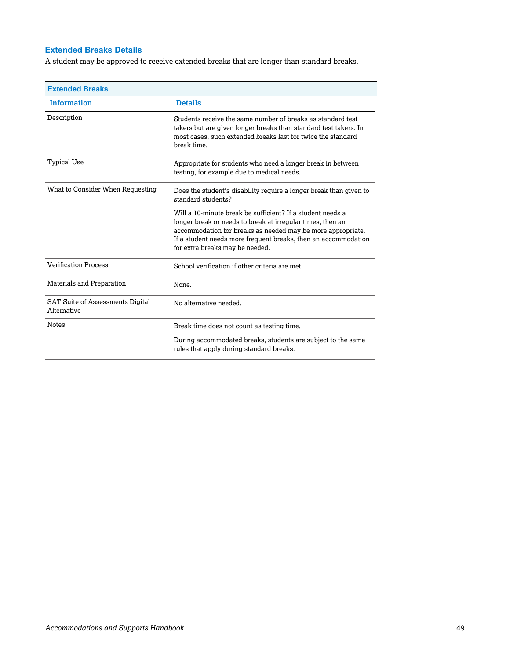## **Extended Breaks Details**

A student may be approved to receive extended breaks that are longer than standard breaks.

| <b>Extended Breaks</b>                                 |                                                                                                                                                                                                                                                                                              |
|--------------------------------------------------------|----------------------------------------------------------------------------------------------------------------------------------------------------------------------------------------------------------------------------------------------------------------------------------------------|
| <b>Information</b>                                     | <b>Details</b>                                                                                                                                                                                                                                                                               |
| Description                                            | Students receive the same number of breaks as standard test<br>takers but are given longer breaks than standard test takers. In<br>most cases, such extended breaks last for twice the standard<br>break time.                                                                               |
| Typical Use                                            | Appropriate for students who need a longer break in between<br>testing, for example due to medical needs.                                                                                                                                                                                    |
| What to Consider When Requesting                       | Does the student's disability require a longer break than given to<br>standard students?                                                                                                                                                                                                     |
|                                                        | Will a 10-minute break be sufficient? If a student needs a<br>longer break or needs to break at irregular times, then an<br>accommodation for breaks as needed may be more appropriate.<br>If a student needs more frequent breaks, then an accommodation<br>for extra breaks may be needed. |
| <b>Verification Process</b>                            | School verification if other criteria are met.                                                                                                                                                                                                                                               |
| Materials and Preparation                              | None.                                                                                                                                                                                                                                                                                        |
| <b>SAT Suite of Assessments Digital</b><br>Alternative | No alternative needed.                                                                                                                                                                                                                                                                       |
| <b>Notes</b>                                           | Break time does not count as testing time.                                                                                                                                                                                                                                                   |
|                                                        | During accommodated breaks, students are subject to the same<br>rules that apply during standard breaks.                                                                                                                                                                                     |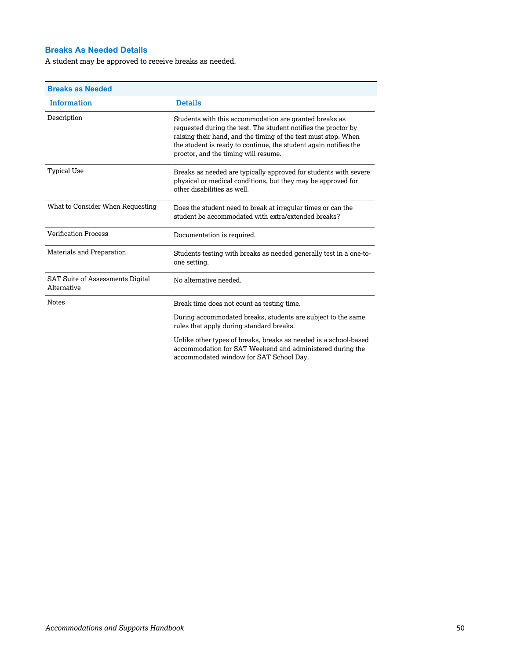## **Breaks As Needed Details**

A student may be approved to receive breaks as needed.

| <b>Breaks as Needed</b>                                |                                                                                                                                                                                                                                                                                                        |
|--------------------------------------------------------|--------------------------------------------------------------------------------------------------------------------------------------------------------------------------------------------------------------------------------------------------------------------------------------------------------|
| <b>Information</b>                                     | <b>Details</b>                                                                                                                                                                                                                                                                                         |
| Description                                            | Students with this accommodation are granted breaks as<br>requested during the test. The student notifies the proctor by<br>raising their hand, and the timing of the test must stop. When<br>the student is ready to continue, the student again notifies the<br>proctor, and the timing will resume. |
| <b>Typical Use</b>                                     | Breaks as needed are typically approved for students with severe<br>physical or medical conditions, but they may be approved for<br>other disabilities as well.                                                                                                                                        |
| What to Consider When Requesting                       | Does the student need to break at irregular times or can the<br>student be accommodated with extra/extended breaks?                                                                                                                                                                                    |
| <b>Verification Process</b>                            | Documentation is required.                                                                                                                                                                                                                                                                             |
| Materials and Preparation                              | Students testing with breaks as needed generally test in a one-to-<br>one setting.                                                                                                                                                                                                                     |
| <b>SAT Suite of Assessments Digital</b><br>Alternative | No alternative needed.                                                                                                                                                                                                                                                                                 |
| Notes                                                  | Break time does not count as testing time.                                                                                                                                                                                                                                                             |
|                                                        | During accommodated breaks, students are subject to the same<br>rules that apply during standard breaks.                                                                                                                                                                                               |
|                                                        | Unlike other types of breaks, breaks as needed is a school-based<br>accommodation for SAT Weekend and administered during the<br>accommodated window for SAT School Day.                                                                                                                               |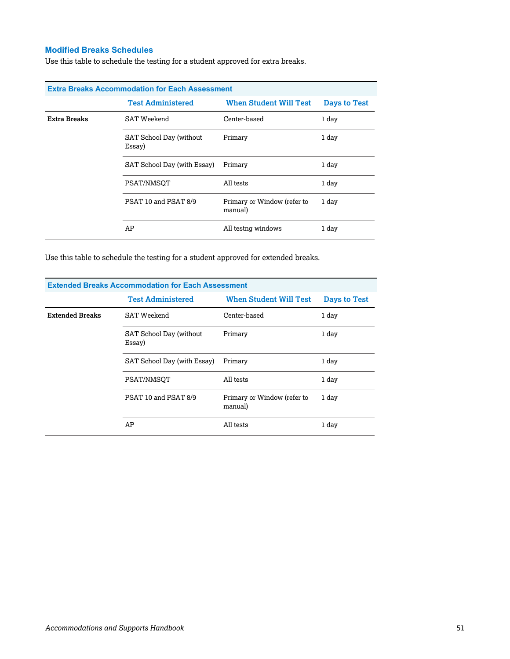## **Modified Breaks Schedules**

Use this table to schedule the testing for a student approved for extra breaks.

| <b>Extra Breaks Accommodation for Each Assessment</b> |                                   |                                        |              |  |
|-------------------------------------------------------|-----------------------------------|----------------------------------------|--------------|--|
|                                                       | <b>Test Administered</b>          | <b>When Student Will Test</b>          | Days to Test |  |
| Extra Breaks                                          | SAT Weekend                       | Center-based                           | 1 day        |  |
|                                                       | SAT School Day (without<br>Essay) | Primary                                | 1 day        |  |
|                                                       | SAT School Day (with Essay)       | Primary                                | 1 day        |  |
|                                                       | PSAT/NMSOT                        | All tests                              | 1 day        |  |
|                                                       | PSAT 10 and PSAT 8/9              | Primary or Window (refer to<br>manual) | 1 day        |  |
|                                                       | AP                                | All testng windows                     | 1 day        |  |

Use this table to schedule the testing for a student approved for extended breaks.

| <b>Extended Breaks Accommodation for Each Assessment</b> |                                   |                                        |              |  |
|----------------------------------------------------------|-----------------------------------|----------------------------------------|--------------|--|
|                                                          | <b>Test Administered</b>          | <b>When Student Will Test</b>          | Days to Test |  |
| <b>Extended Breaks</b>                                   | <b>SAT Weekend</b>                | Center-based                           | 1 day        |  |
|                                                          | SAT School Day (without<br>Essay) | Primary                                | 1 day        |  |
|                                                          | SAT School Day (with Essay)       | Primary                                | 1 day        |  |
|                                                          | PSAT/NMSOT                        | All tests                              | 1 day        |  |
|                                                          | PSAT 10 and PSAT 8/9              | Primary or Window (refer to<br>manual) | 1 day        |  |
|                                                          | AP                                | All tests                              | 1 day        |  |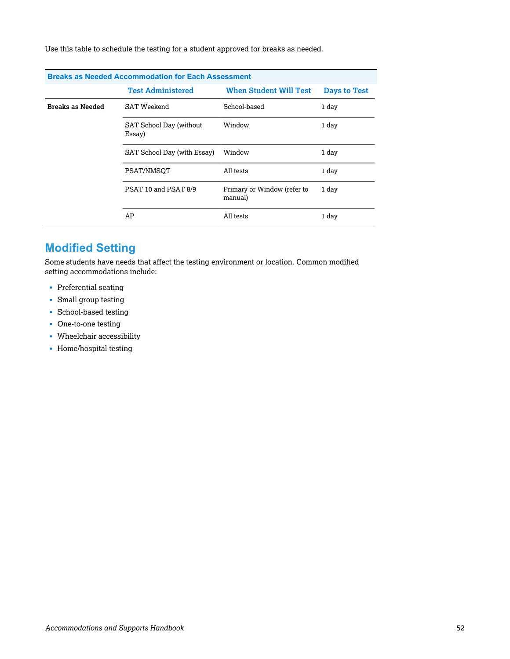Use this table to schedule the testing for a student approved for breaks as needed.

| <b>Breaks as Needed Accommodation for Each Assessment</b> |                                   |                                        |              |  |
|-----------------------------------------------------------|-----------------------------------|----------------------------------------|--------------|--|
|                                                           | <b>Test Administered</b>          | <b>When Student Will Test</b>          | Days to Test |  |
| <b>Breaks as Needed</b>                                   | <b>SAT Weekend</b>                | School-based                           | 1 day        |  |
|                                                           | SAT School Day (without<br>Essay) | Window                                 | 1 day        |  |
|                                                           | SAT School Day (with Essay)       | Window                                 | 1 day        |  |
|                                                           | PSAT/NMSOT                        | All tests                              | 1 day        |  |
|                                                           | PSAT 10 and PSAT 8/9              | Primary or Window (refer to<br>manual) | 1 day        |  |
|                                                           | AP                                | All tests                              | 1 day        |  |

## **Modified Setting**

Some students have needs that affect the testing environment or location. Common modified setting accommodations include:

- § Preferential seating
- § Small group testing
- § School-based testing
- One-to-one testing
- § Wheelchair accessibility
- § Home/hospital testing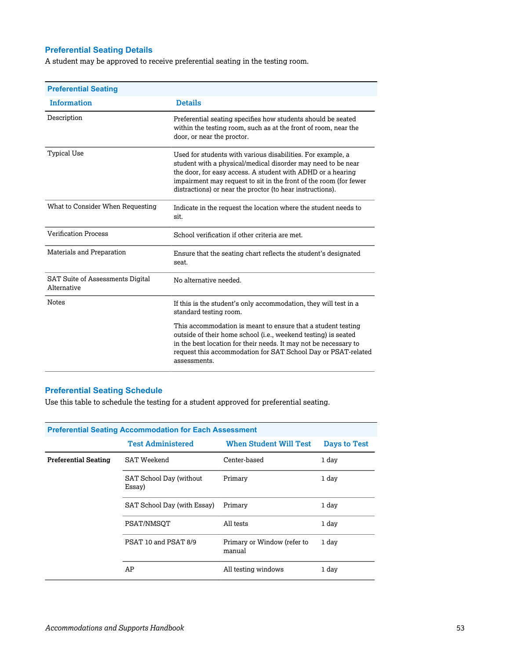## **Preferential Seating Details**

A student may be approved to receive preferential seating in the testing room.

| <b>Preferential Seating</b>                            |                                                                                                                                                                                                                                                                                                                              |
|--------------------------------------------------------|------------------------------------------------------------------------------------------------------------------------------------------------------------------------------------------------------------------------------------------------------------------------------------------------------------------------------|
| <b>Information</b>                                     | <b>Details</b>                                                                                                                                                                                                                                                                                                               |
| Description                                            | Preferential seating specifies how students should be seated<br>within the testing room, such as at the front of room, near the<br>door, or near the proctor.                                                                                                                                                                |
| Typical Use                                            | Used for students with various disabilities. For example, a<br>student with a physical/medical disorder may need to be near<br>the door, for easy access. A student with ADHD or a hearing<br>impairment may request to sit in the front of the room (for fewer<br>distractions) or near the proctor (to hear instructions). |
| What to Consider When Requesting                       | Indicate in the request the location where the student needs to<br>sit.                                                                                                                                                                                                                                                      |
| <b>Verification Process</b>                            | School verification if other criteria are met.                                                                                                                                                                                                                                                                               |
| Materials and Preparation                              | Ensure that the seating chart reflects the student's designated<br>seat.                                                                                                                                                                                                                                                     |
| <b>SAT Suite of Assessments Digital</b><br>Alternative | No alternative needed.                                                                                                                                                                                                                                                                                                       |
| <b>Notes</b>                                           | If this is the student's only accommodation, they will test in a<br>standard testing room.                                                                                                                                                                                                                                   |
|                                                        | This accommodation is meant to ensure that a student testing<br>outside of their home school (i.e., weekend testing) is seated<br>in the best location for their needs. It may not be necessary to<br>request this accommodation for SAT School Day or PSAT-related<br>assessments.                                          |

## **Preferential Seating Schedule**

Use this table to schedule the testing for a student approved for preferential seating.

| <b>Preferential Seating Accommodation for Each Assessment</b> |                                   |                                       |                     |  |
|---------------------------------------------------------------|-----------------------------------|---------------------------------------|---------------------|--|
|                                                               | <b>Test Administered</b>          | <b>When Student Will Test</b>         | <b>Days to Test</b> |  |
| <b>Preferential Seating</b>                                   | SAT Weekend                       | Center-based                          | 1 day               |  |
|                                                               | SAT School Day (without<br>Essay) | Primary                               | 1 day               |  |
|                                                               | SAT School Day (with Essay)       | Primary                               | 1 day               |  |
|                                                               | PSAT/NMSOT                        | All tests                             | 1 day               |  |
|                                                               | PSAT 10 and PSAT 8/9              | Primary or Window (refer to<br>manual | 1 day               |  |
|                                                               | AP                                | All testing windows                   | 1 day               |  |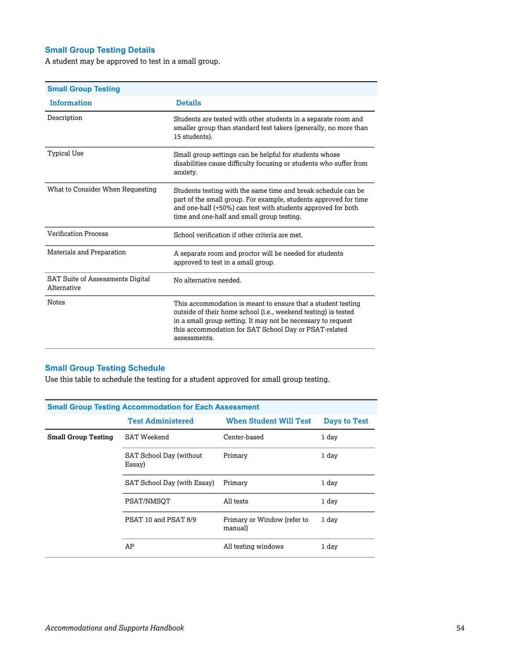## **Small Group Testing Details**

A student may be approved to test in a small group.

| <b>Small Group Testing</b>                             |                                                                                                                                                                                                                                                                         |
|--------------------------------------------------------|-------------------------------------------------------------------------------------------------------------------------------------------------------------------------------------------------------------------------------------------------------------------------|
| <b>Information</b>                                     | <b>Details</b>                                                                                                                                                                                                                                                          |
| Description                                            | Students are tested with other students in a separate room and<br>smaller group than standard test takers (generally, no more than<br>15 students).                                                                                                                     |
| Typical Use                                            | Small group settings can be helpful for students whose<br>disabilities cause difficulty focusing or students who suffer from<br>anxiety.                                                                                                                                |
| What to Consider When Requesting                       | Students testing with the same time and break schedule can be<br>part of the small group. For example, students approved for time<br>and one-half (+50%) can test with students approved for both<br>time and one-half and small group testing.                         |
| <b>Verification Process</b>                            | School verification if other criteria are met.                                                                                                                                                                                                                          |
| Materials and Preparation                              | A separate room and proctor will be needed for students<br>approved to test in a small group.                                                                                                                                                                           |
| <b>SAT Suite of Assessments Digital</b><br>Alternative | No alternative needed.                                                                                                                                                                                                                                                  |
| <b>Notes</b>                                           | This accommodation is meant to ensure that a student testing<br>outside of their home school (i.e., weekend testing) is tested<br>in a small group setting. It may not be necessary to request<br>this accommodation for SAT School Day or PSAT-related<br>assessments. |

## **Small Group Testing Schedule**

Use this table to schedule the testing for a student approved for small group testing.

| <b>Small Group Testing Accommodation for Each Assessment</b> |                                   |                                        |              |  |
|--------------------------------------------------------------|-----------------------------------|----------------------------------------|--------------|--|
|                                                              | <b>Test Administered</b>          | <b>When Student Will Test</b>          | Days to Test |  |
| <b>Small Group Testing</b>                                   | <b>SAT Weekend</b>                | Center-based                           | 1 day        |  |
|                                                              | SAT School Day (without<br>Essay) | Primary                                | 1 day        |  |
|                                                              | SAT School Day (with Essay)       | Primary                                | 1 day        |  |
|                                                              | PSAT/NMSOT                        | All tests                              | 1 day        |  |
|                                                              | PSAT 10 and PSAT 8/9              | Primary or Window (refer to<br>manual) | 1 day        |  |
|                                                              | AP                                | All testing windows                    | 1 day        |  |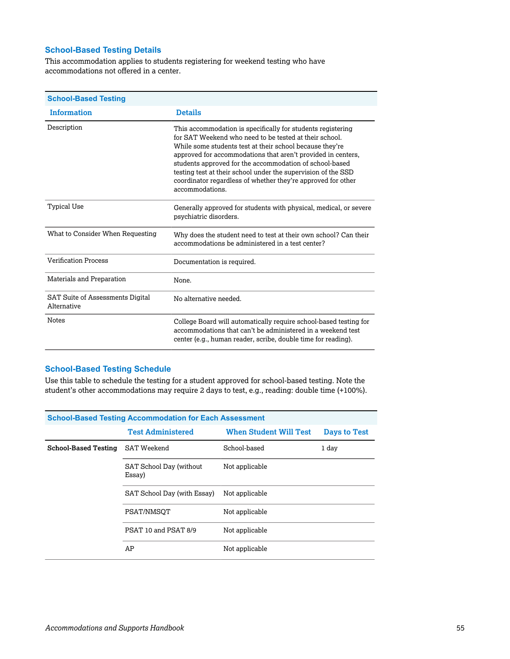## **School-Based Testing Details**

This accommodation applies to students registering for weekend testing who have accommodations not offered in a center.

| <b>School-Based Testing</b>                     |                                                                                                                                                                                                                                                                                                                                                                                                                                                                  |
|-------------------------------------------------|------------------------------------------------------------------------------------------------------------------------------------------------------------------------------------------------------------------------------------------------------------------------------------------------------------------------------------------------------------------------------------------------------------------------------------------------------------------|
| <b>Information</b>                              | <b>Details</b>                                                                                                                                                                                                                                                                                                                                                                                                                                                   |
| Description                                     | This accommodation is specifically for students registering<br>for SAT Weekend who need to be tested at their school.<br>While some students test at their school because they're<br>approved for accommodations that aren't provided in centers,<br>students approved for the accommodation of school-based<br>testing test at their school under the supervision of the SSD<br>coordinator regardless of whether they're approved for other<br>accommodations. |
| <b>Typical Use</b>                              | Generally approved for students with physical, medical, or severe<br>psychiatric disorders.                                                                                                                                                                                                                                                                                                                                                                      |
| What to Consider When Requesting                | Why does the student need to test at their own school? Can their<br>accommodations be administered in a test center?                                                                                                                                                                                                                                                                                                                                             |
| <b>Verification Process</b>                     | Documentation is required.                                                                                                                                                                                                                                                                                                                                                                                                                                       |
| Materials and Preparation                       | None.                                                                                                                                                                                                                                                                                                                                                                                                                                                            |
| SAT Suite of Assessments Digital<br>Alternative | No alternative needed.                                                                                                                                                                                                                                                                                                                                                                                                                                           |
| <b>Notes</b>                                    | College Board will automatically require school-based testing for<br>accommodations that can't be administered in a weekend test<br>center (e.g., human reader, scribe, double time for reading).                                                                                                                                                                                                                                                                |

#### **School-Based Testing Schedule**

Use this table to schedule the testing for a student approved for school-based testing. Note the student's other accommodations may require 2 days to test, e.g., reading: double time (+100%).

| <b>School-Based Testing Accommodation for Each Assessment</b> |                                   |                               |              |  |
|---------------------------------------------------------------|-----------------------------------|-------------------------------|--------------|--|
|                                                               | <b>Test Administered</b>          | <b>When Student Will Test</b> | Days to Test |  |
| <b>School-Based Testing</b>                                   | SAT Weekend                       | School-based                  | 1 day        |  |
|                                                               | SAT School Day (without<br>Essay) | Not applicable                |              |  |
| SAT School Day (with Essay)                                   |                                   | Not applicable                |              |  |
|                                                               | PSAT/NMSOT                        | Not applicable                |              |  |
|                                                               | PSAT 10 and PSAT 8/9              | Not applicable                |              |  |
|                                                               | AP                                | Not applicable                |              |  |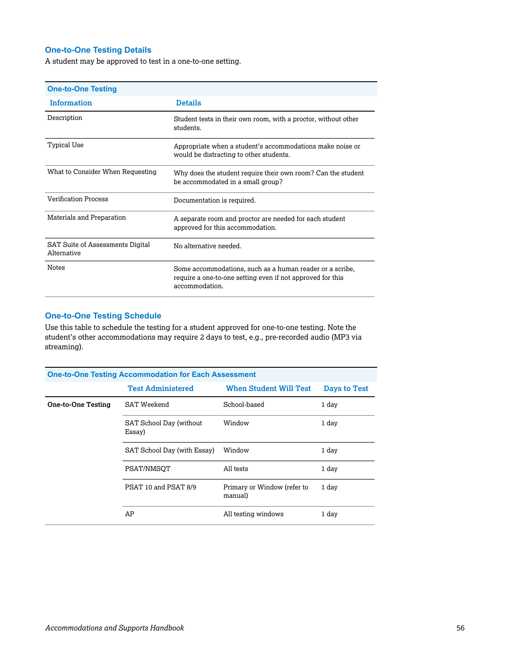## **One-to-One Testing Details**

A student may be approved to test in a one-to-one setting.

| <b>One-to-One Testing</b>                       |                                                                                                                                          |
|-------------------------------------------------|------------------------------------------------------------------------------------------------------------------------------------------|
| <b>Information</b>                              | <b>Details</b>                                                                                                                           |
| Description                                     | Student tests in their own room, with a proctor, without other<br>students.                                                              |
| Typical Use                                     | Appropriate when a student's accommodations make noise or<br>would be distracting to other students.                                     |
| What to Consider When Requesting                | Why does the student require their own room? Can the student<br>be accommodated in a small group?                                        |
| <b>Verification Process</b>                     | Documentation is required.                                                                                                               |
| Materials and Preparation                       | A separate room and proctor are needed for each student<br>approved for this accommodation.                                              |
| SAT Suite of Assessments Digital<br>Alternative | No alternative needed.                                                                                                                   |
| <b>Notes</b>                                    | Some accommodations, such as a human reader or a scribe,<br>require a one-to-one setting even if not approved for this<br>accommodation. |

## **One-to-One Testing Schedule**

Use this table to schedule the testing for a student approved for one-to-one testing. Note the student's other accommodations may require 2 days to test, e.g., pre-recorded audio (MP3 via streaming).

| <b>One-to-One Testing Accommodation for Each Assessment</b> |                                   |                                        |                     |  |
|-------------------------------------------------------------|-----------------------------------|----------------------------------------|---------------------|--|
|                                                             | <b>Test Administered</b>          | <b>When Student Will Test</b>          | <b>Days to Test</b> |  |
| <b>One-to-One Testing</b>                                   | <b>SAT Weekend</b>                | School-based                           | 1 day               |  |
|                                                             | SAT School Day (without<br>Essay) | Window                                 | 1 day               |  |
|                                                             | SAT School Day (with Essay)       | Window                                 | 1 day               |  |
|                                                             | PSAT/NMSOT                        | All tests                              | 1 day               |  |
|                                                             | PSAT 10 and PSAT 8/9              | Primary or Window (refer to<br>manual) | 1 day               |  |
|                                                             | AP                                | All testing windows                    | 1 day               |  |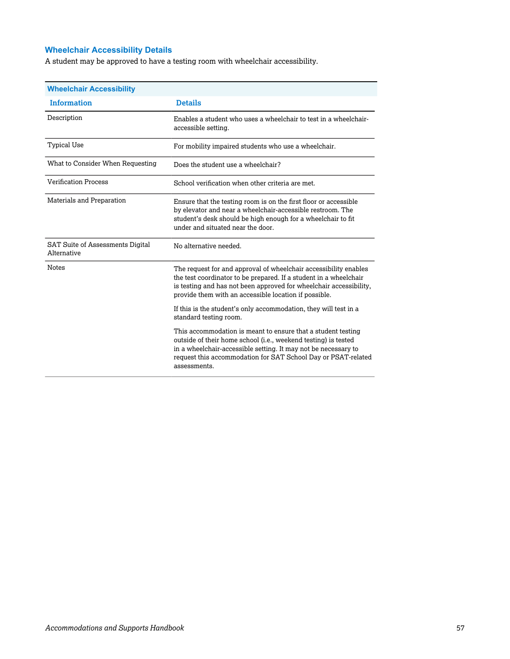## **Wheelchair Accessibility Details**

A student may be approved to have a testing room with wheelchair accessibility.

| <b>Wheelchair Accessibility</b>                        |                                                                                                                                                                                                                                                                                   |
|--------------------------------------------------------|-----------------------------------------------------------------------------------------------------------------------------------------------------------------------------------------------------------------------------------------------------------------------------------|
| <b>Information</b>                                     | <b>Details</b>                                                                                                                                                                                                                                                                    |
| Description                                            | Enables a student who uses a wheelchair to test in a wheelchair-<br>accessible setting.                                                                                                                                                                                           |
| <b>Typical Use</b>                                     | For mobility impaired students who use a wheelchair.                                                                                                                                                                                                                              |
| What to Consider When Requesting                       | Does the student use a wheelchair?                                                                                                                                                                                                                                                |
| <b>Verification Process</b>                            | School verification when other criteria are met.                                                                                                                                                                                                                                  |
| Materials and Preparation                              | Ensure that the testing room is on the first floor or accessible<br>by elevator and near a wheelchair-accessible restroom. The<br>student's desk should be high enough for a wheelchair to fit<br>under and situated near the door.                                               |
| <b>SAT Suite of Assessments Digital</b><br>Alternative | No alternative needed.                                                                                                                                                                                                                                                            |
| <b>Notes</b>                                           | The request for and approval of wheelchair accessibility enables<br>the test coordinator to be prepared. If a student in a wheelchair<br>is testing and has not been approved for wheelchair accessibility.<br>provide them with an accessible location if possible.              |
|                                                        | If this is the student's only accommodation, they will test in a<br>standard testing room.                                                                                                                                                                                        |
|                                                        | This accommodation is meant to ensure that a student testing<br>outside of their home school (i.e., weekend testing) is tested<br>in a wheelchair-accessible setting. It may not be necessary to<br>request this accommodation for SAT School Day or PSAT-related<br>assessments. |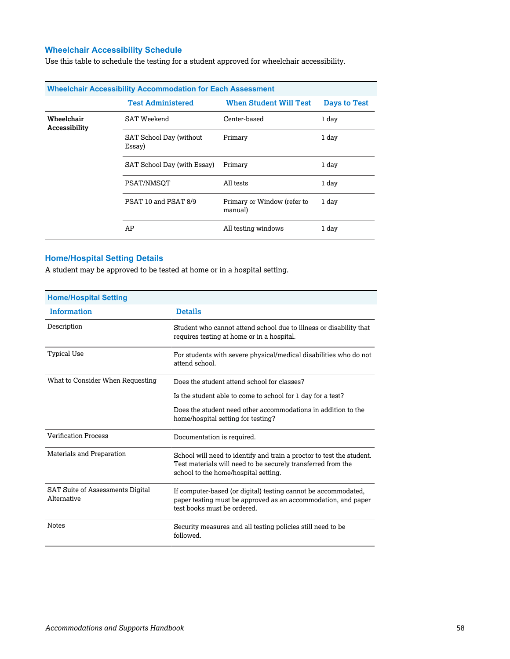## **Wheelchair Accessibility Schedule**

Use this table to schedule the testing for a student approved for wheelchair accessibility.

| <b>Wheelchair Accessibility Accommodation for Each Assessment</b> |                                   |                                        |                     |  |
|-------------------------------------------------------------------|-----------------------------------|----------------------------------------|---------------------|--|
|                                                                   | <b>Test Administered</b>          | <b>When Student Will Test</b>          | <b>Days to Test</b> |  |
| Wheelchair<br>Accessibility                                       | <b>SAT Weekend</b>                | Center-based                           | 1 day               |  |
|                                                                   | SAT School Day (without<br>Essay) | Primary                                | 1 day               |  |
|                                                                   | SAT School Day (with Essay)       | Primary                                | 1 day               |  |
|                                                                   | PSAT/NMSOT                        | All tests                              | 1 day               |  |
|                                                                   | PSAT 10 and PSAT 8/9              | Primary or Window (refer to<br>manual) | 1 day               |  |
|                                                                   | AP                                | All testing windows                    | 1 day               |  |

## **Home/Hospital Setting Details**

A student may be approved to be tested at home or in a hospital setting.

| <b>Home/Hospital Setting</b>                           |                                                                                                                                                                               |
|--------------------------------------------------------|-------------------------------------------------------------------------------------------------------------------------------------------------------------------------------|
| <b>Information</b>                                     | <b>Details</b>                                                                                                                                                                |
| Description                                            | Student who cannot attend school due to illness or disability that<br>requires testing at home or in a hospital.                                                              |
| Typical Use                                            | For students with severe physical/medical disabilities who do not<br>attend school.                                                                                           |
| What to Consider When Requesting                       | Does the student attend school for classes?                                                                                                                                   |
|                                                        | Is the student able to come to school for 1 day for a test?                                                                                                                   |
|                                                        | Does the student need other accommodations in addition to the<br>home/hospital setting for testing?                                                                           |
| <b>Verification Process</b>                            | Documentation is required.                                                                                                                                                    |
| Materials and Preparation                              | School will need to identify and train a proctor to test the student.<br>Test materials will need to be securely transferred from the<br>school to the home/hospital setting. |
| <b>SAT Suite of Assessments Digital</b><br>Alternative | If computer-based (or digital) testing cannot be accommodated,<br>paper testing must be approved as an accommodation, and paper<br>test books must be ordered.                |
| <b>Notes</b>                                           | Security measures and all testing policies still need to be<br>followed.                                                                                                      |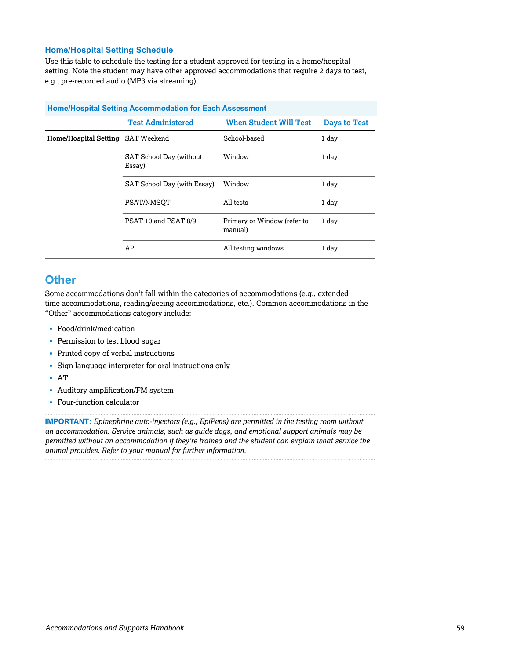#### **Home/Hospital Setting Schedule**

Use this table to schedule the testing for a student approved for testing in a home/hospital setting. Note the student may have other approved accommodations that require 2 days to test, e.g., pre-recorded audio (MP3 via streaming).

| <b>Home/Hospital Setting Accommodation for Each Assessment</b> |                                   |                                        |                     |  |
|----------------------------------------------------------------|-----------------------------------|----------------------------------------|---------------------|--|
|                                                                | <b>Test Administered</b>          | <b>When Student Will Test</b>          | <b>Days to Test</b> |  |
| Home/Hospital Setting SAT Weekend                              |                                   | School-based                           | 1 day               |  |
|                                                                | SAT School Day (without<br>Essay) | Window                                 | 1 day               |  |
| SAT School Day (with Essay)                                    |                                   | Window                                 | 1 day               |  |
|                                                                | PSAT/NMSOT                        | All tests                              | 1 day               |  |
|                                                                | PSAT 10 and PSAT 8/9              | Primary or Window (refer to<br>manual) | 1 day               |  |
|                                                                | AP                                | All testing windows                    | 1 day               |  |

## **Other**

Some accommodations don't fall within the categories of accommodations (e.g., extended time accommodations, reading/seeing accommodations, etc.). Common accommodations in the "Other" accommodations category include:

- § Food/drink/medication
- Permission to test blood sugar
- Printed copy of verbal instructions
- Sign language interpreter for oral instructions only
- § AT
- § Auditory amplification/FM system
- Four-function calculator

**IMPORTANT:** *Epinephrine auto-injectors (e.g., EpiPens) are permitted in the testing room without an accommodation. Service animals, such as guide dogs, and emotional support animals may be permitted without an accommodation if they're trained and the student can explain what service the animal provides. Refer to your manual for further information.*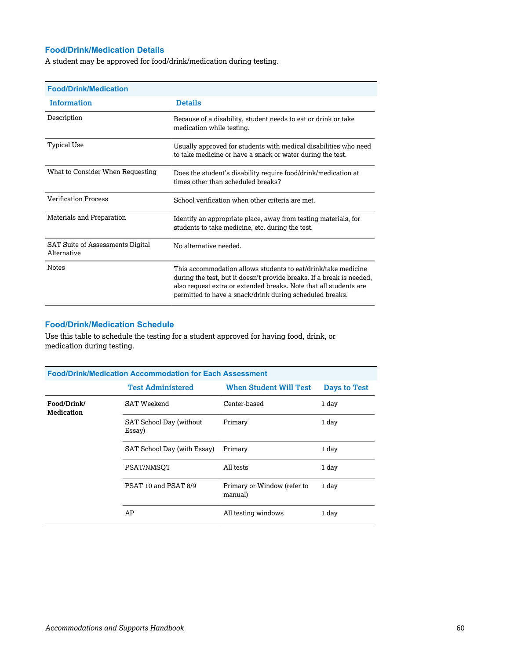#### **Food/Drink/Medication Details**

A student may be approved for food/drink/medication during testing.

| <b>Food/Drink/Medication</b>                    |                                                                                                                                                                                                                                                                         |
|-------------------------------------------------|-------------------------------------------------------------------------------------------------------------------------------------------------------------------------------------------------------------------------------------------------------------------------|
| <b>Information</b>                              | <b>Details</b>                                                                                                                                                                                                                                                          |
| Description                                     | Because of a disability, student needs to eat or drink or take<br>medication while testing.                                                                                                                                                                             |
| <b>Typical Use</b>                              | Usually approved for students with medical disabilities who need<br>to take medicine or have a snack or water during the test.                                                                                                                                          |
| What to Consider When Requesting                | Does the student's disability require food/drink/medication at<br>times other than scheduled breaks?                                                                                                                                                                    |
| <b>Verification Process</b>                     | School verification when other criteria are met.                                                                                                                                                                                                                        |
| Materials and Preparation                       | Identify an appropriate place, away from testing materials, for<br>students to take medicine, etc. during the test.                                                                                                                                                     |
| SAT Suite of Assessments Digital<br>Alternative | No alternative needed.                                                                                                                                                                                                                                                  |
| <b>Notes</b>                                    | This accommodation allows students to eat/drink/take medicine<br>during the test, but it doesn't provide breaks. If a break is needed,<br>also request extra or extended breaks. Note that all students are<br>permitted to have a snack/drink during scheduled breaks. |

## **Food/Drink/Medication Schedule**

Use this table to schedule the testing for a student approved for having food, drink, or medication during testing.

| <b>Food/Drink/Medication Accommodation for Each Assessment</b> |                                   |                                        |                     |  |
|----------------------------------------------------------------|-----------------------------------|----------------------------------------|---------------------|--|
|                                                                | <b>Test Administered</b>          | <b>When Student Will Test</b>          | <b>Days to Test</b> |  |
| Food/Drink/<br><b>Medication</b>                               | SAT Weekend                       | Center-based                           | 1 day               |  |
|                                                                | SAT School Day (without<br>Essay) | Primary                                | 1 day               |  |
|                                                                | SAT School Day (with Essay)       | Primary                                | 1 day               |  |
|                                                                | PSAT/NMSOT                        | All tests                              | 1 day               |  |
|                                                                | PSAT 10 and PSAT 8/9              | Primary or Window (refer to<br>manual) | 1 day               |  |
|                                                                | AP                                | All testing windows                    | 1 day               |  |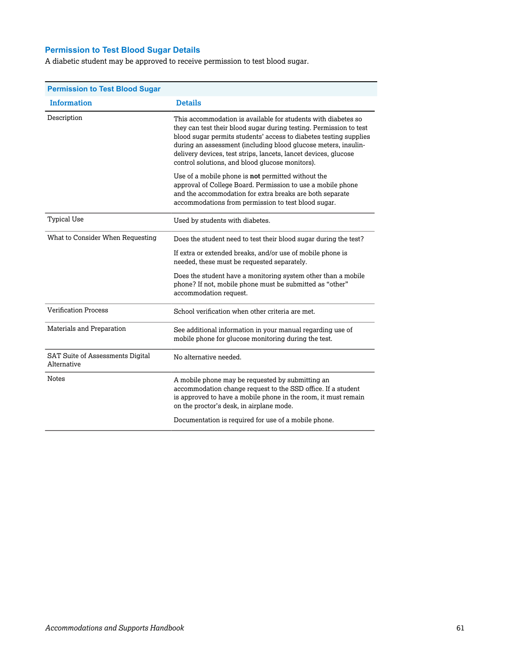## **Permission to Test Blood Sugar Details**

A diabetic student may be approved to receive permission to test blood sugar.

| <b>Permission to Test Blood Sugar</b>           |                                                                                                                                                                                                                                                                                                                                                                                                  |
|-------------------------------------------------|--------------------------------------------------------------------------------------------------------------------------------------------------------------------------------------------------------------------------------------------------------------------------------------------------------------------------------------------------------------------------------------------------|
| <b>Information</b>                              | <b>Details</b>                                                                                                                                                                                                                                                                                                                                                                                   |
| Description                                     | This accommodation is available for students with diabetes so<br>they can test their blood sugar during testing. Permission to test<br>blood sugar permits students' access to diabetes testing supplies<br>during an assessment (including blood glucose meters, insulin-<br>delivery devices, test strips, lancets, lancet devices, glucose<br>control solutions, and blood glucose monitors). |
|                                                 | Use of a mobile phone is <b>not</b> permitted without the<br>approval of College Board. Permission to use a mobile phone<br>and the accommodation for extra breaks are both separate<br>accommodations from permission to test blood sugar.                                                                                                                                                      |
| <b>Typical Use</b>                              | Used by students with diabetes.                                                                                                                                                                                                                                                                                                                                                                  |
| What to Consider When Requesting                | Does the student need to test their blood sugar during the test?                                                                                                                                                                                                                                                                                                                                 |
|                                                 | If extra or extended breaks, and/or use of mobile phone is<br>needed, these must be requested separately.                                                                                                                                                                                                                                                                                        |
|                                                 | Does the student have a monitoring system other than a mobile<br>phone? If not, mobile phone must be submitted as "other"<br>accommodation request.                                                                                                                                                                                                                                              |
| <b>Verification Process</b>                     | School verification when other criteria are met.                                                                                                                                                                                                                                                                                                                                                 |
| Materials and Preparation                       | See additional information in your manual regarding use of<br>mobile phone for glucose monitoring during the test.                                                                                                                                                                                                                                                                               |
| SAT Suite of Assessments Digital<br>Alternative | No alternative needed.                                                                                                                                                                                                                                                                                                                                                                           |
| <b>Notes</b>                                    | A mobile phone may be requested by submitting an<br>accommodation change request to the SSD office. If a student<br>is approved to have a mobile phone in the room, it must remain<br>on the proctor's desk, in airplane mode.                                                                                                                                                                   |
|                                                 | Documentation is required for use of a mobile phone.                                                                                                                                                                                                                                                                                                                                             |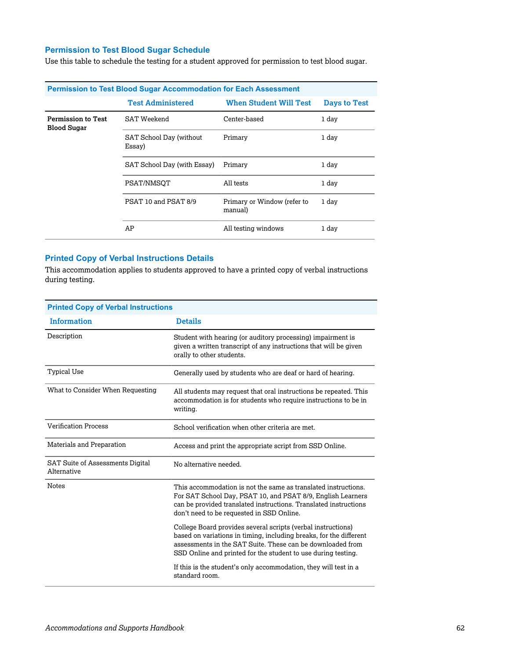## **Permission to Test Blood Sugar Schedule**

Use this table to schedule the testing for a student approved for permission to test blood sugar.

| <b>Permission to Test Blood Sugar Accommodation for Each Assessment</b> |                                   |                                        |                     |  |
|-------------------------------------------------------------------------|-----------------------------------|----------------------------------------|---------------------|--|
|                                                                         | <b>Test Administered</b>          | <b>When Student Will Test</b>          | <b>Days to Test</b> |  |
| <b>Permission to Test</b><br><b>Blood Sugar</b>                         | <b>SAT Weekend</b>                | Center-based                           | 1 day               |  |
|                                                                         | SAT School Day (without<br>Essay) | Primary                                | 1 day               |  |
|                                                                         | SAT School Day (with Essay)       | Primary                                | 1 day               |  |
|                                                                         | PSAT/NMSOT                        | All tests                              | 1 day               |  |
|                                                                         | PSAT 10 and PSAT 8/9              | Primary or Window (refer to<br>manual) | 1 day               |  |
|                                                                         | AP                                | All testing windows                    | 1 day               |  |

#### **Printed Copy of Verbal Instructions Details**

This accommodation applies to students approved to have a printed copy of verbal instructions during testing.

| <b>Printed Copy of Verbal Instructions</b>             |                                                                                                                                                                                                                                                                   |  |  |
|--------------------------------------------------------|-------------------------------------------------------------------------------------------------------------------------------------------------------------------------------------------------------------------------------------------------------------------|--|--|
| <b>Information</b>                                     | <b>Details</b>                                                                                                                                                                                                                                                    |  |  |
| Description                                            | Student with hearing (or auditory processing) impairment is<br>given a written transcript of any instructions that will be given<br>orally to other students.                                                                                                     |  |  |
| <b>Typical Use</b>                                     | Generally used by students who are deaf or hard of hearing.                                                                                                                                                                                                       |  |  |
| What to Consider When Requesting                       | All students may request that oral instructions be repeated. This<br>accommodation is for students who require instructions to be in<br>writing.                                                                                                                  |  |  |
| <b>Verification Process</b>                            | School verification when other criteria are met.                                                                                                                                                                                                                  |  |  |
| Materials and Preparation                              | Access and print the appropriate script from SSD Online.                                                                                                                                                                                                          |  |  |
| <b>SAT Suite of Assessments Digital</b><br>Alternative | No alternative needed.                                                                                                                                                                                                                                            |  |  |
| <b>Notes</b>                                           | This accommodation is not the same as translated instructions.<br>For SAT School Day, PSAT 10, and PSAT 8/9, English Learners<br>can be provided translated instructions. Translated instructions<br>don't need to be requested in SSD Online.                    |  |  |
|                                                        | College Board provides several scripts (verbal instructions)<br>based on variations in timing, including breaks, for the different<br>assessments in the SAT Suite. These can be downloaded from<br>SSD Online and printed for the student to use during testing. |  |  |
|                                                        | If this is the student's only accommodation, they will test in a<br>standard room.                                                                                                                                                                                |  |  |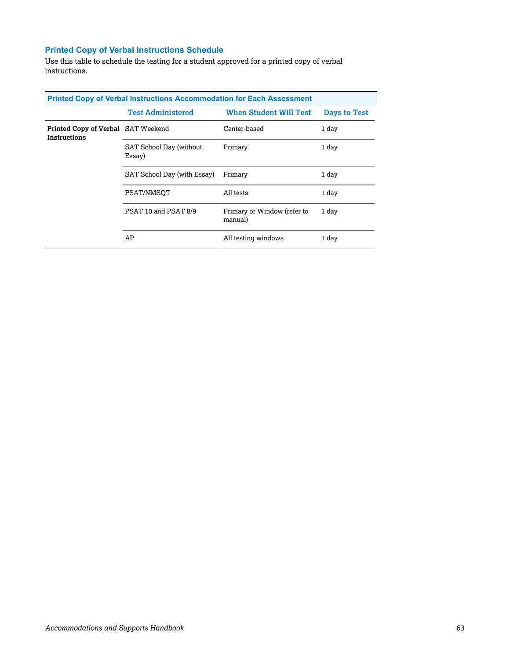## **Printed Copy of Verbal Instructions Schedule**

Use this table to schedule the testing for a student approved for a printed copy of verbal instructions.

| <b>Printed Copy of Verbal Instructions Accommodation for Each Assessment</b> |                                   |                                        |              |  |
|------------------------------------------------------------------------------|-----------------------------------|----------------------------------------|--------------|--|
|                                                                              | <b>Test Administered</b>          | <b>When Student Will Test</b>          | Days to Test |  |
| Printed Copy of Verbal SAT Weekend<br>Instructions                           |                                   | Center-based                           | 1 day        |  |
|                                                                              | SAT School Day (without<br>Essay) | Primary                                | 1 day        |  |
|                                                                              | SAT School Day (with Essay)       | Primary                                | 1 day        |  |
|                                                                              | PSAT/NMSOT                        | All tests                              | 1 day        |  |
|                                                                              | PSAT 10 and PSAT 8/9              | Primary or Window (refer to<br>manual) | 1 day        |  |
|                                                                              | AP                                | All testing windows                    | 1 day        |  |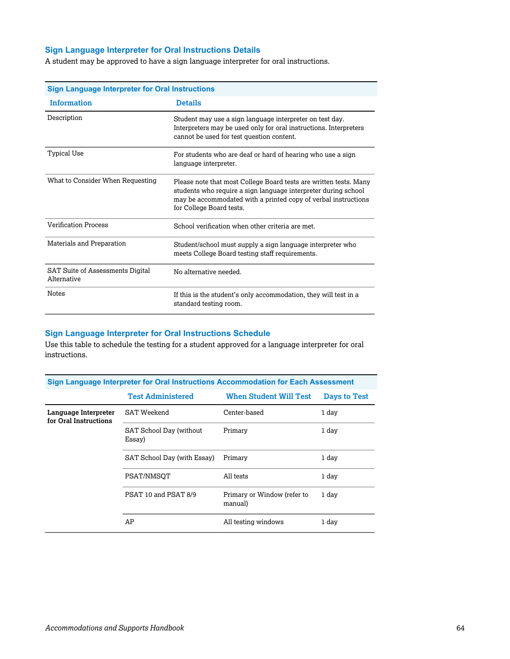## **Sign Language Interpreter for Oral Instructions Details**

A student may be approved to have a sign language interpreter for oral instructions.

| <b>Sign Language Interpreter for Oral Instructions</b> |                                                                                                                                                                                                                                   |  |  |
|--------------------------------------------------------|-----------------------------------------------------------------------------------------------------------------------------------------------------------------------------------------------------------------------------------|--|--|
| <b>Information</b>                                     | <b>Details</b>                                                                                                                                                                                                                    |  |  |
| Description                                            | Student may use a sign language interpreter on test day.<br>Interpreters may be used only for oral instructions. Interpreters<br>cannot be used for test question content.                                                        |  |  |
| <b>Typical Use</b>                                     | For students who are deaf or hard of hearing who use a sign<br>language interpreter.                                                                                                                                              |  |  |
| What to Consider When Requesting                       | Please note that most College Board tests are written tests. Many<br>students who require a sign language interpreter during school<br>may be accommodated with a printed copy of verbal instructions<br>for College Board tests. |  |  |
| <b>Verification Process</b>                            | School verification when other criteria are met.                                                                                                                                                                                  |  |  |
| Materials and Preparation                              | Student/school must supply a sign language interpreter who<br>meets College Board testing staff requirements.                                                                                                                     |  |  |
| SAT Suite of Assessments Digital<br>Alternative        | No alternative needed.                                                                                                                                                                                                            |  |  |
| <b>Notes</b>                                           | If this is the student's only accommodation, they will test in a<br>standard testing room.                                                                                                                                        |  |  |

#### **Sign Language Interpreter for Oral Instructions Schedule**

Use this table to schedule the testing for a student approved for a language interpreter for oral instructions.

| Sign Language Interpreter for Oral Instructions Accommodation for Each Assessment |                                   |                                        |              |  |
|-----------------------------------------------------------------------------------|-----------------------------------|----------------------------------------|--------------|--|
|                                                                                   | <b>Test Administered</b>          | <b>When Student Will Test</b>          | Days to Test |  |
| Language Interpreter<br>for Oral Instructions                                     | SAT Weekend                       | Center-based                           | 1 day        |  |
|                                                                                   | SAT School Day (without<br>Essay) | Primary                                | 1 day        |  |
|                                                                                   | SAT School Day (with Essay)       | Primary                                | 1 day        |  |
|                                                                                   | PSAT/NMSOT                        | All tests                              | 1 day        |  |
|                                                                                   | PSAT 10 and PSAT 8/9              | Primary or Window (refer to<br>manual) | 1 day        |  |
|                                                                                   | AP                                | All testing windows                    | 1 day        |  |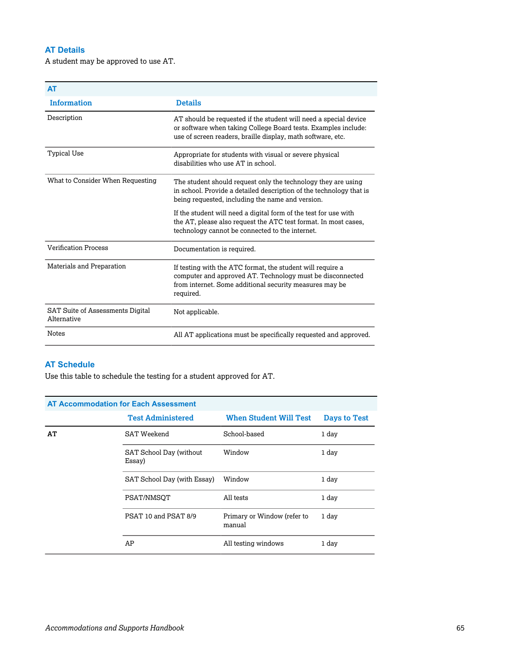## **AT Details**

A student may be approved to use AT.

| <b>AT</b>                                              |                                                                                                                                                                                                   |
|--------------------------------------------------------|---------------------------------------------------------------------------------------------------------------------------------------------------------------------------------------------------|
| <b>Information</b>                                     | <b>Details</b>                                                                                                                                                                                    |
| Description                                            | AT should be requested if the student will need a special device<br>or software when taking College Board tests. Examples include:<br>use of screen readers, braille display, math software, etc. |
| <b>Typical Use</b>                                     | Appropriate for students with visual or severe physical<br>disabilities who use AT in school.                                                                                                     |
| What to Consider When Requesting                       | The student should request only the technology they are using<br>in school. Provide a detailed description of the technology that is<br>being requested, including the name and version.          |
|                                                        | If the student will need a digital form of the test for use with<br>the AT, please also request the ATC test format. In most cases,<br>technology cannot be connected to the internet.            |
| <b>Verification Process</b>                            | Documentation is required.                                                                                                                                                                        |
| Materials and Preparation                              | If testing with the ATC format, the student will require a<br>computer and approved AT. Technology must be disconnected<br>from internet. Some additional security measures may be<br>required.   |
| <b>SAT Suite of Assessments Digital</b><br>Alternative | Not applicable.                                                                                                                                                                                   |
| <b>Notes</b>                                           | All AT applications must be specifically requested and approved.                                                                                                                                  |

## **AT Schedule**

Use this table to schedule the testing for a student approved for AT.

| <b>AT Accommodation for Each Assessment</b> |                                   |                                       |                     |  |
|---------------------------------------------|-----------------------------------|---------------------------------------|---------------------|--|
|                                             | <b>Test Administered</b>          | <b>When Student Will Test</b>         | <b>Days to Test</b> |  |
| AТ                                          | SAT Weekend                       | School-based                          | 1 day               |  |
|                                             | SAT School Day (without<br>Essay) | Window                                | 1 day               |  |
|                                             | SAT School Day (with Essay)       | Window                                | 1 day               |  |
|                                             | PSAT/NMSOT                        | All tests                             | 1 day               |  |
|                                             | PSAT 10 and PSAT 8/9              | Primary or Window (refer to<br>manual | 1 day               |  |
|                                             | AP                                | All testing windows                   | 1 day               |  |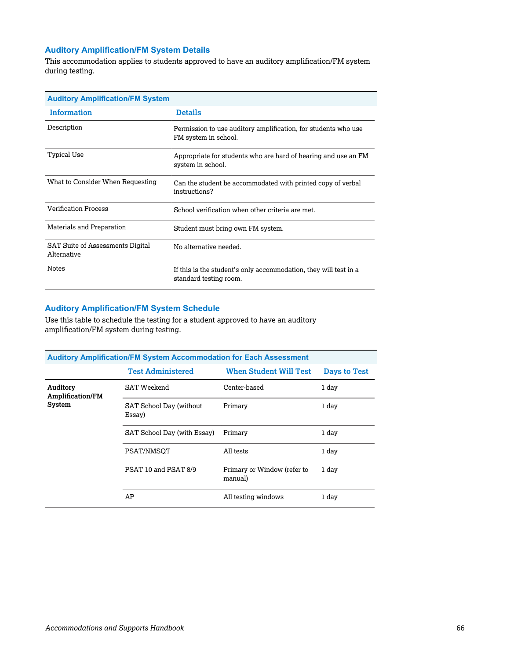## **Auditory Amplification/FM System Details**

This accommodation applies to students approved to have an auditory amplification/FM system during testing.

| <b>Auditory Amplification/FM System</b>         |                                                                                            |  |  |
|-------------------------------------------------|--------------------------------------------------------------------------------------------|--|--|
| <b>Information</b>                              | <b>Details</b>                                                                             |  |  |
| Description                                     | Permission to use auditory amplification, for students who use<br>FM system in school.     |  |  |
| Typical Use                                     | Appropriate for students who are hard of hearing and use an FM<br>system in school.        |  |  |
| What to Consider When Requesting                | Can the student be accommodated with printed copy of verbal<br>instructions?               |  |  |
| <b>Verification Process</b>                     | School verification when other criteria are met.                                           |  |  |
| Materials and Preparation                       | Student must bring own FM system.                                                          |  |  |
| SAT Suite of Assessments Digital<br>Alternative | No alternative needed.                                                                     |  |  |
| <b>Notes</b>                                    | If this is the student's only accommodation, they will test in a<br>standard testing room. |  |  |

## **Auditory Amplification/FM System Schedule**

Use this table to schedule the testing for a student approved to have an auditory amplification/FM system during testing.

| <b>Auditory Amplification/FM System Accommodation for Each Assessment</b> |                                   |                                        |              |  |
|---------------------------------------------------------------------------|-----------------------------------|----------------------------------------|--------------|--|
|                                                                           | <b>Test Administered</b>          | <b>When Student Will Test</b>          | Days to Test |  |
| Auditory<br><b>Amplification/FM</b><br>System                             | SAT Weekend                       | Center-based                           | 1 day        |  |
|                                                                           | SAT School Day (without<br>Essay) | Primary                                | 1 day        |  |
|                                                                           | SAT School Day (with Essay)       | Primary                                | 1 day        |  |
|                                                                           | PSAT/NMSOT                        | All tests                              | 1 day        |  |
|                                                                           | PSAT 10 and PSAT 8/9              | Primary or Window (refer to<br>manual) | 1 day        |  |
|                                                                           | AP                                | All testing windows                    | 1 day        |  |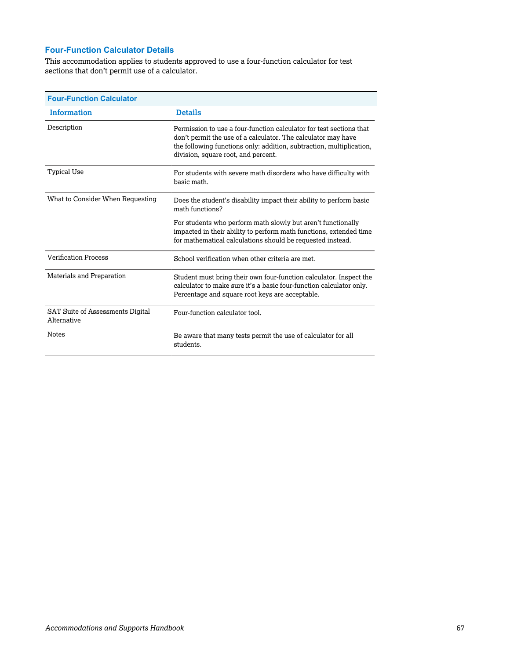## **Four-Function Calculator Details**

This accommodation applies to students approved to use a four-function calculator for test sections that don't permit use of a calculator.

| <b>Four-Function Calculator</b>                        |                                                                                                                                                                                                                                                     |
|--------------------------------------------------------|-----------------------------------------------------------------------------------------------------------------------------------------------------------------------------------------------------------------------------------------------------|
| <b>Information</b>                                     | <b>Details</b>                                                                                                                                                                                                                                      |
| Description                                            | Permission to use a four-function calculator for test sections that<br>don't permit the use of a calculator. The calculator may have<br>the following functions only: addition, subtraction, multiplication,<br>division, square root, and percent. |
| Typical Use                                            | For students with severe math disorders who have difficulty with<br>basic math.                                                                                                                                                                     |
| What to Consider When Requesting                       | Does the student's disability impact their ability to perform basic<br>math functions?                                                                                                                                                              |
|                                                        | For students who perform math slowly but aren't functionally<br>impacted in their ability to perform math functions, extended time<br>for mathematical calculations should be requested instead.                                                    |
| <b>Verification Process</b>                            | School verification when other criteria are met.                                                                                                                                                                                                    |
| Materials and Preparation                              | Student must bring their own four-function calculator. Inspect the<br>calculator to make sure it's a basic four-function calculator only.<br>Percentage and square root keys are acceptable.                                                        |
| <b>SAT Suite of Assessments Digital</b><br>Alternative | Four-function calculator tool.                                                                                                                                                                                                                      |
| <b>Notes</b>                                           | Be aware that many tests permit the use of calculator for all<br>students.                                                                                                                                                                          |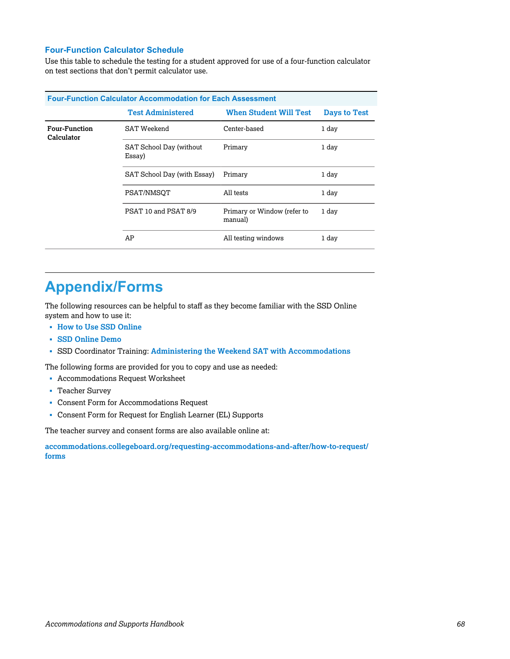## **Four-Function Calculator Schedule**

Use this table to schedule the testing for a student approved for use of a four-function calculator on test sections that don't permit calculator use.

| <b>Four-Function Calculator Accommodation for Each Assessment</b> |                                   |                                        |              |  |  |
|-------------------------------------------------------------------|-----------------------------------|----------------------------------------|--------------|--|--|
|                                                                   | <b>Test Administered</b>          | <b>When Student Will Test</b>          | Days to Test |  |  |
| <b>Four-Function</b><br>Calculator                                | <b>SAT Weekend</b>                | Center-based                           | 1 day        |  |  |
|                                                                   | SAT School Day (without<br>Essay) | Primary                                | 1 day        |  |  |
|                                                                   | SAT School Day (with Essay)       | Primary                                | 1 day        |  |  |
|                                                                   | PSAT/NMSOT                        | All tests                              | 1 day        |  |  |
|                                                                   | PSAT 10 and PSAT 8/9              | Primary or Window (refer to<br>manual) | 1 day        |  |  |
|                                                                   | AP                                | All testing windows                    | 1 day        |  |  |

## **Appendix/Forms**

The following resources can be helpful to staff as they become familiar with the SSD Online system and how to use it:

- § **[How to Use SSD Online](https://accommodations.collegeboard.org/media/pdf/how-to-use-ssd-online.pdf)**
- § **[SSD Online Demo](https://satsuiteofassessments.articulate-online.com/p/2983185736)**
- § SSD Coordinator Training: **[Administering the Weekend SAT with Accommodations](https://satsuiteofassessments.articulate-online.com/ContentRegistration.aspx?DocumentID=8979f83f-a111-4fc5-a045-d7fd499362ce&Cust=29831&ReturnUrl=/p/2983194916)**

The following forms are provided for you to copy and use as needed:

- § Accommodations Request Worksheet
- § Teacher Survey
- § Consent Form for Accommodations Request
- § Consent Form for Request for English Learner (EL) Supports

The teacher survey and consent forms are also available online at:

**[accommodations.collegeboard.org/requesting-accommodations-and-after/how-to-request/](https://accommodations.collegeboard.org/requesting-accommodations-and-after/how-to-request/forms) forms**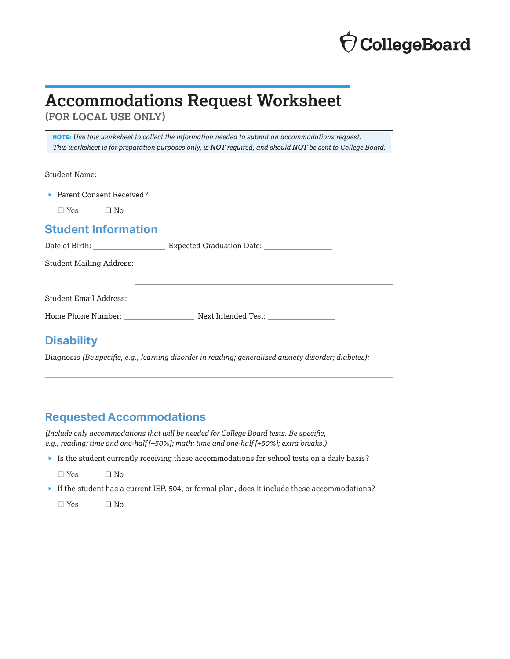# **CollegeBoard**

## **Accommodations Request Worksheet**

**(FOR LOCAL USE ONLY)**

**NOTE:** *Use this worksheet to collect the information needed to submit an accommodations request. This worksheet is for preparation purposes only, is NOT required, and should NOT be sent to College Board.*

Student Name:

▶ Parent Consent Received?

 $\Box$  Yes  $\Box$  No

## **Student Information**

| Date of Birth: <u>New York: New York: New York: New York: New York: New York: New York: New York: New York: New York: New York: New York: New York: New York: New York: New York: New York: New York: New York: New York: New Yo</u> | Expected Graduation Date: 2008. Expected Graduation Date: |
|--------------------------------------------------------------------------------------------------------------------------------------------------------------------------------------------------------------------------------------|-----------------------------------------------------------|
|                                                                                                                                                                                                                                      |                                                           |
|                                                                                                                                                                                                                                      |                                                           |
|                                                                                                                                                                                                                                      |                                                           |
| Student Email Address: National Address of the Student Email Address:                                                                                                                                                                |                                                           |
| Home Phone Number:                                                                                                                                                                                                                   | Next Intended Test: ____________________                  |
|                                                                                                                                                                                                                                      |                                                           |

## **Disability**

Diagnosis *(Be specific, e.g., learning disorder in reading; generalized anxiety disorder; diabetes):*

## **Requested Accommodations**

*(Include only accommodations that will be needed for College Board tests. Be specific, e.g., reading: time and one-half [+50%]; math: time and one-half [+50%]; extra breaks.)*

 $\blacktriangleright$  Is the student currently receiving these accommodations for school tests on a daily basis?

 $\square$  Yes  $\square$  No

 $\blacktriangleright$  If the student has a current IEP, 504, or formal plan, does it include these accommodations?

 $\square$  Yes  $\square$  No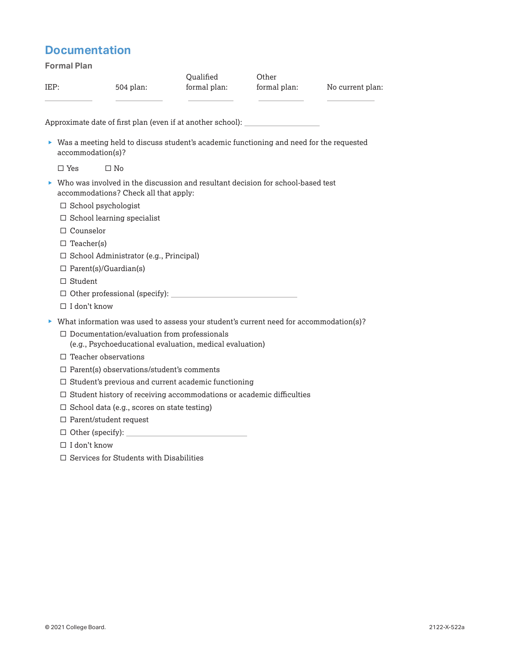## **Documentation**

**Formal Plan** IEP: 504 plan: **Oualified** formal plan: **Other** formal plan: No current plan: Approximate date of first plan (even if at another school):  $\blacktriangleright$  Was a meeting held to discuss student's academic functioning and need for the requested accommodation(s)?  $\square$  Yes  $\square$  No  $\blacktriangleright$  Who was involved in the discussion and resultant decision for school-based test accommodations? Check all that apply:  $\square$  School psychologist  $\square$  School learning specialist  $\square$  Counselor  $\square$  Teacher(s) □ School Administrator (e.g., Principal)  $\Box$  Parent(s)/Guardian(s) □ Student  $\Box$  Other professional (specify): □ I don't know  $\blacktriangleright$  What information was used to assess your student's current need for accommodation(s)?  $\square$  Documentation/evaluation from professionals (e.g., Psychoeducational evaluation, medical evaluation)  $\square$  Teacher observations  $\square$  Parent(s) observations/student's comments  $\square$  Student's previous and current academic functioning  $\square$  Student history of receiving accommodations or academic difficulties  $\square$  School data (e.g., scores on state testing)  $\square$  Parent/student request

- $\square$  Other (specify):
- $\square$  I don't know
- $\square$  Services for Students with Disabilities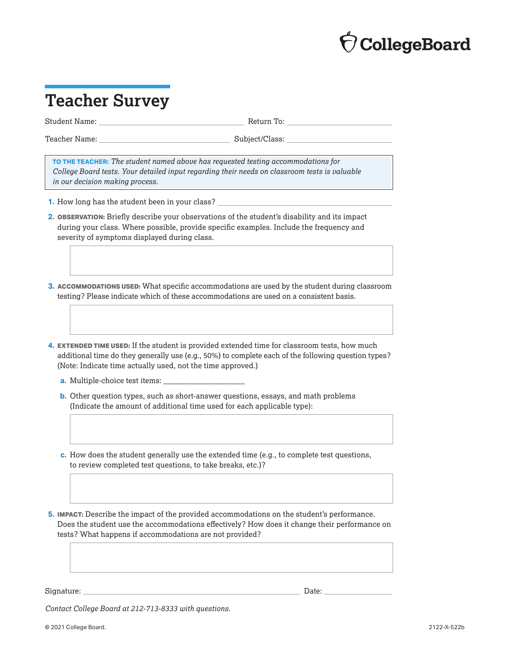# **CollegeBoard**

## **Teacher Survey**

Student Name: Return To:

Teacher Name: Subject/Class:

**TO THE TEACHER:** *The student named above has requested testing accommodations for College Board tests. Your detailed input regarding their needs on classroom tests is valuable in our decision making process.*

- **1.** How long has the student been in your class?
- **2. OBSERVATION:** Briefly describe your observations of the student's disability and its impact during your class. Where possible, provide specific examples. Include the frequency and severity of symptoms displayed during class.
- **3. ACCOMMODATIONS USED:** What specific accommodations are used by the student during classroom testing? Please indicate which of these accommodations are used on a consistent basis.
- **4. EXTENDED TIME USED:** If the student is provided extended time for classroom tests, how much additional time do they generally use (e.g., 50%) to complete each of the following question types? (Note: Indicate time actually used, not the time approved.)
	- **a.** Multiple-choice test items:
	- **b.** Other question types, such as short-answer questions, essays, and math problems (Indicate the amount of additional time used for each applicable type):
	- **c.** How does the student generally use the extended time (e.g., to complete test questions, to review completed test questions, to take breaks, etc.)?

**5. IMPACT:** Describe the impact of the provided accommodations on the student's performance. Does the student use the accommodations effectively? How does it change their performance on tests? What happens if accommodations are not provided?

Signature: Date: Date: Date: Date: Date: Date: Date: Date: Date: Date: Date: Date: Date: Date: Date: Date: Date: Date: Date: Date: Date: Date: Date: Date: Date: Date: Date: Date: Date: Date: Date: Date: Date: Date: Date: D

*Contact College Board at 212-713-8333 with questions.*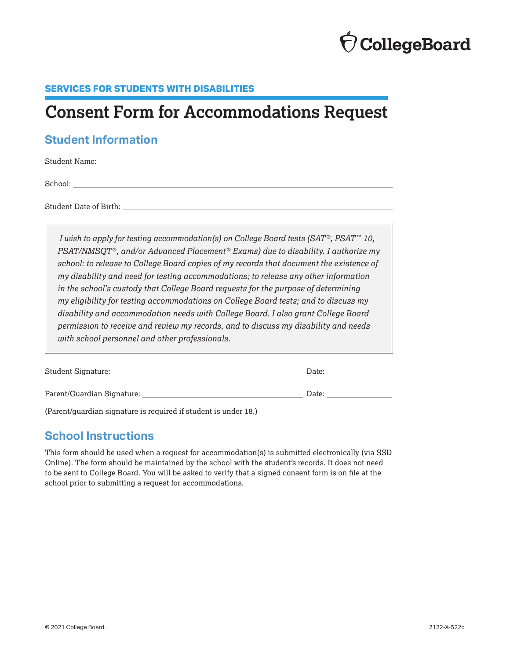# **CollegeBoard**

## **SERVICES FOR STUDENTS WITH DISABILITIES**

## **Consent Form for Accommodations Request**

## **Student Information**

Student Name:

School:

Student Date of Birth:

*I wish to apply for testing accommodation(s) on College Board tests (SAT ®, PSAT ™ 10, PSAT/NMSQT ®, and/or Advanced Placement ® Exams) due to disability. I authorize my school: to release to College Board copies of my records that document the existence of my disability and need for testing accommodations; to release any other information in the school's custody that College Board requests for the purpose of determining my eligibility for testing accommodations on College Board tests; and to discuss my disability and accommodation needs with College Board. I also grant College Board permission to receive and review my records, and to discuss my disability and needs with school personnel and other professionals.*

| Student Signature:         | Date: |
|----------------------------|-------|
|                            |       |
| Parent/Guardian Signature: | Date: |

(Parent/guardian signature is required if student is under 18.)

## **School Instructions**

This form should be used when a request for accommodation(s) is submitted electronically (via SSD Online). The form should be maintained by the school with the student's records. It does not need to be sent to College Board. You will be asked to verify that a signed consent form is on file at the school prior to submitting a request for accommodations.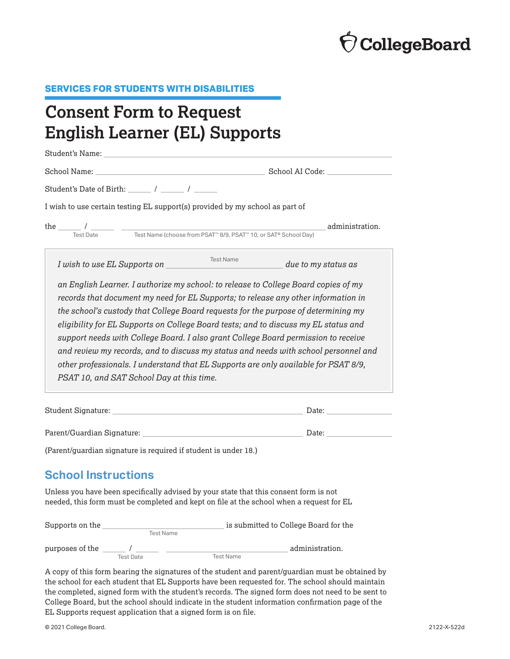

#### **SERVICES FOR STUDENTS WITH DISABILITIES**

# **Consent Form to Request English Learner (EL) Supports**

| Student's Date of Birth: $\frac{1}{\sqrt{2\pi}}$ / $\frac{1}{\sqrt{2\pi}}$                                                                                                                                                                                                                                                                                                                                                                                                                                                                                                                                                                                              |                                |  |  |  |  |  |  |
|-------------------------------------------------------------------------------------------------------------------------------------------------------------------------------------------------------------------------------------------------------------------------------------------------------------------------------------------------------------------------------------------------------------------------------------------------------------------------------------------------------------------------------------------------------------------------------------------------------------------------------------------------------------------------|--------------------------------|--|--|--|--|--|--|
| I wish to use certain testing EL support(s) provided by my school as part of                                                                                                                                                                                                                                                                                                                                                                                                                                                                                                                                                                                            |                                |  |  |  |  |  |  |
| Test Name (choose from PSAT <sup>™</sup> 8/9, PSAT <sup>™</sup> 10, or SAT® School Day)<br><b>Test Date</b>                                                                                                                                                                                                                                                                                                                                                                                                                                                                                                                                                             | administration.                |  |  |  |  |  |  |
| Test Name<br>I wish to use EL Supports on<br>due to my status as                                                                                                                                                                                                                                                                                                                                                                                                                                                                                                                                                                                                        |                                |  |  |  |  |  |  |
| an English Learner. I authorize my school: to release to College Board copies of my<br>records that document my need for EL Supports; to release any other information in<br>the school's custody that College Board requests for the purpose of determining my<br>eligibility for EL Supports on College Board tests; and to discuss my EL status and<br>support needs with College Board. I also grant College Board permission to receive<br>and review my records, and to discuss my status and needs with school personnel and<br>other professionals. I understand that EL Supports are only available for PSAT 8/9,<br>PSAT 10, and SAT School Day at this time. |                                |  |  |  |  |  |  |
|                                                                                                                                                                                                                                                                                                                                                                                                                                                                                                                                                                                                                                                                         | Date: <u>www.community.com</u> |  |  |  |  |  |  |
|                                                                                                                                                                                                                                                                                                                                                                                                                                                                                                                                                                                                                                                                         |                                |  |  |  |  |  |  |
| (Parent/guardian signature is required if student is under 18.)                                                                                                                                                                                                                                                                                                                                                                                                                                                                                                                                                                                                         |                                |  |  |  |  |  |  |

## **School Instructions**

Unless you have been specifically advised by your state that this consent form is not needed, this form must be completed and kept on file at the school when a request for EL

| Supports on the |           |                  | is submitted to College Board for the |
|-----------------|-----------|------------------|---------------------------------------|
|                 | Test Name |                  |                                       |
| purposes of the |           |                  | administration.                       |
|                 | Test Date | <b>Test Name</b> |                                       |

A copy of this form bearing the signatures of the student and parent/guardian must be obtained by the school for each student that EL Supports have been requested for. The school should maintain the completed, signed form with the student's records. The signed form does not need to be sent to College Board, but the school should indicate in the student information confirmation page of the EL Supports request application that a signed form is on file.